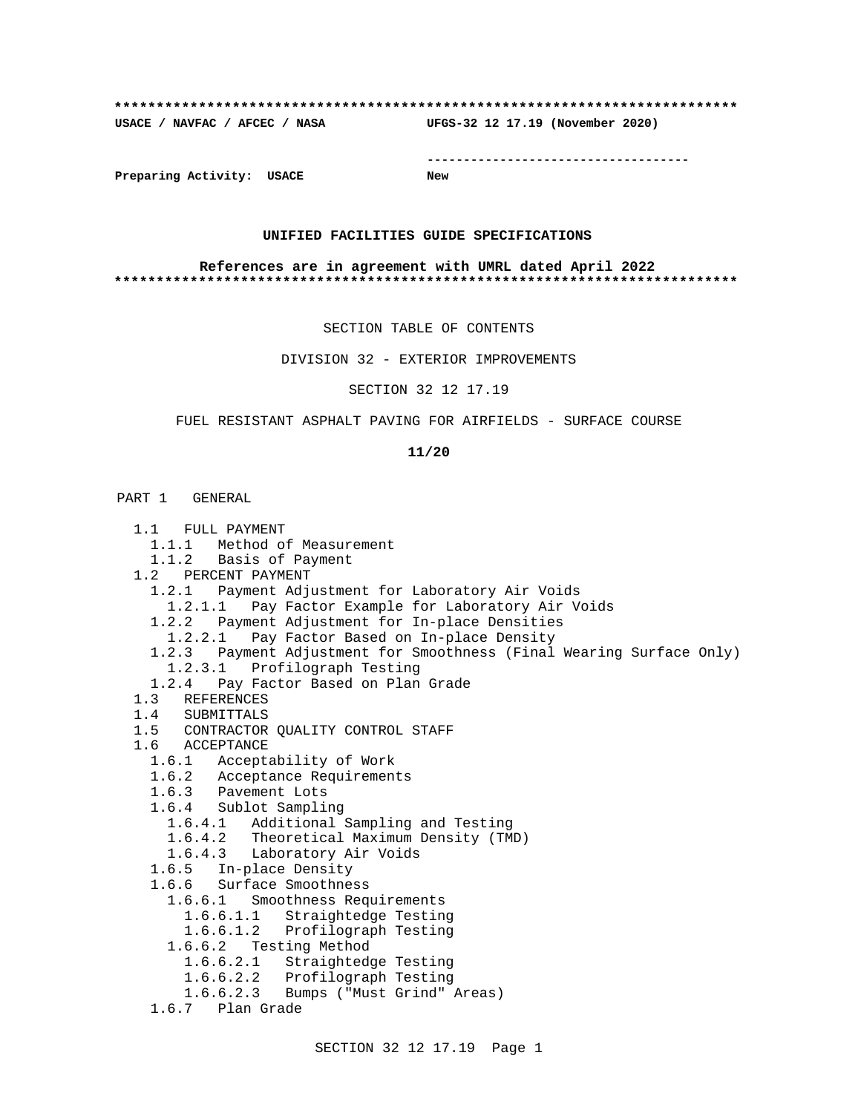## **\*\*\*\*\*\*\*\*\*\*\*\*\*\*\*\*\*\*\*\*\*\*\*\*\*\*\*\*\*\*\*\*\*\*\*\*\*\*\*\*\*\*\*\*\*\*\*\*\*\*\*\*\*\*\*\*\*\*\*\*\*\*\*\*\*\*\*\*\*\*\*\*\*\* USACE / NAVFAC / AFCEC / NASA UFGS-32 12 17.19 (November 2020)**

**------------------------------------**

**Preparing Activity: USACE New**

## **UNIFIED FACILITIES GUIDE SPECIFICATIONS**

### **References are in agreement with UMRL dated April 2022 \*\*\*\*\*\*\*\*\*\*\*\*\*\*\*\*\*\*\*\*\*\*\*\*\*\*\*\*\*\*\*\*\*\*\*\*\*\*\*\*\*\*\*\*\*\*\*\*\*\*\*\*\*\*\*\*\*\*\*\*\*\*\*\*\*\*\*\*\*\*\*\*\*\***

SECTION TABLE OF CONTENTS

DIVISION 32 - EXTERIOR IMPROVEMENTS

SECTION 32 12 17.19

## FUEL RESISTANT ASPHALT PAVING FOR AIRFIELDS - SURFACE COURSE

#### **11/20**

## PART 1 GENERAL

| 1.1 FULL PAYMENT                                                       |
|------------------------------------------------------------------------|
| 1.1.1 Method of Measurement                                            |
| 1.1.2 Basis of Payment                                                 |
| 1.2 PERCENT PAYMENT                                                    |
| 1.2.1 Payment Adjustment for Laboratory Air Voids                      |
| 1.2.1.1 Pay Factor Example for Laboratory Air Voids                    |
| 1.2.2 Payment Adjustment for In-place Densities                        |
| Pay Factor Based on In-place Density<br>1.2.2.1                        |
| 1.2.3 Payment Adjustment for Smoothness (Final Wearing Surface Only)   |
| 1.2.3.1 Profilograph Testing                                           |
| 1.2.4 Pay Factor Based on Plan Grade                                   |
| 1.3 REFERENCES                                                         |
| 1.4 SUBMITTALS                                                         |
| 1.5 CONTRACTOR QUALITY CONTROL STAFF                                   |
| 1.6 ACCEPTANCE                                                         |
| 1.6.1 Acceptability of Work                                            |
| 1.6.2 Acceptance Requirements                                          |
| 1.6.3 Pavement Lots                                                    |
| 1.6.4 Sublot Sampling                                                  |
| 1.6.4.1 Additional Sampling and Testing                                |
| 1.6.4.2 Theoretical Maximum Density (TMD)                              |
| 1.6.4.3 Laboratory Air Voids                                           |
| 1.6.5 In-place Density                                                 |
| 1.6.6 Surface Smoothness                                               |
| 1.6.6.1 Smoothness Requirements                                        |
| 1.6.6.1.1 Straightedge Testing                                         |
| 1.6.6.1.2 Profilograph Testing                                         |
| 1.6.6.2 Testing Method                                                 |
| 1.6.6.2.1 Straightedge Testing                                         |
| 1.6.6.2.2 Profilograph Testing<br>1.6.6.2.3 Bumps ("Must Grind" Areas) |
| 1.6.7 Plan Grade                                                       |
|                                                                        |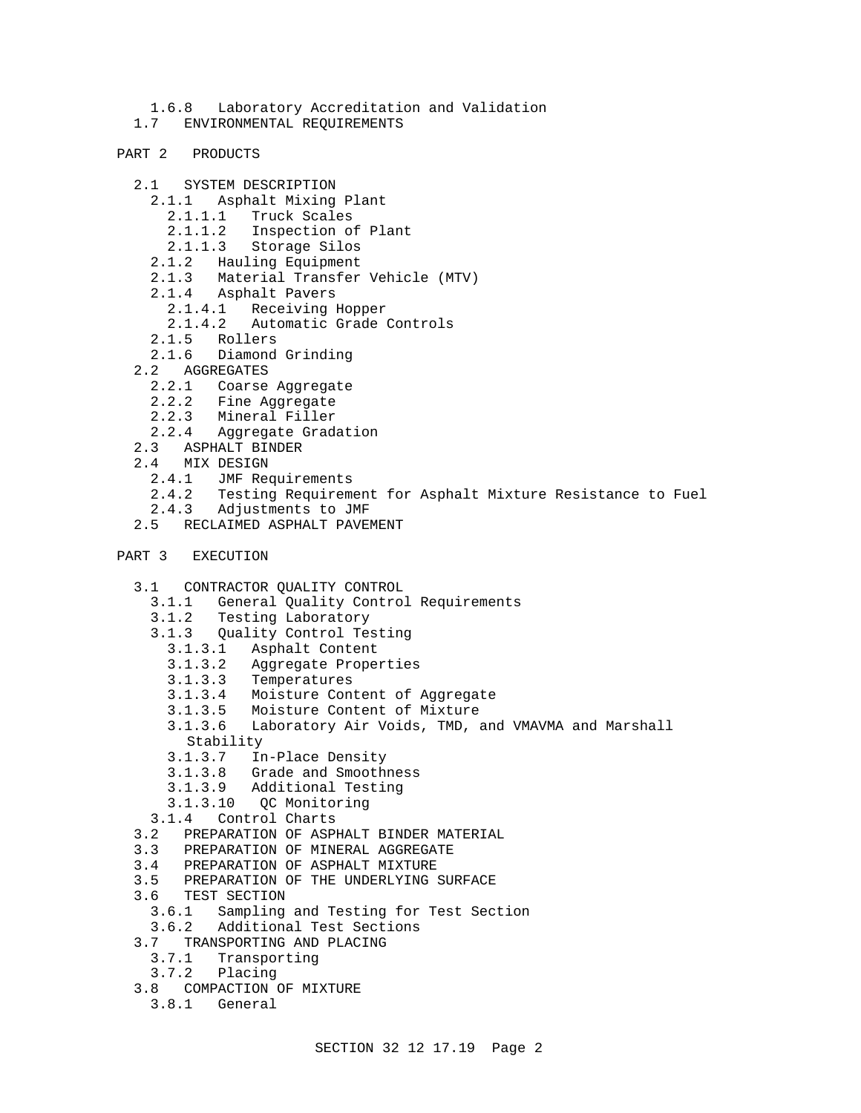- 1.6.8 Laboratory Accreditation and Validation
- 1.7 ENVIRONMENTAL REQUIREMENTS
- PART 2 PRODUCTS
	- 2.1 SYSTEM DESCRIPTION
		- 2.1.1 Asphalt Mixing Plant
			- 2.1.1.1 Truck Scales
			- 2.1.1.2 Inspection of Plant
			- 2.1.1.3 Storage Silos
		- 2.1.2 Hauling Equipment
		- 2.1.3 Material Transfer Vehicle (MTV)
		- 2.1.4 Asphalt Pavers
			- 2.1.4.1 Receiving Hopper
			- 2.1.4.2 Automatic Grade Controls
		- 2.1.5 Rollers
		- 2.1.6 Diamond Grinding
	- 2.2 AGGREGATES
		- 2.2.1 Coarse Aggregate
		- 2.2.2 Fine Aggregate
		- 2.2.3 Mineral Filler
		- 2.2.4 Aggregate Gradation
	- 2.3 ASPHALT BINDER
	- 2.4 MIX DESIGN
		- 2.4.1 JMF Requirements
		- 2.4.2 Testing Requirement for Asphalt Mixture Resistance to Fuel
		- 2.4.3 Adjustments to JMF
	- 2.5 RECLAIMED ASPHALT PAVEMENT

```
PART 3 EXECUTION
```
- 3.1 CONTRACTOR QUALITY CONTROL
	- 3.1.1 General Quality Control Requirements
	- 3.1.2 Testing Laboratory
	- 3.1.3 Quality Control Testing
		- 3.1.3.1 Asphalt Content
		- 3.1.3.2 Aggregate Properties
		- 3.1.3.3 Temperatures
		- 3.1.3.4 Moisture Content of Aggregate
		- 3.1.3.5 Moisture Content of Mixture
		- 3.1.3.6 Laboratory Air Voids, TMD, and VMAVMA and Marshall Stability
		-
		- 3.1.3.7 In-Place Density
		- 3.1.3.8 Grade and Smoothness
		- 3.1.3.9 Additional Testing
	- 3.1.3.10 QC Monitoring 3.1.4 Control Charts
	-
- 3.2 PREPARATION OF ASPHALT BINDER MATERIAL
- 3.3 PREPARATION OF MINERAL AGGREGATE
- 3.4 PREPARATION OF ASPHALT MIXTURE
- 3.5 PREPARATION OF THE UNDERLYING SURFACE
- 3.6 TEST SECTION
- 3.6.1 Sampling and Testing for Test Section
- 3.6.2 Additional Test Sections
- 3.7 TRANSPORTING AND PLACING
	- 3.7.1 Transporting
- 3.7.2 Placing
- 3.8 COMPACTION OF MIXTURE
- 3.8.1 General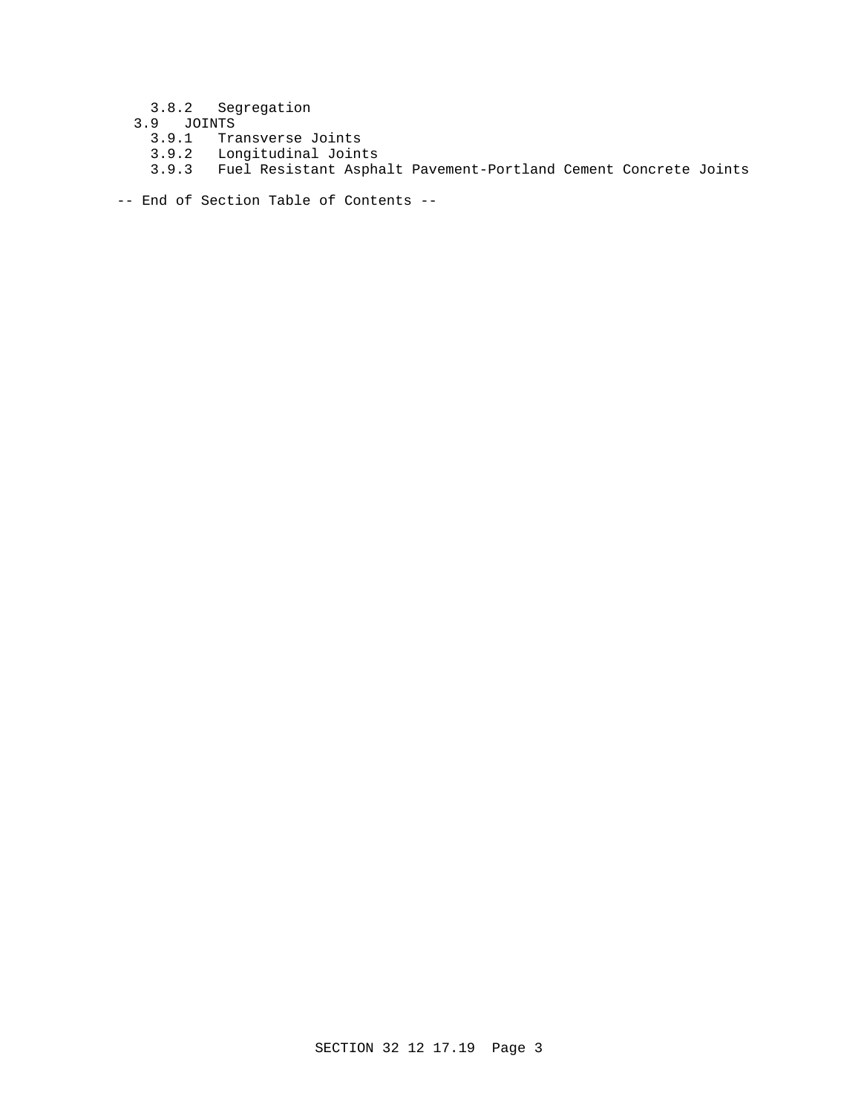- 3.8.2 Segregation
- 3.9 JOINTS
- 3.9.1 Transverse Joints
- 3.9.2 Longitudinal Joints
	- 3.9.3 Fuel Resistant Asphalt Pavement-Portland Cement Concrete Joints
- -- End of Section Table of Contents --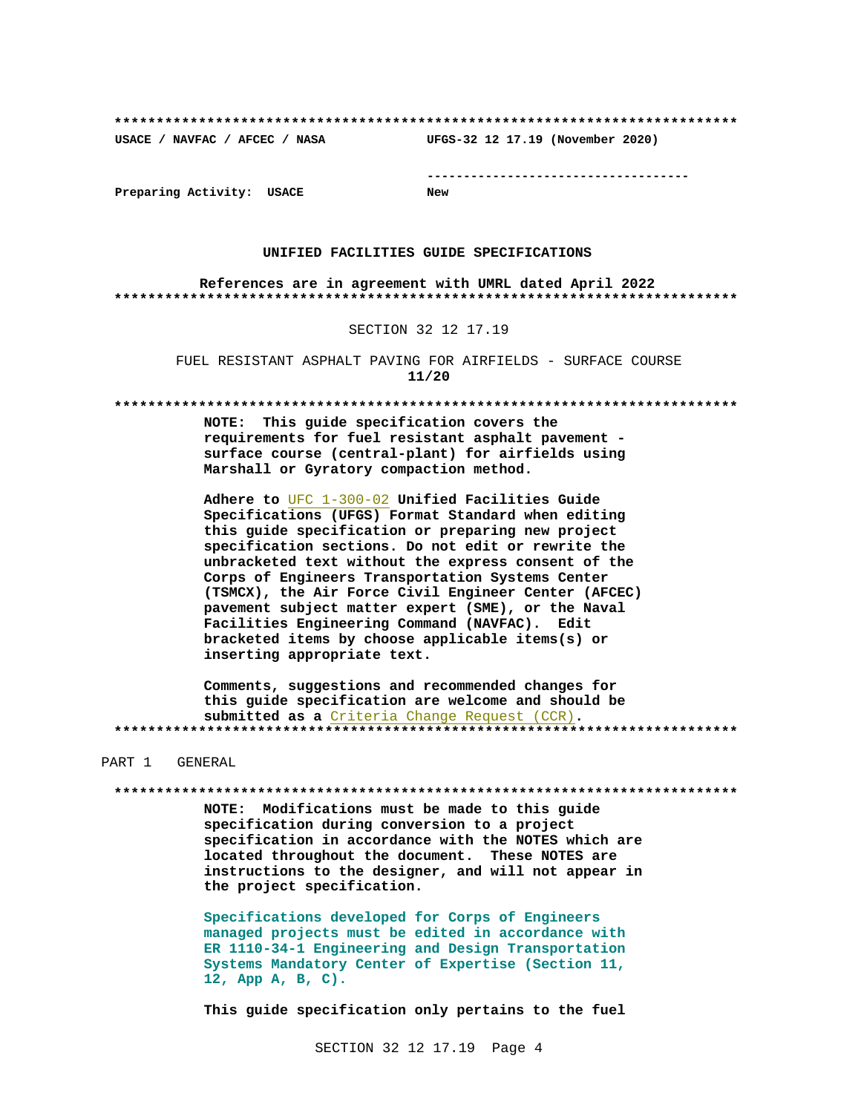**\*\*\*\*\*\*\*\*\*\*\*\*\*\*\*\*\*\*\*\*\*\*\*\*\*\*\*\*\*\*\*\*\*\*\*\*\*\*\*\*\*\*\*\*\*\*\*\*\*\*\*\*\*\*\*\*\*\*\*\*\*\*\*\*\*\*\*\*\*\*\*\*\*\***

**USACE / NAVFAC / AFCEC / NASA UFGS-32 12 17.19 (November 2020)**

**------------------------------------**

**Preparing Activity: USACE New**

#### **UNIFIED FACILITIES GUIDE SPECIFICATIONS**

**References are in agreement with UMRL dated April 2022 \*\*\*\*\*\*\*\*\*\*\*\*\*\*\*\*\*\*\*\*\*\*\*\*\*\*\*\*\*\*\*\*\*\*\*\*\*\*\*\*\*\*\*\*\*\*\*\*\*\*\*\*\*\*\*\*\*\*\*\*\*\*\*\*\*\*\*\*\*\*\*\*\*\***

#### SECTION 32 12 17.19

FUEL RESISTANT ASPHALT PAVING FOR AIRFIELDS - SURFACE COURSE **11/20**

**\*\*\*\*\*\*\*\*\*\*\*\*\*\*\*\*\*\*\*\*\*\*\*\*\*\*\*\*\*\*\*\*\*\*\*\*\*\*\*\*\*\*\*\*\*\*\*\*\*\*\*\*\*\*\*\*\*\*\*\*\*\*\*\*\*\*\*\*\*\*\*\*\*\***

**NOTE: This guide specification covers the requirements for fuel resistant asphalt pavement surface course (central-plant) for airfields using Marshall or Gyratory compaction method.**

**Adhere to** UFC 1-300-02 **Unified Facilities Guide Specifications (UFGS) Format Standard when editing this guide specification or preparing new project specification sections. Do not edit or rewrite the unbracketed text without the express consent of the Corps of Engineers Transportation Systems Center (TSMCX), the Air Force Civil Engineer Center (AFCEC) pavement subject matter expert (SME), or the Naval Facilities Engineering Command (NAVFAC). Edit bracketed items by choose applicable items(s) or inserting appropriate text.**

**Comments, suggestions and recommended changes for this guide specification are welcome and should be submitted as a** Criteria Change Request (CCR)**. \*\*\*\*\*\*\*\*\*\*\*\*\*\*\*\*\*\*\*\*\*\*\*\*\*\*\*\*\*\*\*\*\*\*\*\*\*\*\*\*\*\*\*\*\*\*\*\*\*\*\*\*\*\*\*\*\*\*\*\*\*\*\*\*\*\*\*\*\*\*\*\*\*\***

PART 1 GENERAL

**\*\*\*\*\*\*\*\*\*\*\*\*\*\*\*\*\*\*\*\*\*\*\*\*\*\*\*\*\*\*\*\*\*\*\*\*\*\*\*\*\*\*\*\*\*\*\*\*\*\*\*\*\*\*\*\*\*\*\*\*\*\*\*\*\*\*\*\*\*\*\*\*\*\***

**NOTE: Modifications must be made to this guide specification during conversion to a project specification in accordance with the NOTES which are located throughout the document. These NOTES are instructions to the designer, and will not appear in the project specification.**

**Specifications developed for Corps of Engineers managed projects must be edited in accordance with ER 1110-34-1 Engineering and Design Transportation Systems Mandatory Center of Expertise (Section 11, 12, App A, B, C).**

**This guide specification only pertains to the fuel**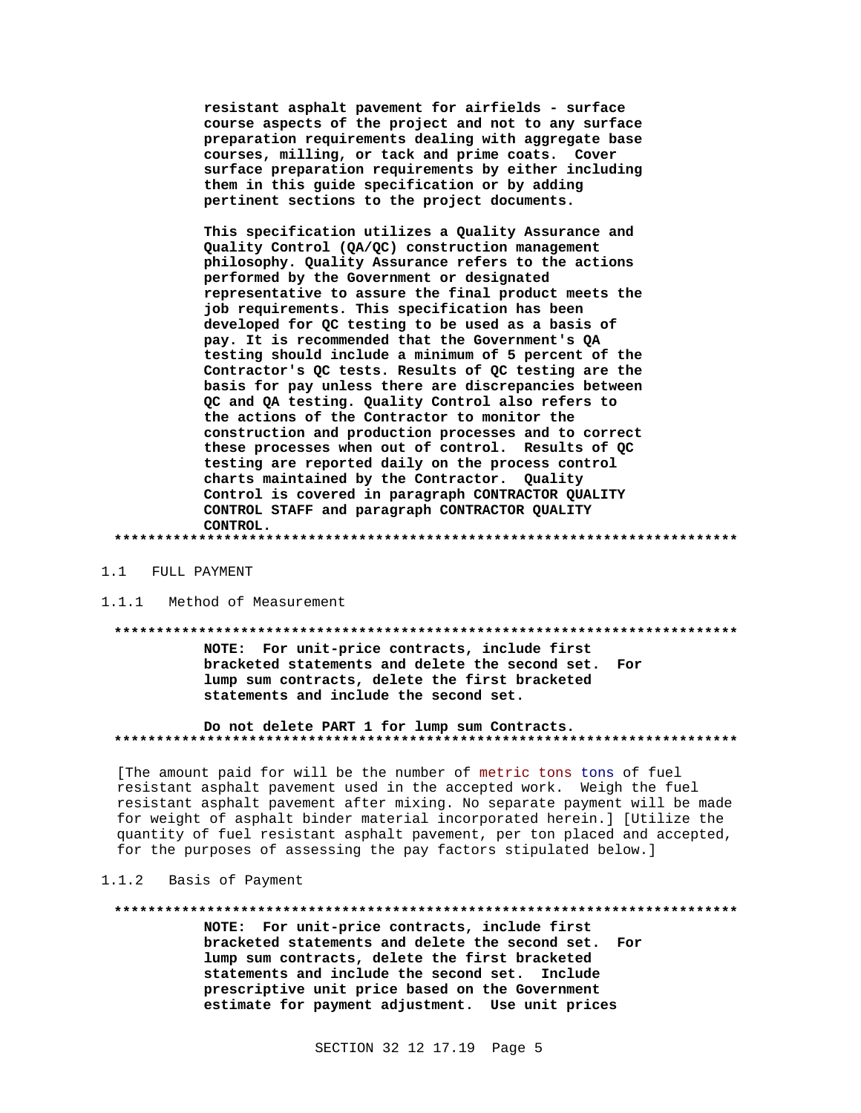resistant asphalt pavement for airfields - surface course aspects of the project and not to any surface preparation requirements dealing with aggregate base courses, milling, or tack and prime coats. Cover surface preparation requirements by either including them in this guide specification or by adding pertinent sections to the project documents.

This specification utilizes a Quality Assurance and Quality Control (QA/QC) construction management philosophy. Quality Assurance refers to the actions performed by the Government or designated representative to assure the final product meets the job requirements. This specification has been developed for QC testing to be used as a basis of pay. It is recommended that the Government's QA testing should include a minimum of 5 percent of the Contractor's QC tests. Results of QC testing are the basis for pay unless there are discrepancies between QC and QA testing. Quality Control also refers to the actions of the Contractor to monitor the construction and production processes and to correct these processes when out of control. Results of QC testing are reported daily on the process control charts maintained by the Contractor. Quality Control is covered in paragraph CONTRACTOR QUALITY CONTROL STAFF and paragraph CONTRACTOR QUALITY CONTROL.

#### 1.1 FULL PAYMENT

#### Method of Measurement  $1.1.1$

#### 

NOTE: For unit-price contracts, include first bracketed statements and delete the second set. For lump sum contracts, delete the first bracketed statements and include the second set.

Do not delete PART 1 for lump sum Contracts. 

[The amount paid for will be the number of metric tons tons of fuel resistant asphalt pavement used in the accepted work. Weigh the fuel resistant asphalt pavement after mixing. No separate payment will be made for weight of asphalt binder material incorporated herein.] [Utilize the quantity of fuel resistant asphalt pavement, per ton placed and accepted, for the purposes of assessing the pay factors stipulated below.]

#### 1.1.2 Basis of Payment

#### \*\*\*\*\*\*\*\*\*\*\*\*

NOTE: For unit-price contracts, include first bracketed statements and delete the second set. For lump sum contracts, delete the first bracketed statements and include the second set. Include prescriptive unit price based on the Government estimate for payment adjustment. Use unit prices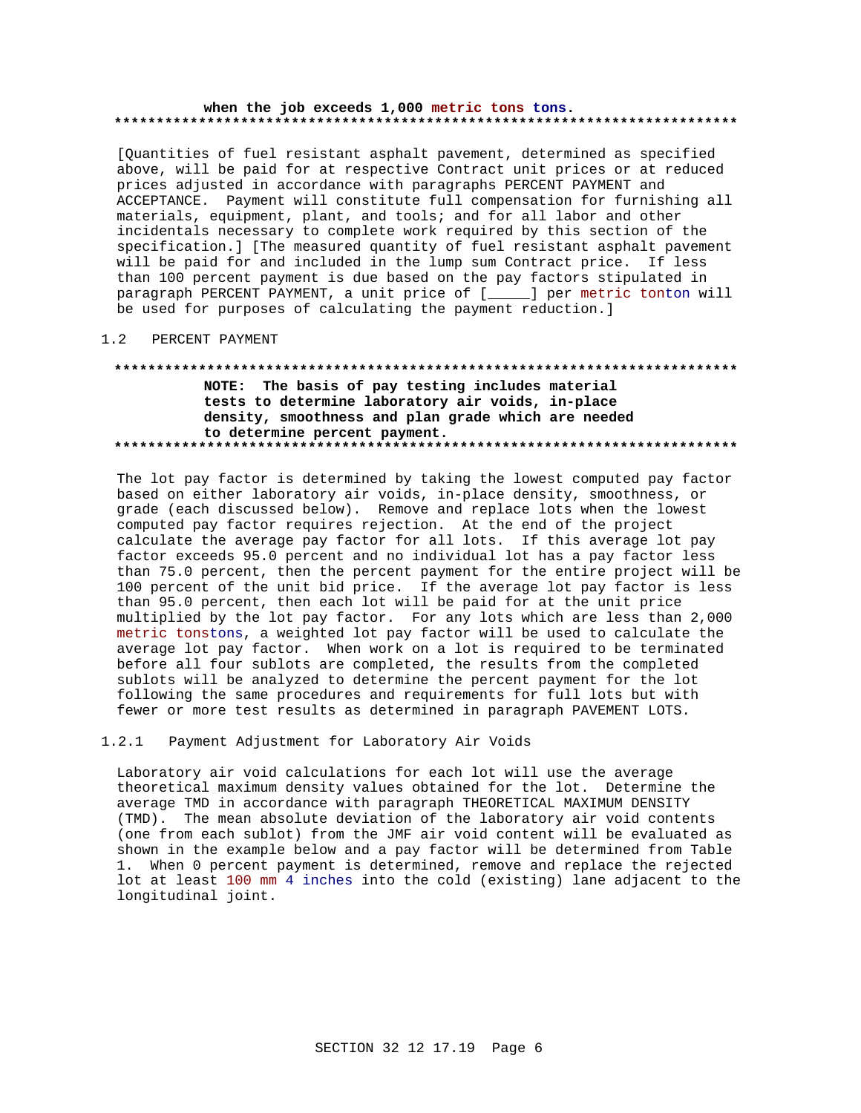#### when the job exceeds 1,000 metric tons tons.

[Quantities of fuel resistant asphalt pavement, determined as specified above, will be paid for at respective Contract unit prices or at reduced prices adjusted in accordance with paragraphs PERCENT PAYMENT and ACCEPTANCE. Payment will constitute full compensation for furnishing all materials, equipment, plant, and tools; and for all labor and other incidentals necessary to complete work required by this section of the specification.] [The measured quantity of fuel resistant asphalt pavement will be paid for and included in the lump sum Contract price. If less than 100 percent payment is due based on the pay factors stipulated in paragraph PERCENT PAYMENT, a unit price of [\_\_\_\_] per metric tonton will be used for purposes of calculating the payment reduction.]

#### PERCENT PAYMENT  $1.2$

## NOTE: The basis of pay testing includes material tests to determine laboratory air voids, in-place density, smoothness and plan grade which are needed to determine percent payment.

The lot pay factor is determined by taking the lowest computed pay factor based on either laboratory air voids, in-place density, smoothness, or grade (each discussed below). Remove and replace lots when the lowest computed pay factor requires rejection. At the end of the project calculate the average pay factor for all lots. If this average lot pay factor exceeds 95.0 percent and no individual lot has a pay factor less than 75.0 percent, then the percent payment for the entire project will be 100 percent of the unit bid price. If the average lot pay factor is less than 95.0 percent, then each lot will be paid for at the unit price multiplied by the lot pay factor. For any lots which are less than 2,000 metric tonstons, a weighted lot pay factor will be used to calculate the average lot pay factor. When work on a lot is required to be terminated before all four sublots are completed, the results from the completed sublots will be analyzed to determine the percent payment for the lot following the same procedures and requirements for full lots but with fewer or more test results as determined in paragraph PAVEMENT LOTS.

#### $1.2.1$ Payment Adjustment for Laboratory Air Voids

Laboratory air void calculations for each lot will use the average theoretical maximum density values obtained for the lot. Determine the average TMD in accordance with paragraph THEORETICAL MAXIMUM DENSITY (TMD). The mean absolute deviation of the laboratory air void contents (one from each sublot) from the JMF air void content will be evaluated as shown in the example below and a pay factor will be determined from Table 1. When 0 percent payment is determined, remove and replace the rejected lot at least 100 mm 4 inches into the cold (existing) lane adjacent to the longitudinal joint.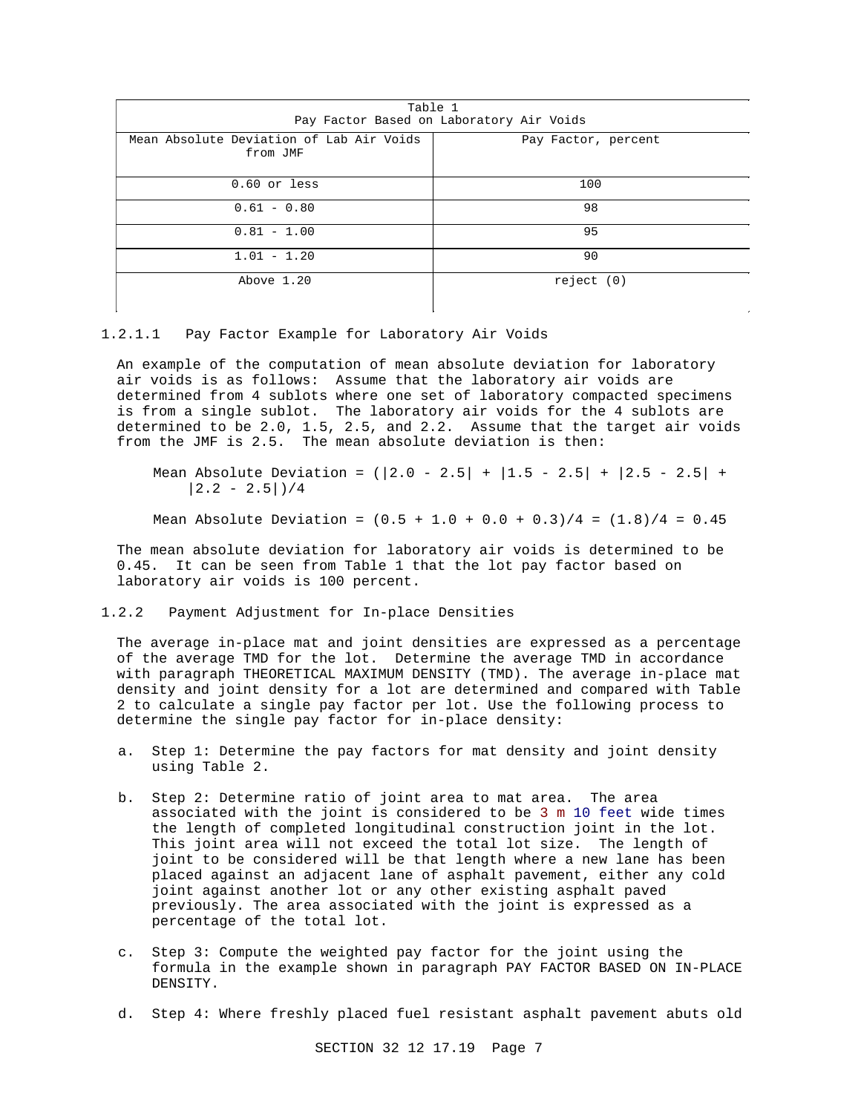| Table 1<br>Pay Factor Based on Laboratory Air Voids  |                     |
|------------------------------------------------------|---------------------|
| Mean Absolute Deviation of Lab Air Voids<br>from JMF | Pay Factor, percent |
| $0.60$ or less                                       | 100                 |
| $0.61 - 0.80$                                        | 98                  |
| $0.81 - 1.00$                                        | 95                  |
| $1.01 - 1.20$                                        | 90                  |
| Above 1.20                                           | reject(0)           |

1.2.1.1 Pay Factor Example for Laboratory Air Voids

An example of the computation of mean absolute deviation for laboratory air voids is as follows: Assume that the laboratory air voids are determined from 4 sublots where one set of laboratory compacted specimens is from a single sublot. The laboratory air voids for the 4 sublots are determined to be 2.0, 1.5, 2.5, and 2.2. Assume that the target air voids from the JMF is 2.5. The mean absolute deviation is then:

Mean Absolute Deviation =  $(|2.0 - 2.5| + |1.5 - 2.5| + |2.5 - 2.5| +$  $|2.2 - 2.5|$  / 4

Mean Absolute Deviation =  $(0.5 + 1.0 + 0.0 + 0.3)/4 = (1.8)/4 = 0.45$ 

The mean absolute deviation for laboratory air voids is determined to be 0.45. It can be seen from Table 1 that the lot pay factor based on laboratory air voids is 100 percent.

1.2.2 Payment Adjustment for In-place Densities

The average in-place mat and joint densities are expressed as a percentage of the average TMD for the lot. Determine the average TMD in accordance with paragraph THEORETICAL MAXIMUM DENSITY (TMD). The average in-place mat density and joint density for a lot are determined and compared with Table 2 to calculate a single pay factor per lot. Use the following process to determine the single pay factor for in-place density:

- a. Step 1: Determine the pay factors for mat density and joint density using Table 2.
- b. Step 2: Determine ratio of joint area to mat area. The area associated with the joint is considered to be 3 m 10 feet wide times the length of completed longitudinal construction joint in the lot. This joint area will not exceed the total lot size. The length of joint to be considered will be that length where a new lane has been placed against an adjacent lane of asphalt pavement, either any cold joint against another lot or any other existing asphalt paved previously. The area associated with the joint is expressed as a percentage of the total lot.
- c. Step 3: Compute the weighted pay factor for the joint using the formula in the example shown in paragraph PAY FACTOR BASED ON IN-PLACE DENSITY.
- d. Step 4: Where freshly placed fuel resistant asphalt pavement abuts old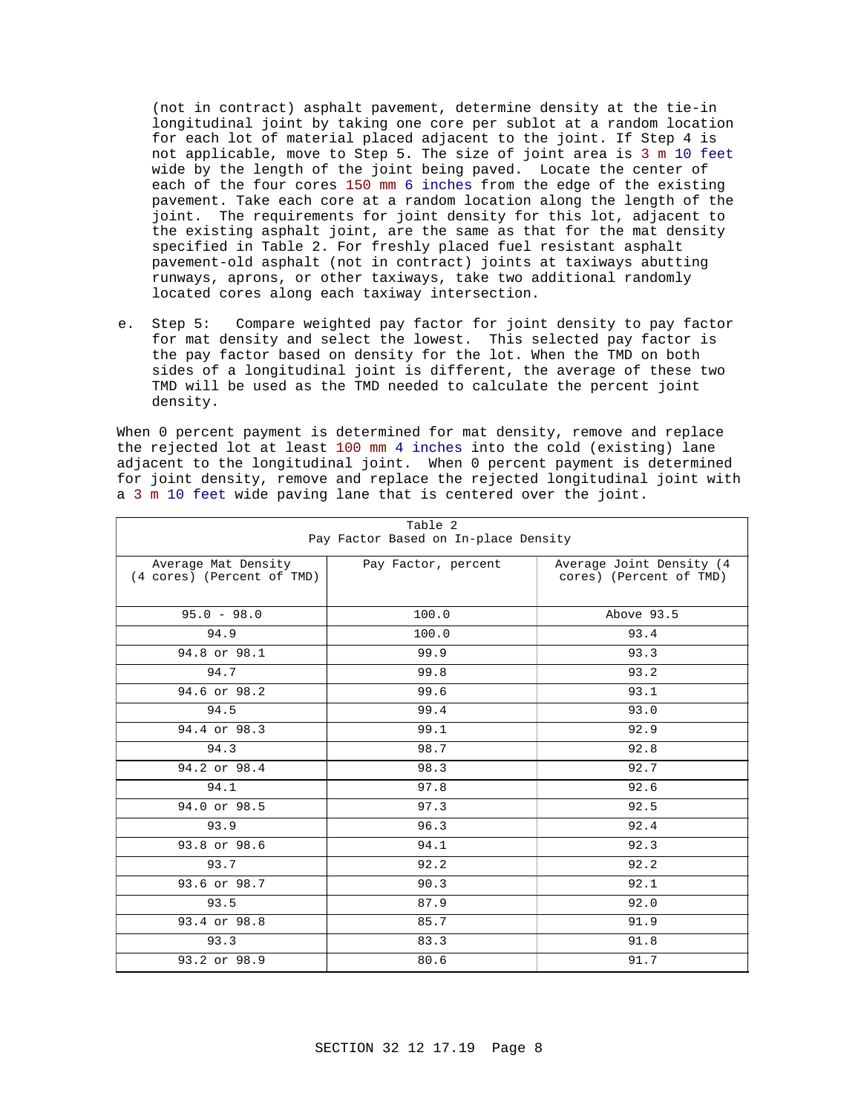(not in contract) asphalt pavement, determine density at the tie-in longitudinal joint by taking one core per sublot at a random location for each lot of material placed adjacent to the joint. If Step 4 is not applicable, move to Step 5. The size of joint area is 3 m 10 feet wide by the length of the joint being paved. Locate the center of each of the four cores 150 mm 6 inches from the edge of the existing pavement. Take each core at a random location along the length of the joint. The requirements for joint density for this lot, adjacent to the existing asphalt joint, are the same as that for the mat density specified in Table 2. For freshly placed fuel resistant asphalt pavement-old asphalt (not in contract) joints at taxiways abutting runways, aprons, or other taxiways, take two additional randomly located cores along each taxiway intersection.

e. Step 5: Compare weighted pay factor for joint density to pay factor for mat density and select the lowest. This selected pay factor is the pay factor based on density for the lot. When the TMD on both sides of a longitudinal joint is different, the average of these two TMD will be used as the TMD needed to calculate the percent joint density.

When 0 percent payment is determined for mat density, remove and replace the rejected lot at least 100 mm 4 inches into the cold (existing) lane adjacent to the longitudinal joint. When 0 percent payment is determined for joint density, remove and replace the rejected longitudinal joint with a 3 m 10 feet wide paving lane that is centered over the joint.

 $T = 2$ 

| rapie z<br>Pay Factor Based on In-place Density   |                     |                                                      |  |
|---------------------------------------------------|---------------------|------------------------------------------------------|--|
| Average Mat Density<br>(4 cores) (Percent of TMD) | Pay Factor, percent | Average Joint Density (4)<br>cores) (Percent of TMD) |  |
| $95.0 - 98.0$                                     | 100.0               | Above 93.5                                           |  |
| 94.9                                              | 100.0               | 93.4                                                 |  |
| 94.8 or 98.1                                      | 99.9                | 93.3                                                 |  |
| 94.7                                              | 99.8                | 93.2                                                 |  |
| 94.6 or 98.2                                      | 99.6                | 93.1                                                 |  |
| 94.5                                              | 99.4                | 93.0                                                 |  |
| 94.4 or 98.3                                      | 99.1                | 92.9                                                 |  |
| 94.3                                              | 98.7                | 92.8                                                 |  |
| 94.2 or 98.4                                      | 98.3                | 92.7                                                 |  |
| 94.1                                              | 97.8                | 92.6                                                 |  |
| 94.0 or 98.5                                      | 97.3                | 92.5                                                 |  |
| 93.9                                              | 96.3                | 92.4                                                 |  |
| 93.8 or 98.6                                      | 94.1                | 92.3                                                 |  |
| 93.7                                              | 92.2                | 92.2                                                 |  |
| 93.6 or 98.7                                      | 90.3                | 92.1                                                 |  |
| 93.5                                              | 87.9                | 92.0                                                 |  |
| 93.4 or 98.8                                      | 85.7                | 91.9                                                 |  |
| 93.3                                              | 83.3                | 91.8                                                 |  |
| 93.2 or 98.9                                      | 80.6                | 91.7                                                 |  |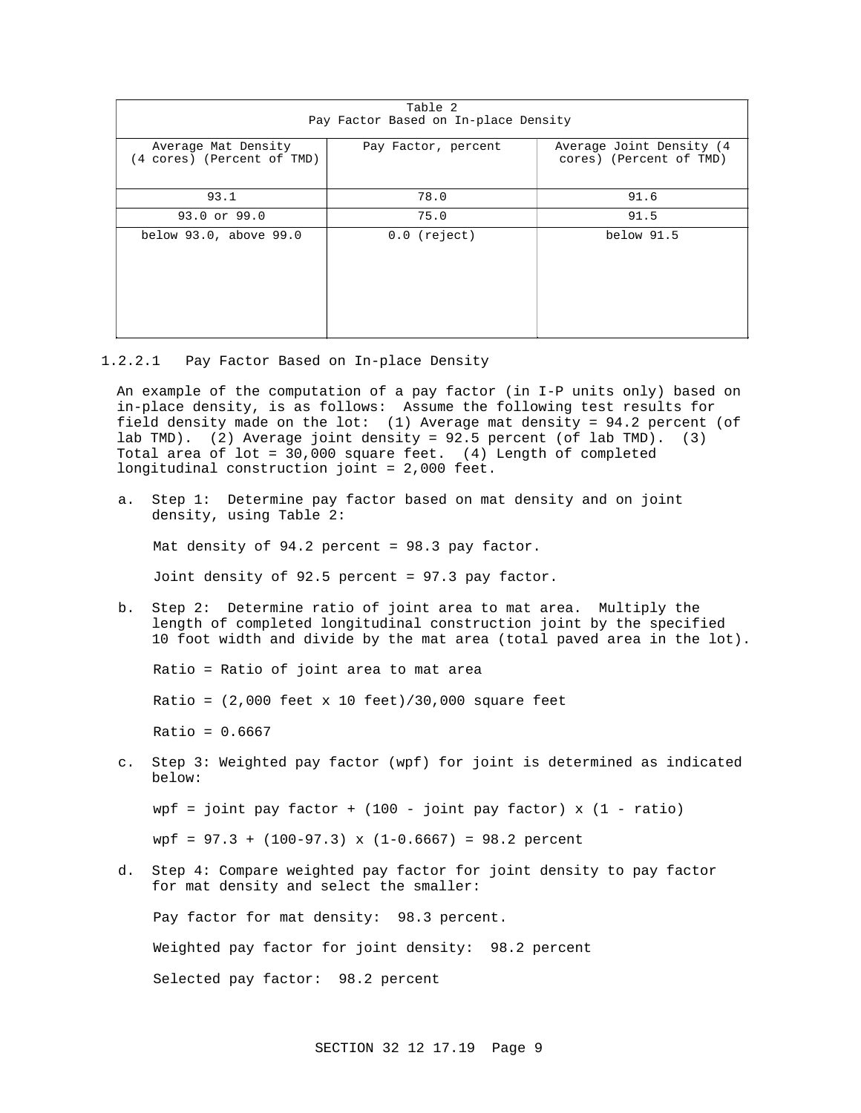| Table 2<br>Pay Factor Based on In-place Density   |                     |                                                      |
|---------------------------------------------------|---------------------|------------------------------------------------------|
|                                                   |                     |                                                      |
| Average Mat Density<br>(4 cores) (Percent of TMD) | Pay Factor, percent | Average Joint Density (4)<br>cores) (Percent of TMD) |
| 93.1                                              | 78.0                | 91.6                                                 |
| 93.0 or 99.0                                      | 75.0                | 91.5                                                 |
| below 93.0, above 99.0                            | $0.0$ (reject)      | below 91.5                                           |

1.2.2.1 Pay Factor Based on In-place Density

An example of the computation of a pay factor (in I-P units only) based on in-place density, is as follows: Assume the following test results for field density made on the lot: (1) Average mat density = 94.2 percent (of lab TMD). (2) Average joint density = 92.5 percent (of lab TMD). (3) Total area of lot = 30,000 square feet. (4) Length of completed longitudinal construction joint = 2,000 feet.

a. Step 1: Determine pay factor based on mat density and on joint density, using Table 2:

Mat density of 94.2 percent = 98.3 pay factor.

Joint density of 92.5 percent = 97.3 pay factor.

b. Step 2: Determine ratio of joint area to mat area. Multiply the length of completed longitudinal construction joint by the specified 10 foot width and divide by the mat area (total paved area in the lot).

Ratio = Ratio of joint area to mat area

Ratio =  $(2,000$  feet x 10 feet)/30,000 square feet

 $Ratio = 0.6667$ 

c. Step 3: Weighted pay factor (wpf) for joint is determined as indicated below:

wpf = joint pay factor +  $(100 - joint$  pay factor) x  $(1 - ratio)$ 

 $wpf = 97.3 + (100-97.3)$  x  $(1-0.6667) = 98.2$  percent

d. Step 4: Compare weighted pay factor for joint density to pay factor for mat density and select the smaller:

Pay factor for mat density: 98.3 percent.

Weighted pay factor for joint density: 98.2 percent

Selected pay factor: 98.2 percent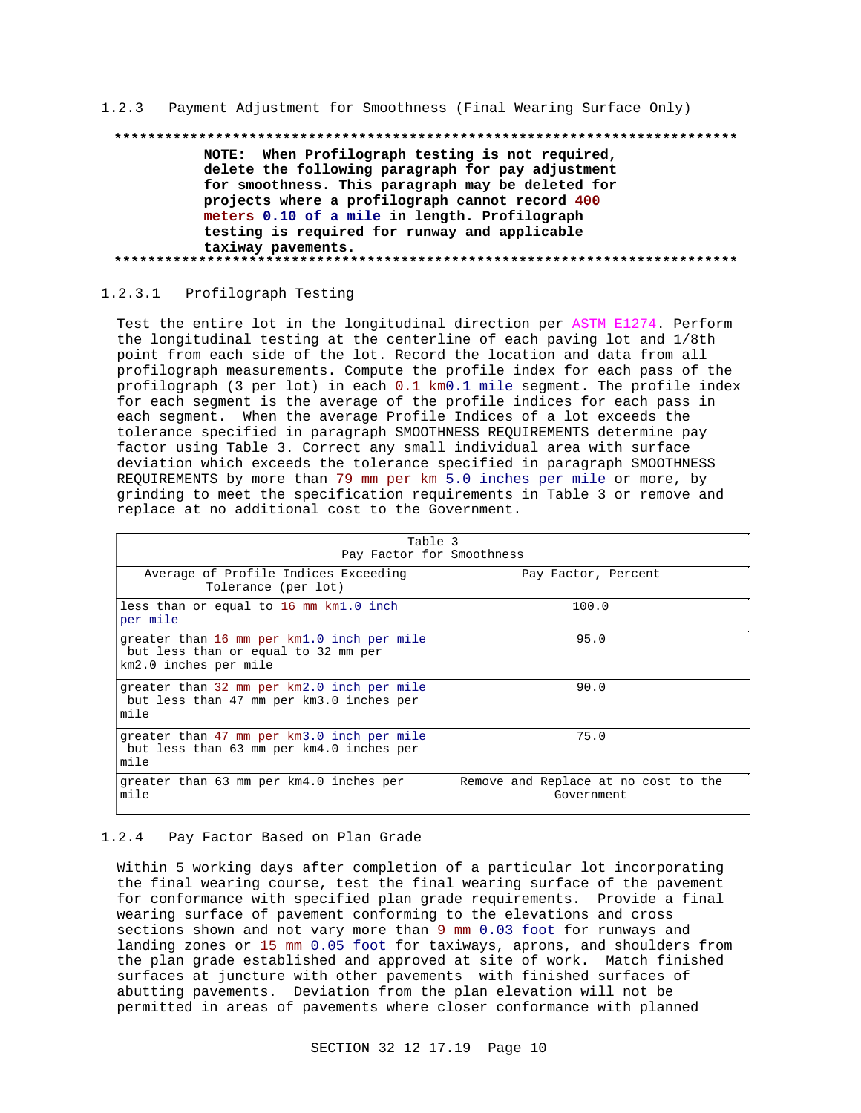1.2.3 Payment Adjustment for Smoothness (Final Wearing Surface Only)

# 

NOTE: When Profilograph testing is not required, delete the following paragraph for pay adjustment for smoothness. This paragraph may be deleted for projects where a profilograph cannot record 400 meters 0.10 of a mile in length. Profilograph testing is required for runway and applicable taxiway pavements. 

1.2.3.1 Profilograph Testing

Test the entire lot in the longitudinal direction per ASTM E1274. Perform the longitudinal testing at the centerline of each paving lot and 1/8th point from each side of the lot. Record the location and data from all profilograph measurements. Compute the profile index for each pass of the profilograph (3 per lot) in each 0.1 km0.1 mile segment. The profile index for each segment is the average of the profile indices for each pass in each segment. When the average Profile Indices of a lot exceeds the tolerance specified in paragraph SMOOTHNESS REQUIREMENTS determine pay factor using Table 3. Correct any small individual area with surface deviation which exceeds the tolerance specified in paragraph SMOOTHNESS REQUIREMENTS by more than 79 mm per km 5.0 inches per mile or more, by grinding to meet the specification requirements in Table 3 or remove and replace at no additional cost to the Government.

| Table 3<br>Pay Factor for Smoothness                                                                       |                                                    |  |
|------------------------------------------------------------------------------------------------------------|----------------------------------------------------|--|
| Average of Profile Indices Exceeding<br>Tolerance (per lot)                                                | Pay Factor, Percent                                |  |
| less than or equal to 16 mm km1.0 inch<br>per mile                                                         | 100.0                                              |  |
| greater than 16 mm per km1.0 inch per mile<br>but less than or equal to 32 mm per<br>km2.0 inches per mile | 95.0                                               |  |
| greater than 32 mm per km2.0 inch per mile<br>but less than 47 mm per km3.0 inches per<br>mile             | 90.0                                               |  |
| greater than 47 mm per km3.0 inch per mile<br>but less than 63 mm per km4.0 inches per<br>mile             | 75.0                                               |  |
| greater than 63 mm per km4.0 inches per<br>mile                                                            | Remove and Replace at no cost to the<br>Government |  |

#### 1.2.4 Pay Factor Based on Plan Grade

Within 5 working days after completion of a particular lot incorporating the final wearing course, test the final wearing surface of the pavement for conformance with specified plan grade requirements. Provide a final wearing surface of pavement conforming to the elevations and cross sections shown and not vary more than 9 mm 0.03 foot for runways and landing zones or 15 mm 0.05 foot for taxiways, aprons, and shoulders from the plan grade established and approved at site of work. Match finished surfaces at juncture with other pavements with finished surfaces of abutting pavements. Deviation from the plan elevation will not be permitted in areas of pavements where closer conformance with planned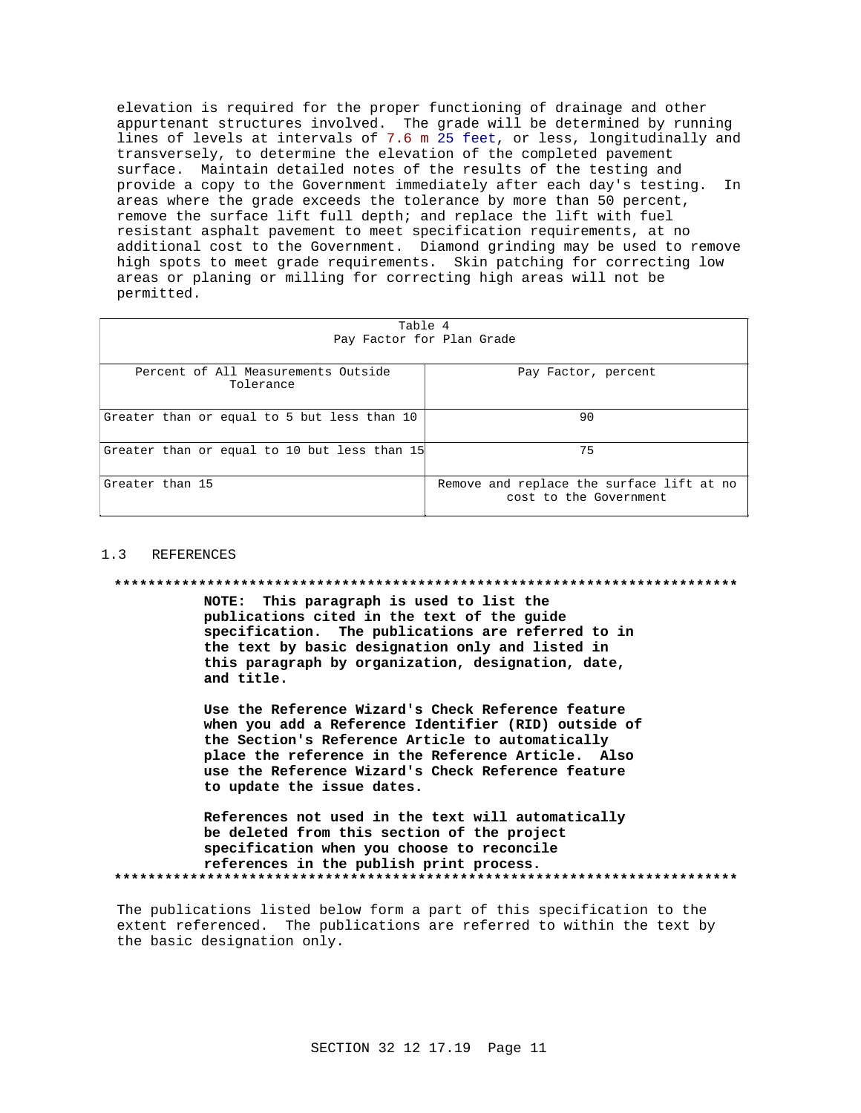elevation is required for the proper functioning of drainage and other appurtenant structures involved. The grade will be determined by running lines of levels at intervals of 7.6 m 25 feet, or less, longitudinally and transversely, to determine the elevation of the completed pavement surface. Maintain detailed notes of the results of the testing and provide a copy to the Government immediately after each day's testing. In areas where the grade exceeds the tolerance by more than 50 percent, remove the surface lift full depth; and replace the lift with fuel resistant asphalt pavement to meet specification requirements, at no additional cost to the Government. Diamond grinding may be used to remove high spots to meet grade requirements. Skin patching for correcting low areas or planing or milling for correcting high areas will not be permitted.

| Table 4<br>Pay Factor for Plan Grade             |                                                                     |  |
|--------------------------------------------------|---------------------------------------------------------------------|--|
| Percent of All Measurements Outside<br>Tolerance | Pay Factor, percent                                                 |  |
| Greater than or equal to 5 but less than 10      | 90                                                                  |  |
| Greater than or equal to 10 but less than 15     | 75                                                                  |  |
| Greater than 15                                  | Remove and replace the surface lift at no<br>cost to the Government |  |

#### $1<sup>2</sup>$ REFERENCES

#### 

NOTE: This paragraph is used to list the publications cited in the text of the guide specification. The publications are referred to in the text by basic designation only and listed in this paragraph by organization, designation, date, and title.

Use the Reference Wizard's Check Reference feature when you add a Reference Identifier (RID) outside of the Section's Reference Article to automatically place the reference in the Reference Article. Also use the Reference Wizard's Check Reference feature to update the issue dates.

References not used in the text will automatically be deleted from this section of the project specification when you choose to reconcile references in the publish print process. 

The publications listed below form a part of this specification to the extent referenced. The publications are referred to within the text by the basic designation only.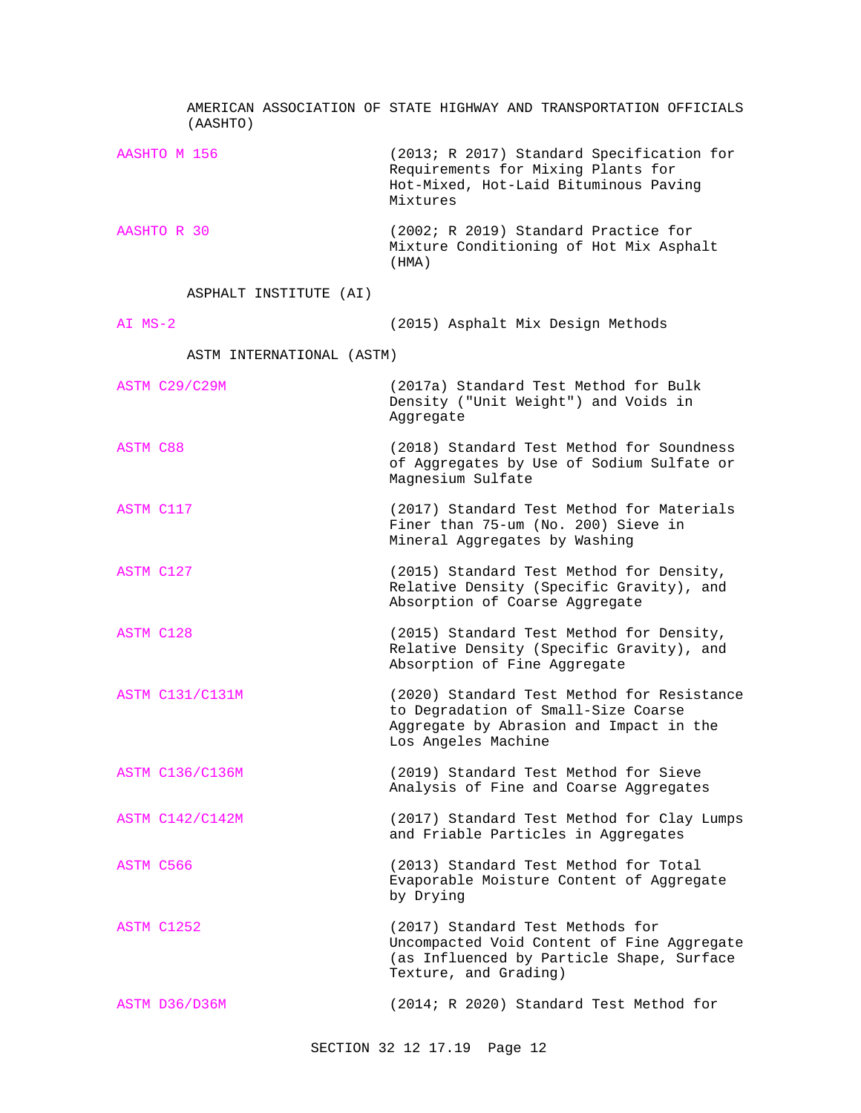| (AASHTO)                  | AMERICAN ASSOCIATION OF STATE HIGHWAY AND TRANSPORTATION OFFICIALS                                                                                   |
|---------------------------|------------------------------------------------------------------------------------------------------------------------------------------------------|
| AASHTO M 156              | (2013; R 2017) Standard Specification for<br>Requirements for Mixing Plants for<br>Hot-Mixed, Hot-Laid Bituminous Paving<br>Mixtures                 |
| AASHTO R 30               | (2002; R 2019) Standard Practice for<br>Mixture Conditioning of Hot Mix Asphalt<br>(HMA)                                                             |
| ASPHALT INSTITUTE (AI)    |                                                                                                                                                      |
| $AI$ $MS-2$               | (2015) Asphalt Mix Design Methods                                                                                                                    |
| ASTM INTERNATIONAL (ASTM) |                                                                                                                                                      |
| ASTM C29/C29M             | (2017a) Standard Test Method for Bulk<br>Density ("Unit Weight") and Voids in<br>Aggregate                                                           |
| ASTM C88                  | (2018) Standard Test Method for Soundness<br>of Aggregates by Use of Sodium Sulfate or<br>Magnesium Sulfate                                          |
| ASTM C117                 | (2017) Standard Test Method for Materials<br>Finer than 75-um (No. 200) Sieve in<br>Mineral Aggregates by Washing                                    |
| ASTM C127                 | (2015) Standard Test Method for Density,<br>Relative Density (Specific Gravity), and<br>Absorption of Coarse Aggregate                               |
| <b>ASTM C128</b>          | (2015) Standard Test Method for Density,<br>Relative Density (Specific Gravity), and<br>Absorption of Fine Aggregate                                 |
| <b>ASTM C131/C131M</b>    | (2020) Standard Test Method for Resistance<br>to Degradation of Small-Size Coarse<br>Aggregate by Abrasion and Impact in the<br>Los Angeles Machine  |
| <b>ASTM C136/C136M</b>    | (2019) Standard Test Method for Sieve<br>Analysis of Fine and Coarse Aggregates                                                                      |
| <b>ASTM C142/C142M</b>    | (2017) Standard Test Method for Clay Lumps<br>and Friable Particles in Aggregates                                                                    |
| ASTM C566                 | (2013) Standard Test Method for Total<br>Evaporable Moisture Content of Aggregate<br>by Drying                                                       |
| ASTM C1252                | (2017) Standard Test Methods for<br>Uncompacted Void Content of Fine Aggregate<br>(as Influenced by Particle Shape, Surface<br>Texture, and Grading) |
| ASTM D36/D36M             | (2014; R 2020) Standard Test Method for                                                                                                              |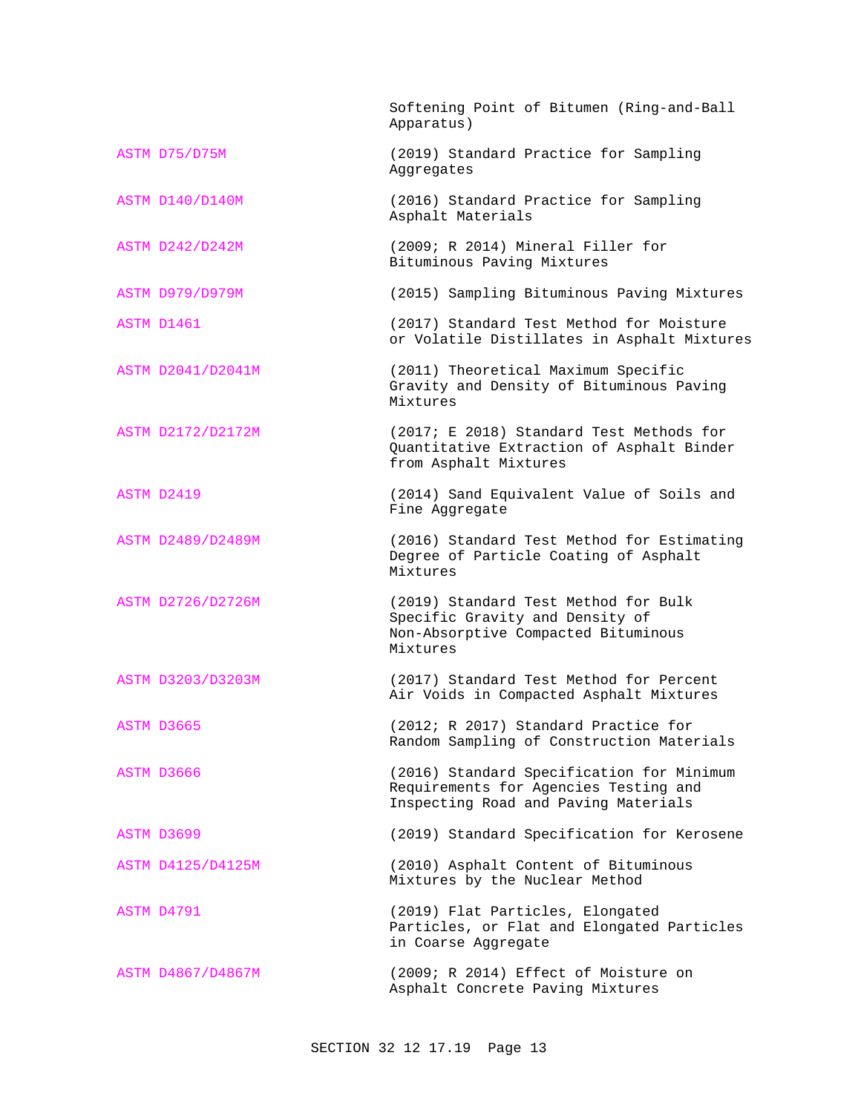|                        | Softening Point of Bitumen (Ring-and-Ball<br>Apparatus)                                                                    |
|------------------------|----------------------------------------------------------------------------------------------------------------------------|
| ASTM D75/D75M          | (2019) Standard Practice for Sampling<br>Aggregates                                                                        |
| <b>ASTM D140/D140M</b> | (2016) Standard Practice for Sampling<br>Asphalt Materials                                                                 |
| <b>ASTM D242/D242M</b> | (2009; R 2014) Mineral Filler for<br>Bituminous Paving Mixtures                                                            |
| ASTM D979/D979M        | (2015) Sampling Bituminous Paving Mixtures                                                                                 |
| ASTM D1461             | (2017) Standard Test Method for Moisture<br>or Volatile Distillates in Asphalt Mixtures                                    |
| ASTM D2041/D2041M      | (2011) Theoretical Maximum Specific<br>Gravity and Density of Bituminous Paving<br>Mixtures                                |
| ASTM D2172/D2172M      | (2017; E 2018) Standard Test Methods for<br>Quantitative Extraction of Asphalt Binder<br>from Asphalt Mixtures             |
| ASTM D2419             | (2014) Sand Equivalent Value of Soils and<br>Fine Aggregate                                                                |
| ASTM D2489/D2489M      | (2016) Standard Test Method for Estimating<br>Degree of Particle Coating of Asphalt<br>Mixtures                            |
| ASTM D2726/D2726M      | (2019) Standard Test Method for Bulk<br>Specific Gravity and Density of<br>Non-Absorptive Compacted Bituminous<br>Mixtures |
| ASTM D3203/D3203M      | (2017) Standard Test Method for Percent<br>Air Voids in Compacted Asphalt Mixtures                                         |
| ASTM D3665             | (2012; R 2017) Standard Practice for<br>Random Sampling of Construction Materials                                          |
| ASTM D3666             | (2016) Standard Specification for Minimum<br>Requirements for Agencies Testing and<br>Inspecting Road and Paving Materials |
| ASTM D3699             | (2019) Standard Specification for Kerosene                                                                                 |
| ASTM D4125/D4125M      | (2010) Asphalt Content of Bituminous<br>Mixtures by the Nuclear Method                                                     |
| ASTM D4791             | (2019) Flat Particles, Elongated<br>Particles, or Flat and Elongated Particles<br>in Coarse Aggregate                      |
| ASTM D4867/D4867M      | (2009; R 2014) Effect of Moisture on<br>Asphalt Concrete Paving Mixtures                                                   |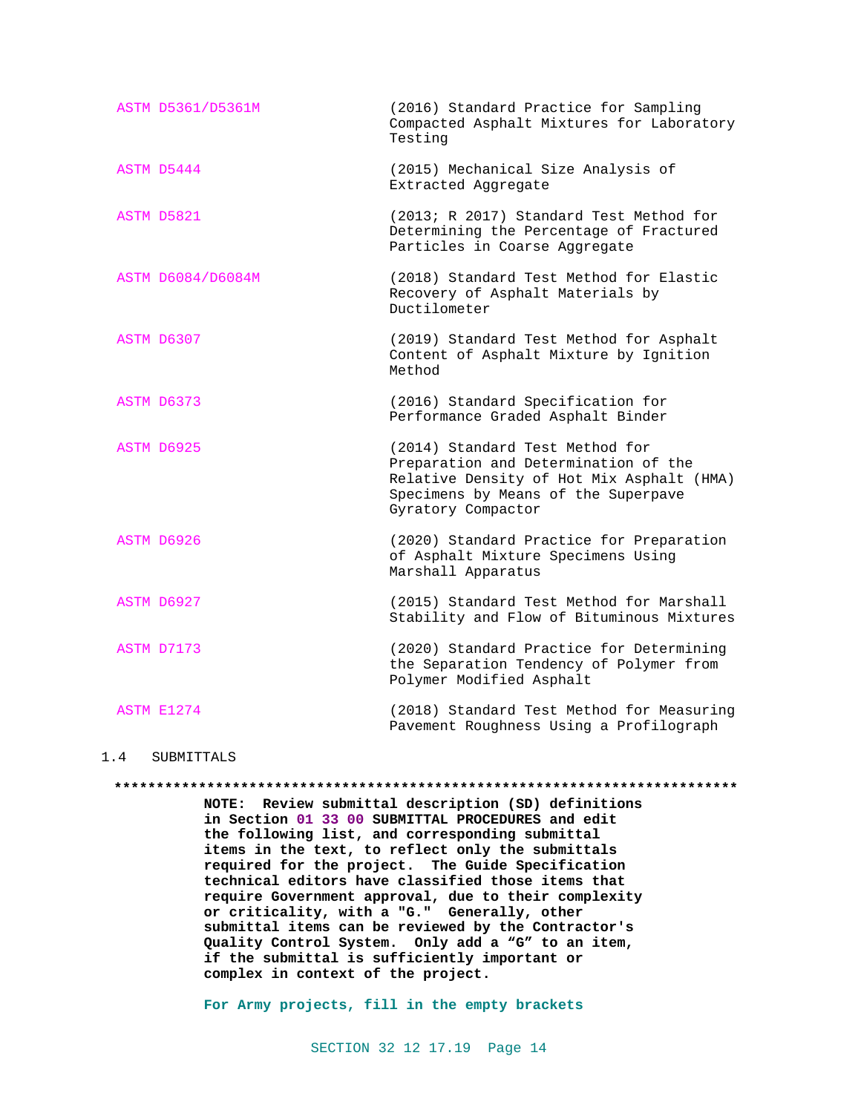| ASTM D5361/D5361M | (2016) Standard Practice for Sampling<br>Compacted Asphalt Mixtures for Laboratory<br>Testing                                                                                     |
|-------------------|-----------------------------------------------------------------------------------------------------------------------------------------------------------------------------------|
| ASTM D5444        | (2015) Mechanical Size Analysis of<br>Extracted Aggregate                                                                                                                         |
| ASTM D5821        | (2013; R 2017) Standard Test Method for<br>Determining the Percentage of Fractured<br>Particles in Coarse Aggregate                                                               |
| ASTM D6084/D6084M | (2018) Standard Test Method for Elastic<br>Recovery of Asphalt Materials by<br>Ductilometer                                                                                       |
| ASTM D6307        | (2019) Standard Test Method for Asphalt<br>Content of Asphalt Mixture by Ignition<br>Method                                                                                       |
| ASTM D6373        | (2016) Standard Specification for<br>Performance Graded Asphalt Binder                                                                                                            |
| ASTM D6925        | (2014) Standard Test Method for<br>Preparation and Determination of the<br>Relative Density of Hot Mix Asphalt (HMA)<br>Specimens by Means of the Superpave<br>Gyratory Compactor |
| ASTM D6926        | (2020) Standard Practice for Preparation<br>of Asphalt Mixture Specimens Using<br>Marshall Apparatus                                                                              |
| ASTM D6927        | (2015) Standard Test Method for Marshall<br>Stability and Flow of Bituminous Mixtures                                                                                             |
| ASTM D7173        | (2020) Standard Practice for Determining<br>the Separation Tendency of Polymer from<br>Polymer Modified Asphalt                                                                   |
| ASTM E1274        | (2018) Standard Test Method for Measuring<br>Pavement Roughness Using a Profilograph                                                                                              |

### 1.4 SUBMITTALS

#### **\*\*\*\*\*\*\*\*\*\*\*\*\*\*\*\*\*\*\*\*\*\*\*\*\*\*\*\*\*\*\*\*\*\*\*\*\*\*\*\*\*\*\*\*\*\*\*\*\*\*\*\*\*\*\*\*\*\*\*\*\*\*\*\*\*\*\*\*\*\*\*\*\*\***

**NOTE: Review submittal description (SD) definitions in Section 01 33 00 SUBMITTAL PROCEDURES and edit the following list, and corresponding submittal items in the text, to reflect only the submittals required for the project. The Guide Specification technical editors have classified those items that require Government approval, due to their complexity or criticality, with a "G." Generally, other submittal items can be reviewed by the Contractor's Quality Control System. Only add a "G" to an item, if the submittal is sufficiently important or complex in context of the project.**

**For Army projects, fill in the empty brackets**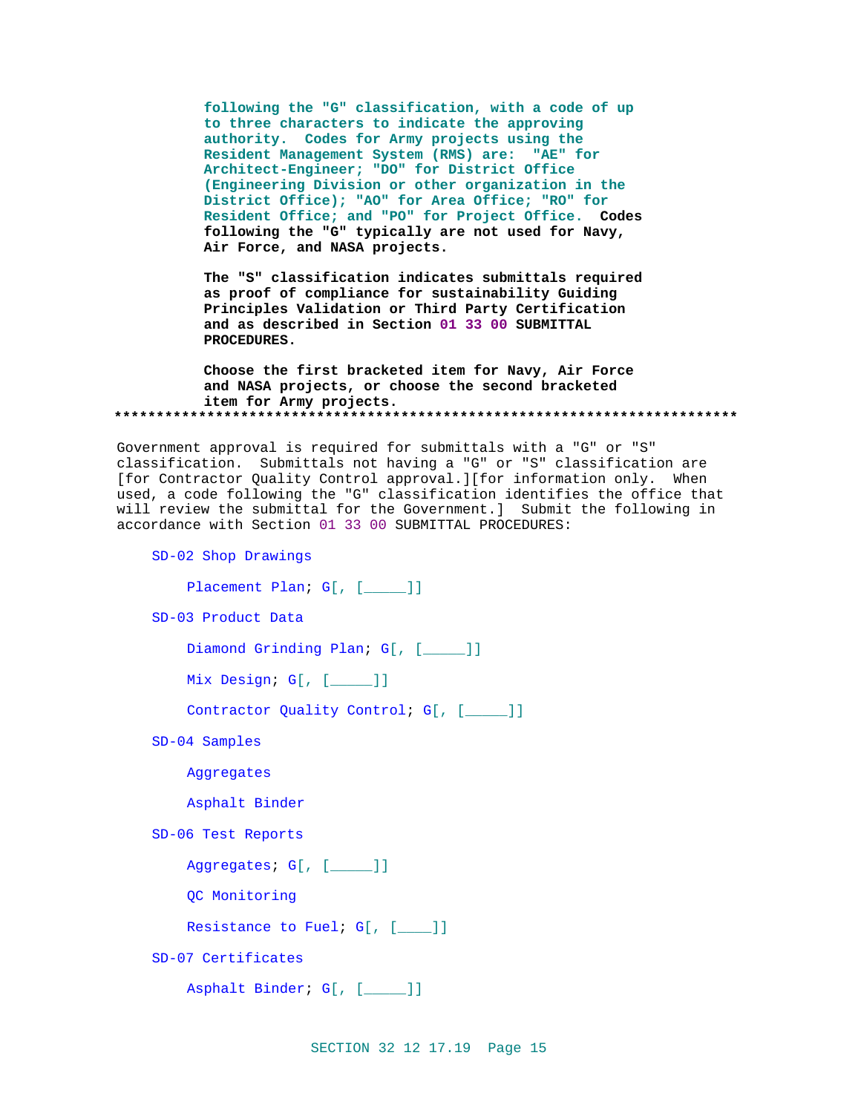**following the "G" classification, with a code of up to three characters to indicate the approving authority. Codes for Army projects using the Resident Management System (RMS) are: "AE" for Architect-Engineer; "DO" for District Office (Engineering Division or other organization in the District Office); "AO" for Area Office; "RO" for Resident Office; and "PO" for Project Office. Codes following the "G" typically are not used for Navy, Air Force, and NASA projects.**

**The "S" classification indicates submittals required as proof of compliance for sustainability Guiding Principles Validation or Third Party Certification and as described in Section 01 33 00 SUBMITTAL PROCEDURES.**

**Choose the first bracketed item for Navy, Air Force and NASA projects, or choose the second bracketed item for Army projects. \*\*\*\*\*\*\*\*\*\*\*\*\*\*\*\*\*\*\*\*\*\*\*\*\*\*\*\*\*\*\*\*\*\*\*\*\*\*\*\*\*\*\*\*\*\*\*\*\*\*\*\*\*\*\*\*\*\*\*\*\*\*\*\*\*\*\*\*\*\*\*\*\*\***

Government approval is required for submittals with a "G" or "S" classification. Submittals not having a "G" or "S" classification are [for Contractor Quality Control approval.][for information only. When used, a code following the "G" classification identifies the office that will review the submittal for the Government.] Submit the following in accordance with Section 01 33 00 SUBMITTAL PROCEDURES:

SD-02 Shop Drawings

```
Placement Plan; G[, [____]]
```
SD-03 Product Data

```
Diamond Grinding Plan; G[, [____]]
```
Mix Design; G[, [\_\_\_\_\_]]

Contractor Quality Control; G[, [\_\_\_\_]]

SD-04 Samples

Aggregates

Asphalt Binder

SD-06 Test Reports

Aggregates; G[, [\_\_\_\_\_]]

QC Monitoring

Resistance to Fuel; G[, [\_\_\_]]

SD-07 Certificates

```
Asphalt Binder; G[, [_____]]
```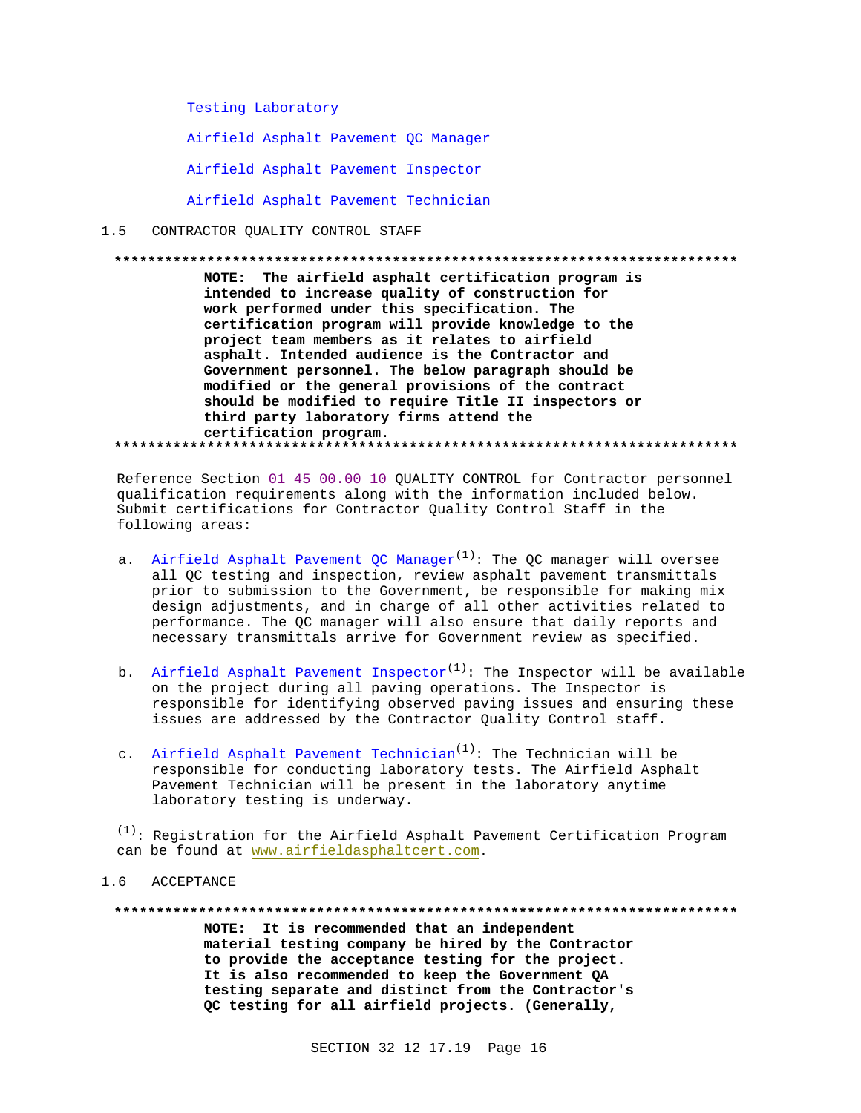Testing Laboratory

Airfield Asphalt Pavement QC Manager

Airfield Asphalt Pavement Inspector

Airfield Asphalt Pavement Technician

#### $1.5$ CONTRACTOR QUALITY CONTROL STAFF

NOTE: The airfield asphalt certification program is intended to increase quality of construction for work performed under this specification. The certification program will provide knowledge to the project team members as it relates to airfield asphalt. Intended audience is the Contractor and Government personnel. The below paragraph should be modified or the general provisions of the contract should be modified to require Title II inspectors or third party laboratory firms attend the certification program. 

Reference Section 01 45 00.00 10 OUALITY CONTROL for Contractor personnel qualification requirements along with the information included below. Submit certifications for Contractor Quality Control Staff in the following areas:

- a. Airfield Asphalt Pavement OC Manager<sup>(1)</sup>: The OC manager will oversee all QC testing and inspection, review asphalt pavement transmittals prior to submission to the Government, be responsible for making mix design adjustments, and in charge of all other activities related to performance. The QC manager will also ensure that daily reports and necessary transmittals arrive for Government review as specified.
- b. Airfield Asphalt Pavement Inspector<sup>(1)</sup>: The Inspector will be available on the project during all paving operations. The Inspector is responsible for identifying observed paving issues and ensuring these issues are addressed by the Contractor Quality Control staff.
- c. Airfield Asphalt Pavement Technician<sup>(1)</sup>: The Technician will be responsible for conducting laboratory tests. The Airfield Asphalt Pavement Technician will be present in the laboratory anytime laboratory testing is underway.

 $(1)$ : Reqistration for the Airfield Asphalt Pavement Certification Program can be found at www.airfieldasphaltcert.com.

#### 1.6 ACCEPTANCE

NOTE: It is recommended that an independent material testing company be hired by the Contractor to provide the acceptance testing for the project. It is also recommended to keep the Government QA testing separate and distinct from the Contractor's QC testing for all airfield projects. (Generally,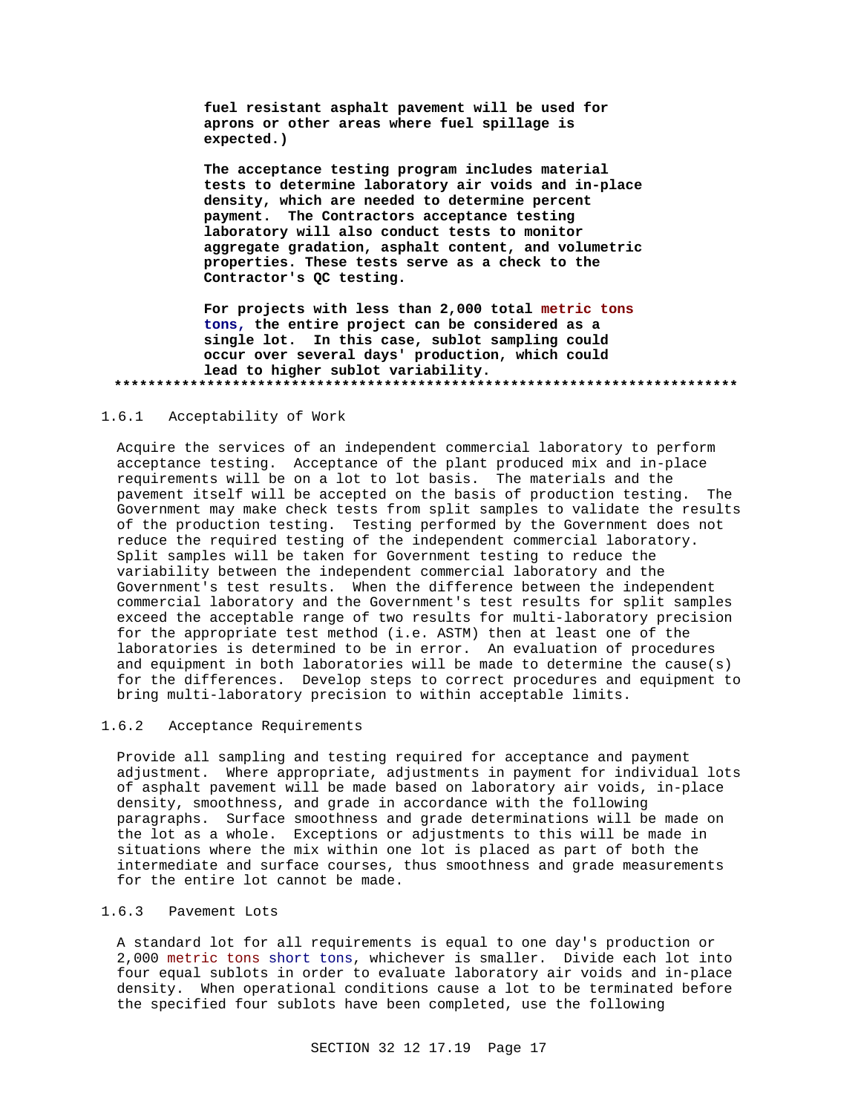**fuel resistant asphalt pavement will be used for aprons or other areas where fuel spillage is expected.)**

**The acceptance testing program includes material tests to determine laboratory air voids and in-place density, which are needed to determine percent payment. The Contractors acceptance testing laboratory will also conduct tests to monitor aggregate gradation, asphalt content, and volumetric properties. These tests serve as a check to the Contractor's QC testing.**

**For projects with less than 2,000 total metric tons tons, the entire project can be considered as a single lot. In this case, sublot sampling could occur over several days' production, which could lead to higher sublot variability. \*\*\*\*\*\*\*\*\*\*\*\*\*\*\*\*\*\*\*\*\*\*\*\*\*\*\*\*\*\*\*\*\*\*\*\*\*\*\*\*\*\*\*\*\*\*\*\*\*\*\*\*\*\*\*\*\*\*\*\*\*\*\*\*\*\*\*\*\*\*\*\*\*\***

### 1.6.1 Acceptability of Work

Acquire the services of an independent commercial laboratory to perform acceptance testing. Acceptance of the plant produced mix and in-place requirements will be on a lot to lot basis. The materials and the pavement itself will be accepted on the basis of production testing. The Government may make check tests from split samples to validate the results of the production testing. Testing performed by the Government does not reduce the required testing of the independent commercial laboratory. Split samples will be taken for Government testing to reduce the variability between the independent commercial laboratory and the Government's test results. When the difference between the independent commercial laboratory and the Government's test results for split samples exceed the acceptable range of two results for multi-laboratory precision for the appropriate test method (i.e. ASTM) then at least one of the laboratories is determined to be in error. An evaluation of procedures and equipment in both laboratories will be made to determine the cause(s) for the differences. Develop steps to correct procedures and equipment to bring multi-laboratory precision to within acceptable limits.

### 1.6.2 Acceptance Requirements

Provide all sampling and testing required for acceptance and payment adjustment. Where appropriate, adjustments in payment for individual lots of asphalt pavement will be made based on laboratory air voids, in-place density, smoothness, and grade in accordance with the following paragraphs. Surface smoothness and grade determinations will be made on the lot as a whole. Exceptions or adjustments to this will be made in situations where the mix within one lot is placed as part of both the intermediate and surface courses, thus smoothness and grade measurements for the entire lot cannot be made.

## 1.6.3 Pavement Lots

A standard lot for all requirements is equal to one day's production or 2,000 metric tons short tons, whichever is smaller. Divide each lot into four equal sublots in order to evaluate laboratory air voids and in-place density. When operational conditions cause a lot to be terminated before the specified four sublots have been completed, use the following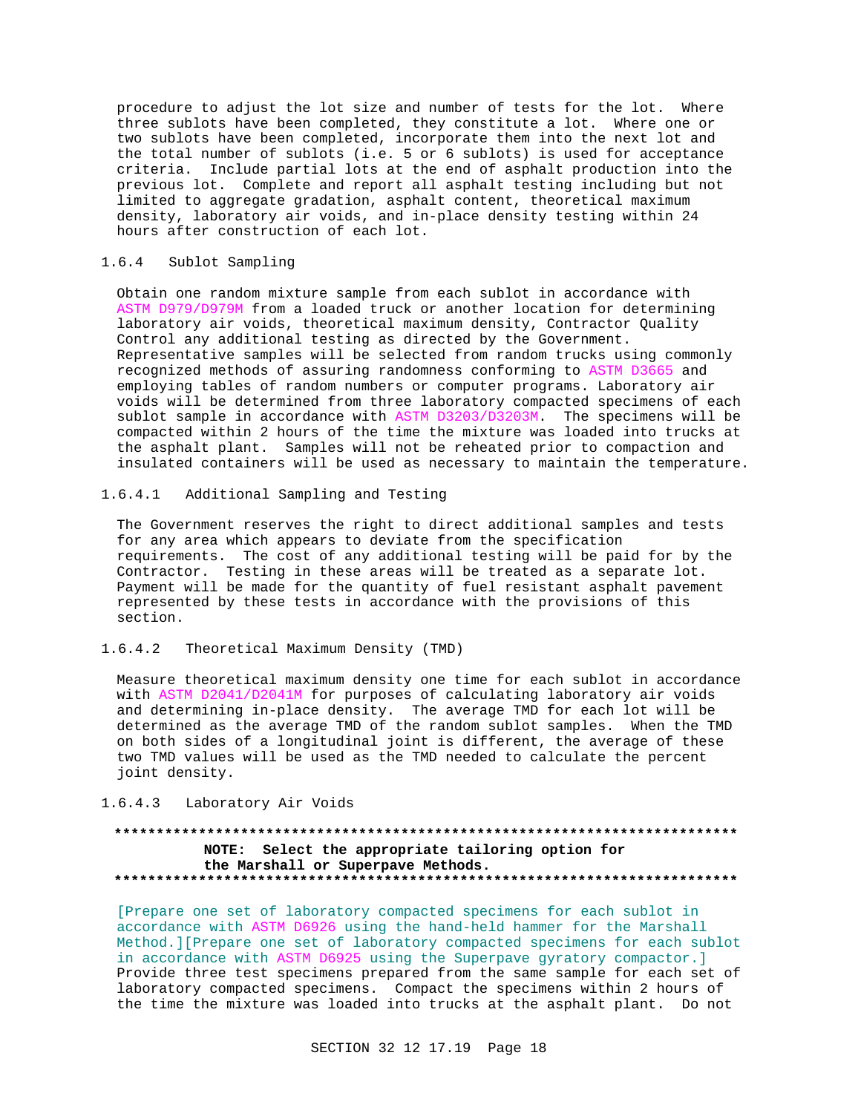procedure to adjust the lot size and number of tests for the lot. Where three sublots have been completed, they constitute a lot. Where one or two sublots have been completed, incorporate them into the next lot and the total number of sublots (i.e. 5 or 6 sublots) is used for acceptance criteria. Include partial lots at the end of asphalt production into the previous lot. Complete and report all asphalt testing including but not limited to aggregate gradation, asphalt content, theoretical maximum density, laboratory air voids, and in-place density testing within 24 hours after construction of each lot.

### 1.6.4 Sublot Sampling

Obtain one random mixture sample from each sublot in accordance with ASTM D979/D979M from a loaded truck or another location for determining laboratory air voids, theoretical maximum density, Contractor Quality Control any additional testing as directed by the Government. Representative samples will be selected from random trucks using commonly recognized methods of assuring randomness conforming to ASTM D3665 and employing tables of random numbers or computer programs. Laboratory air voids will be determined from three laboratory compacted specimens of each sublot sample in accordance with ASTM D3203/D3203M. The specimens will be compacted within 2 hours of the time the mixture was loaded into trucks at the asphalt plant. Samples will not be reheated prior to compaction and insulated containers will be used as necessary to maintain the temperature.

## 1.6.4.1 Additional Sampling and Testing

The Government reserves the right to direct additional samples and tests for any area which appears to deviate from the specification requirements. The cost of any additional testing will be paid for by the Contractor. Testing in these areas will be treated as a separate lot. Payment will be made for the quantity of fuel resistant asphalt pavement represented by these tests in accordance with the provisions of this section.

## 1.6.4.2 Theoretical Maximum Density (TMD)

Measure theoretical maximum density one time for each sublot in accordance with ASTM D2041/D2041M for purposes of calculating laboratory air voids and determining in-place density. The average TMD for each lot will be determined as the average TMD of the random sublot samples. When the TMD on both sides of a longitudinal joint is different, the average of these two TMD values will be used as the TMD needed to calculate the percent joint density.

## 1.6.4.3 Laboratory Air Voids

## **\*\*\*\*\*\*\*\*\*\*\*\*\*\*\*\*\*\*\*\*\*\*\*\*\*\*\*\*\*\*\*\*\*\*\*\*\*\*\*\*\*\*\*\*\*\*\*\*\*\*\*\*\*\*\*\*\*\*\*\*\*\*\*\*\*\*\*\*\*\*\*\*\*\* NOTE: Select the appropriate tailoring option for the Marshall or Superpave Methods. \*\*\*\*\*\*\*\*\*\*\*\*\*\*\*\*\*\*\*\*\*\*\*\*\*\*\*\*\*\*\*\*\*\*\*\*\*\*\*\*\*\*\*\*\*\*\*\*\*\*\*\*\*\*\*\*\*\*\*\*\*\*\*\*\*\*\*\*\*\*\*\*\*\***

[Prepare one set of laboratory compacted specimens for each sublot in accordance with ASTM D6926 using the hand-held hammer for the Marshall Method.][Prepare one set of laboratory compacted specimens for each sublot in accordance with ASTM D6925 using the Superpave gyratory compactor.] Provide three test specimens prepared from the same sample for each set of laboratory compacted specimens. Compact the specimens within 2 hours of the time the mixture was loaded into trucks at the asphalt plant. Do not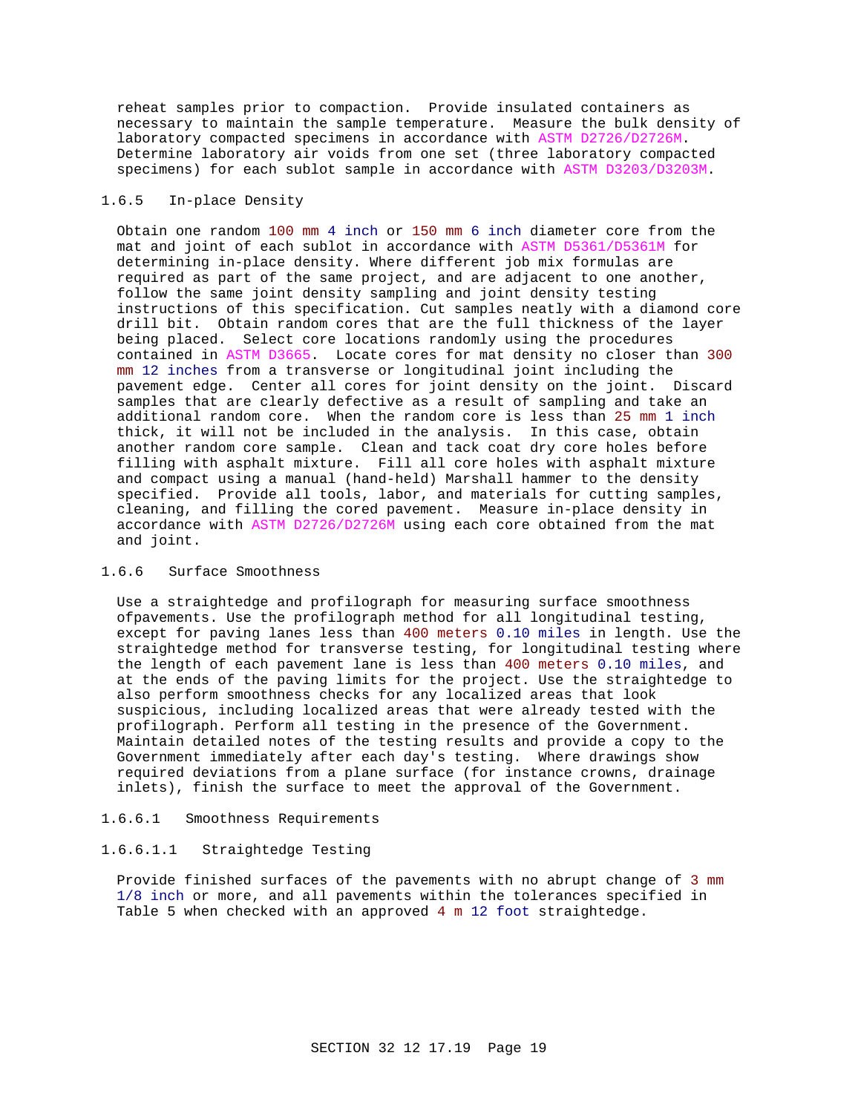reheat samples prior to compaction. Provide insulated containers as necessary to maintain the sample temperature. Measure the bulk density of laboratory compacted specimens in accordance with ASTM D2726/D2726M. Determine laboratory air voids from one set (three laboratory compacted specimens) for each sublot sample in accordance with ASTM D3203/D3203M.

## 1.6.5 In-place Density

Obtain one random 100 mm 4 inch or 150 mm 6 inch diameter core from the mat and joint of each sublot in accordance with ASTM D5361/D5361M for determining in-place density. Where different job mix formulas are required as part of the same project, and are adjacent to one another, follow the same joint density sampling and joint density testing instructions of this specification. Cut samples neatly with a diamond core drill bit. Obtain random cores that are the full thickness of the layer being placed. Select core locations randomly using the procedures contained in ASTM D3665. Locate cores for mat density no closer than 300 mm 12 inches from a transverse or longitudinal joint including the pavement edge. Center all cores for joint density on the joint. Discard samples that are clearly defective as a result of sampling and take an additional random core. When the random core is less than 25 mm 1 inch thick, it will not be included in the analysis. In this case, obtain another random core sample. Clean and tack coat dry core holes before filling with asphalt mixture. Fill all core holes with asphalt mixture and compact using a manual (hand-held) Marshall hammer to the density specified. Provide all tools, labor, and materials for cutting samples, cleaning, and filling the cored pavement. Measure in-place density in accordance with ASTM D2726/D2726M using each core obtained from the mat and joint.

### 1.6.6 Surface Smoothness

Use a straightedge and profilograph for measuring surface smoothness ofpavements. Use the profilograph method for all longitudinal testing, except for paving lanes less than 400 meters 0.10 miles in length. Use the straightedge method for transverse testing, for longitudinal testing where the length of each pavement lane is less than 400 meters 0.10 miles, and at the ends of the paving limits for the project. Use the straightedge to also perform smoothness checks for any localized areas that look suspicious, including localized areas that were already tested with the profilograph. Perform all testing in the presence of the Government. Maintain detailed notes of the testing results and provide a copy to the Government immediately after each day's testing. Where drawings show required deviations from a plane surface (for instance crowns, drainage inlets), finish the surface to meet the approval of the Government.

#### 1.6.6.1 Smoothness Requirements

#### 1.6.6.1.1 Straightedge Testing

Provide finished surfaces of the pavements with no abrupt change of 3 mm 1/8 inch or more, and all pavements within the tolerances specified in Table 5 when checked with an approved 4 m 12 foot straightedge.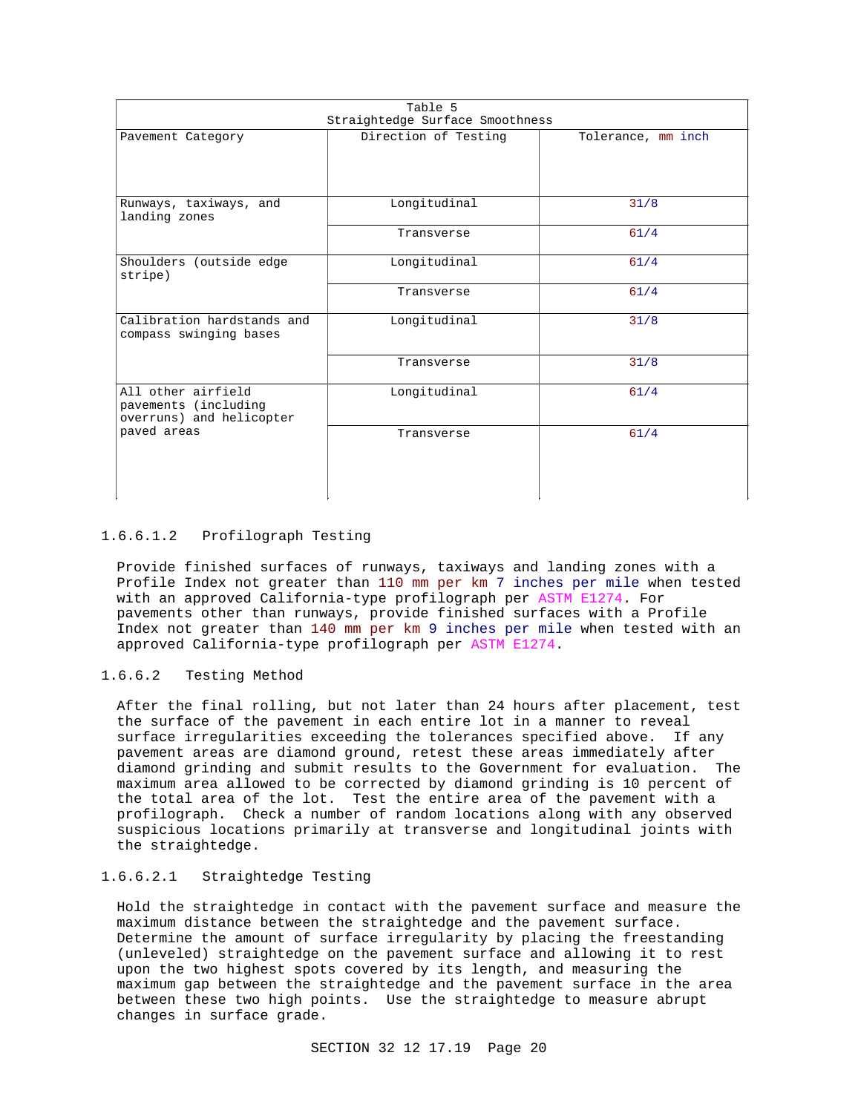| Table 5<br>Straightedge Surface Smoothness                             |                      |                    |
|------------------------------------------------------------------------|----------------------|--------------------|
| Pavement Category                                                      | Direction of Testing | Tolerance, mm inch |
| Runways, taxiways, and<br>landing zones                                | Longitudinal         | 31/8               |
|                                                                        | Transverse           | $61/4$             |
| Shoulders (outside edge<br>stripe)                                     | Longitudinal         | $61/4$             |
|                                                                        | Transverse           | $61/4$             |
| Calibration hardstands and<br>compass swinging bases                   | Longitudinal         | 31/8               |
|                                                                        | Transverse           | 31/8               |
| All other airfield<br>pavements (including<br>overruns) and helicopter | Longitudinal         | $61/4$             |
| paved areas                                                            | Transverse           | $61/4$             |

## 1.6.6.1.2 Profilograph Testing

Provide finished surfaces of runways, taxiways and landing zones with a Profile Index not greater than 110 mm per km 7 inches per mile when tested with an approved California-type profilograph per ASTM E1274. For pavements other than runways, provide finished surfaces with a Profile Index not greater than 140 mm per km 9 inches per mile when tested with an approved California-type profilograph per ASTM E1274.

### 1.6.6.2 Testing Method

After the final rolling, but not later than 24 hours after placement, test the surface of the pavement in each entire lot in a manner to reveal surface irregularities exceeding the tolerances specified above. If any pavement areas are diamond ground, retest these areas immediately after diamond grinding and submit results to the Government for evaluation. The maximum area allowed to be corrected by diamond grinding is 10 percent of the total area of the lot. Test the entire area of the pavement with a profilograph. Check a number of random locations along with any observed suspicious locations primarily at transverse and longitudinal joints with the straightedge.

## 1.6.6.2.1 Straightedge Testing

Hold the straightedge in contact with the pavement surface and measure the maximum distance between the straightedge and the pavement surface. Determine the amount of surface irregularity by placing the freestanding (unleveled) straightedge on the pavement surface and allowing it to rest upon the two highest spots covered by its length, and measuring the maximum gap between the straightedge and the pavement surface in the area between these two high points. Use the straightedge to measure abrupt changes in surface grade.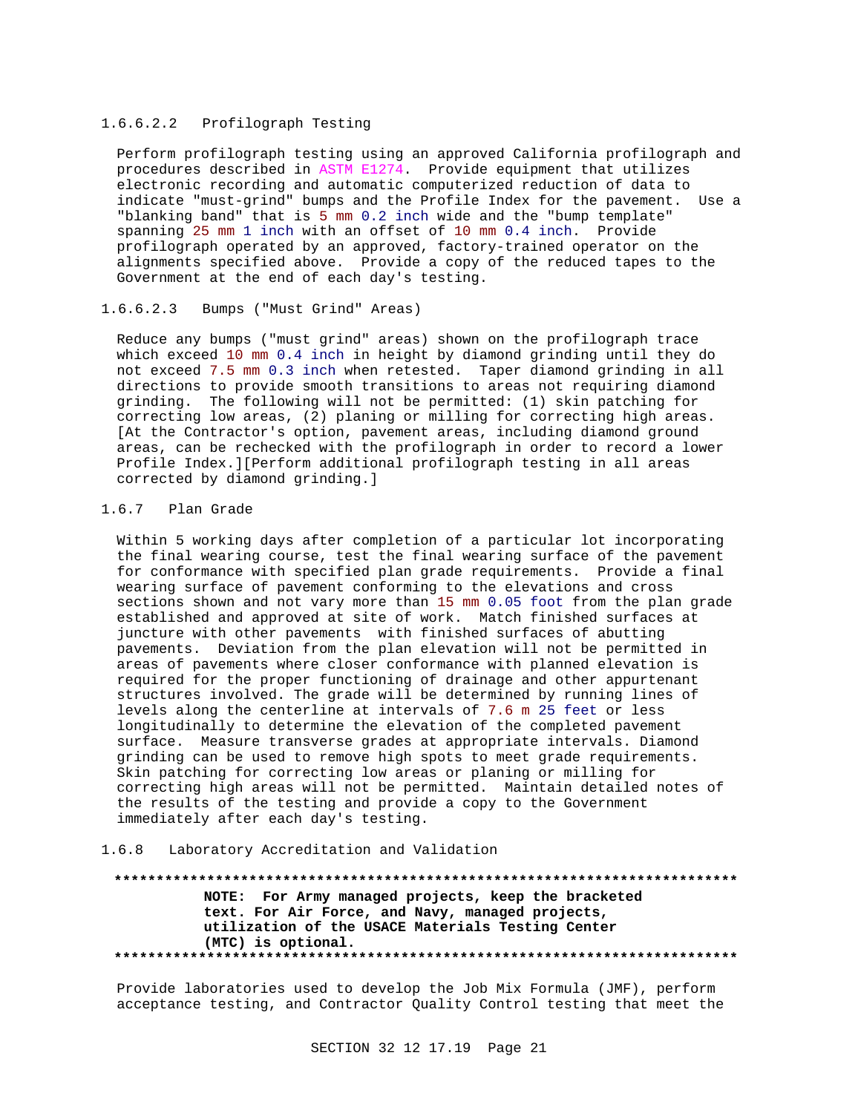### 1.6.6.2.2 Profilograph Testing

Perform profilograph testing using an approved California profilograph and procedures described in ASTM E1274. Provide equipment that utilizes electronic recording and automatic computerized reduction of data to indicate "must-grind" bumps and the Profile Index for the pavement. Use a "blanking band" that is 5 mm 0.2 inch wide and the "bump template" spanning 25 mm 1 inch with an offset of 10 mm 0.4 inch. Provide profilograph operated by an approved, factory-trained operator on the alignments specified above. Provide a copy of the reduced tapes to the Government at the end of each day's testing.

### 1.6.6.2.3 Bumps ("Must Grind" Areas)

Reduce any bumps ("must grind" areas) shown on the profilograph trace which exceed 10 mm 0.4 inch in height by diamond grinding until they do not exceed 7.5 mm 0.3 inch when retested. Taper diamond grinding in all directions to provide smooth transitions to areas not requiring diamond grinding. The following will not be permitted: (1) skin patching for correcting low areas, (2) planing or milling for correcting high areas. [At the Contractor's option, pavement areas, including diamond ground areas, can be rechecked with the profilograph in order to record a lower Profile Index.][Perform additional profilograph testing in all areas corrected by diamond grinding.]

## 1.6.7 Plan Grade

Within 5 working days after completion of a particular lot incorporating the final wearing course, test the final wearing surface of the pavement for conformance with specified plan grade requirements. Provide a final wearing surface of pavement conforming to the elevations and cross sections shown and not vary more than 15 mm 0.05 foot from the plan grade established and approved at site of work. Match finished surfaces at juncture with other pavements with finished surfaces of abutting pavements. Deviation from the plan elevation will not be permitted in areas of pavements where closer conformance with planned elevation is required for the proper functioning of drainage and other appurtenant structures involved. The grade will be determined by running lines of levels along the centerline at intervals of 7.6 m 25 feet or less longitudinally to determine the elevation of the completed pavement surface. Measure transverse grades at appropriate intervals. Diamond grinding can be used to remove high spots to meet grade requirements. Skin patching for correcting low areas or planing or milling for correcting high areas will not be permitted. Maintain detailed notes of the results of the testing and provide a copy to the Government immediately after each day's testing.

## 1.6.8 Laboratory Accreditation and Validation

**\*\*\*\*\*\*\*\*\*\*\*\*\*\*\*\*\*\*\*\*\*\*\*\*\*\*\*\*\*\*\*\*\*\*\*\*\*\*\*\*\*\*\*\*\*\*\*\*\*\*\*\*\*\*\*\*\*\*\*\*\*\*\*\*\*\*\*\*\*\*\*\*\*\* NOTE: For Army managed projects, keep the bracketed text. For Air Force, and Navy, managed projects, utilization of the USACE Materials Testing Center (MTC) is optional. \*\*\*\*\*\*\*\*\*\*\*\*\*\*\*\*\*\*\*\*\*\*\*\*\*\*\*\*\*\*\*\*\*\*\*\*\*\*\*\*\*\*\*\*\*\*\*\*\*\*\*\*\*\*\*\*\*\*\*\*\*\*\*\*\*\*\*\*\*\*\*\*\*\***

Provide laboratories used to develop the Job Mix Formula (JMF), perform acceptance testing, and Contractor Quality Control testing that meet the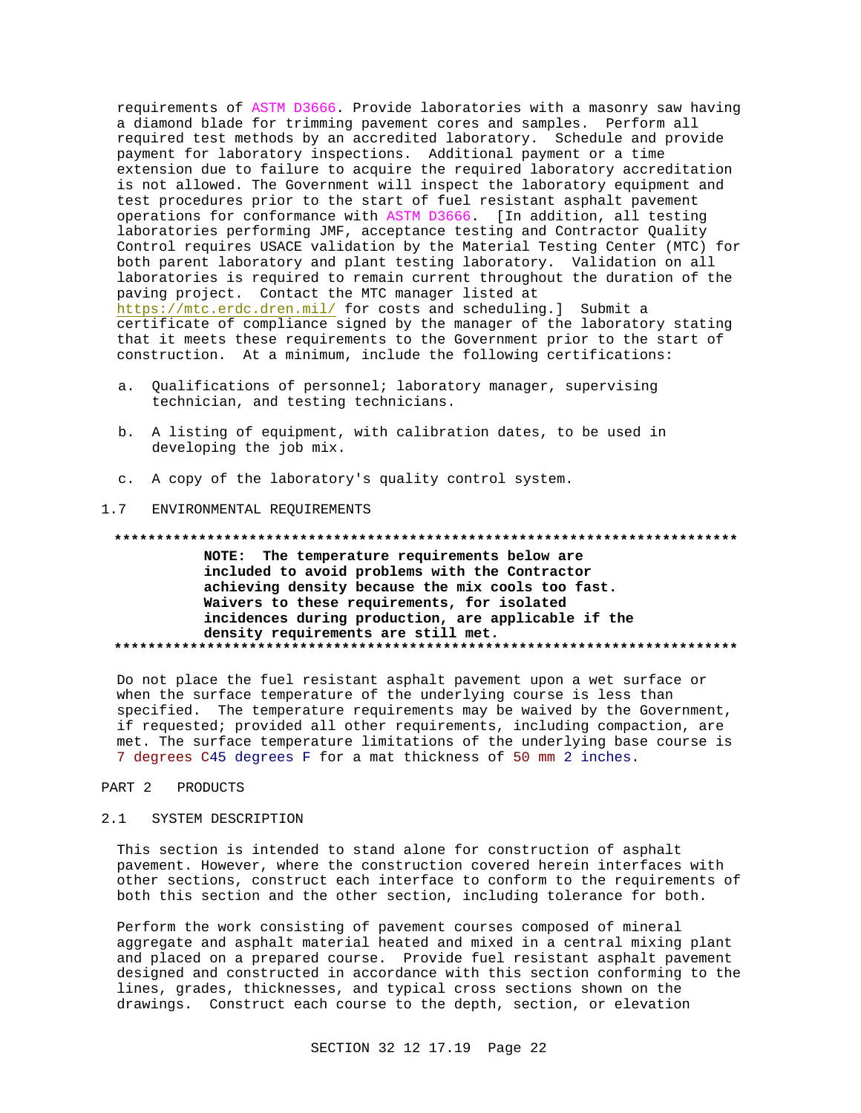requirements of ASTM D3666. Provide laboratories with a masonry saw having a diamond blade for trimming pavement cores and samples. Perform all required test methods by an accredited laboratory. Schedule and provide payment for laboratory inspections. Additional payment or a time extension due to failure to acquire the required laboratory accreditation is not allowed. The Government will inspect the laboratory equipment and test procedures prior to the start of fuel resistant asphalt pavement operations for conformance with ASTM D3666. [In addition, all testing laboratories performing JMF, acceptance testing and Contractor Quality Control requires USACE validation by the Material Testing Center (MTC) for both parent laboratory and plant testing laboratory. Validation on all laboratories is required to remain current throughout the duration of the paving project. Contact the MTC manager listed at https://mtc.erdc.dren.mil/ for costs and scheduling.] Submit a certificate of compliance signed by the manager of the laboratory stating that it meets these requirements to the Government prior to the start of construction. At a minimum, include the following certifications:

- a. Qualifications of personnel; laboratory manager, supervising technician, and testing technicians.
- b. A listing of equipment, with calibration dates, to be used in developing the job mix.
- c. A copy of the laboratory's quality control system.

#### $1.7$ ENVIRONMENTAL REQUIREMENTS

#### 

NOTE: The temperature requirements below are included to avoid problems with the Contractor achieving density because the mix cools too fast. Waivers to these requirements, for isolated incidences during production, are applicable if the density requirements are still met. 

Do not place the fuel resistant asphalt pavement upon a wet surface or when the surface temperature of the underlying course is less than specified. The temperature requirements may be waived by the Government, if requested; provided all other requirements, including compaction, are met. The surface temperature limitations of the underlying base course is 7 degrees C45 degrees F for a mat thickness of 50 mm 2 inches.

#### PART 2 PRODUCTS

#### $2.1$ SYSTEM DESCRIPTION

This section is intended to stand alone for construction of asphalt pavement. However, where the construction covered herein interfaces with other sections, construct each interface to conform to the requirements of both this section and the other section, including tolerance for both.

Perform the work consisting of pavement courses composed of mineral aggregate and asphalt material heated and mixed in a central mixing plant and placed on a prepared course. Provide fuel resistant asphalt pavement designed and constructed in accordance with this section conforming to the lines, grades, thicknesses, and typical cross sections shown on the drawings. Construct each course to the depth, section, or elevation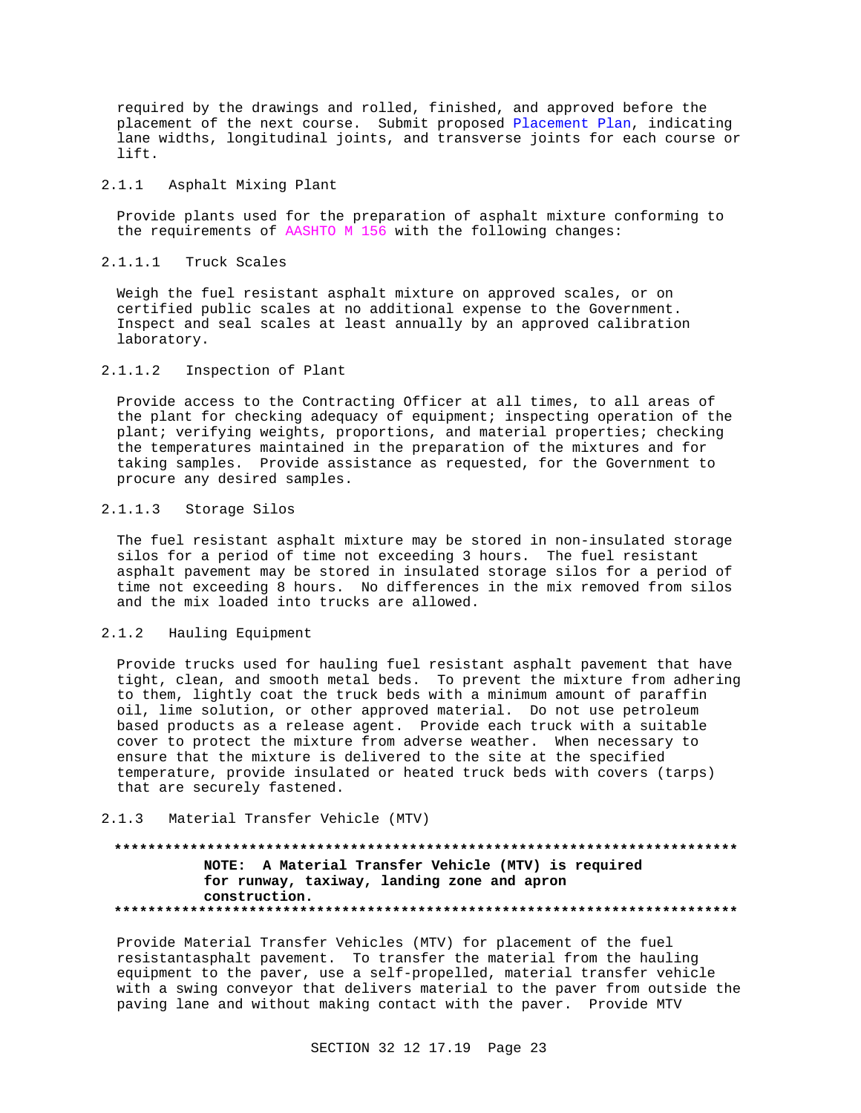required by the drawings and rolled, finished, and approved before the placement of the next course. Submit proposed Placement Plan, indicating lane widths, longitudinal joints, and transverse joints for each course or lift.

#### 2.1.1 Asphalt Mixing Plant

Provide plants used for the preparation of asphalt mixture conforming to the requirements of AASHTO M 156 with the following changes:

### 2.1.1.1 Truck Scales

Weigh the fuel resistant asphalt mixture on approved scales, or on certified public scales at no additional expense to the Government. Inspect and seal scales at least annually by an approved calibration laboratory.

### 2.1.1.2 Inspection of Plant

Provide access to the Contracting Officer at all times, to all areas of the plant for checking adequacy of equipment; inspecting operation of the plant; verifying weights, proportions, and material properties; checking the temperatures maintained in the preparation of the mixtures and for taking samples. Provide assistance as requested, for the Government to procure any desired samples.

### 2.1.1.3 Storage Silos

The fuel resistant asphalt mixture may be stored in non-insulated storage silos for a period of time not exceeding 3 hours. The fuel resistant asphalt pavement may be stored in insulated storage silos for a period of time not exceeding 8 hours. No differences in the mix removed from silos and the mix loaded into trucks are allowed.

### 2.1.2 Hauling Equipment

Provide trucks used for hauling fuel resistant asphalt pavement that have tight, clean, and smooth metal beds. To prevent the mixture from adhering to them, lightly coat the truck beds with a minimum amount of paraffin oil, lime solution, or other approved material. Do not use petroleum based products as a release agent. Provide each truck with a suitable cover to protect the mixture from adverse weather. When necessary to ensure that the mixture is delivered to the site at the specified temperature, provide insulated or heated truck beds with covers (tarps) that are securely fastened.

#### 2.1.3 Material Transfer Vehicle (MTV)

## **\*\*\*\*\*\*\*\*\*\*\*\*\*\*\*\*\*\*\*\*\*\*\*\*\*\*\*\*\*\*\*\*\*\*\*\*\*\*\*\*\*\*\*\*\*\*\*\*\*\*\*\*\*\*\*\*\*\*\*\*\*\*\*\*\*\*\*\*\*\*\*\*\*\* NOTE: A Material Transfer Vehicle (MTV) is required for runway, taxiway, landing zone and apron construction. \*\*\*\*\*\*\*\*\*\*\*\*\*\*\*\*\*\*\*\*\*\*\*\*\*\*\*\*\*\*\*\*\*\*\*\*\*\*\*\*\*\*\*\*\*\*\*\*\*\*\*\*\*\*\*\*\*\*\*\*\*\*\*\*\*\*\*\*\*\*\*\*\*\***

Provide Material Transfer Vehicles (MTV) for placement of the fuel resistantasphalt pavement. To transfer the material from the hauling equipment to the paver, use a self-propelled, material transfer vehicle with a swing conveyor that delivers material to the paver from outside the paving lane and without making contact with the paver. Provide MTV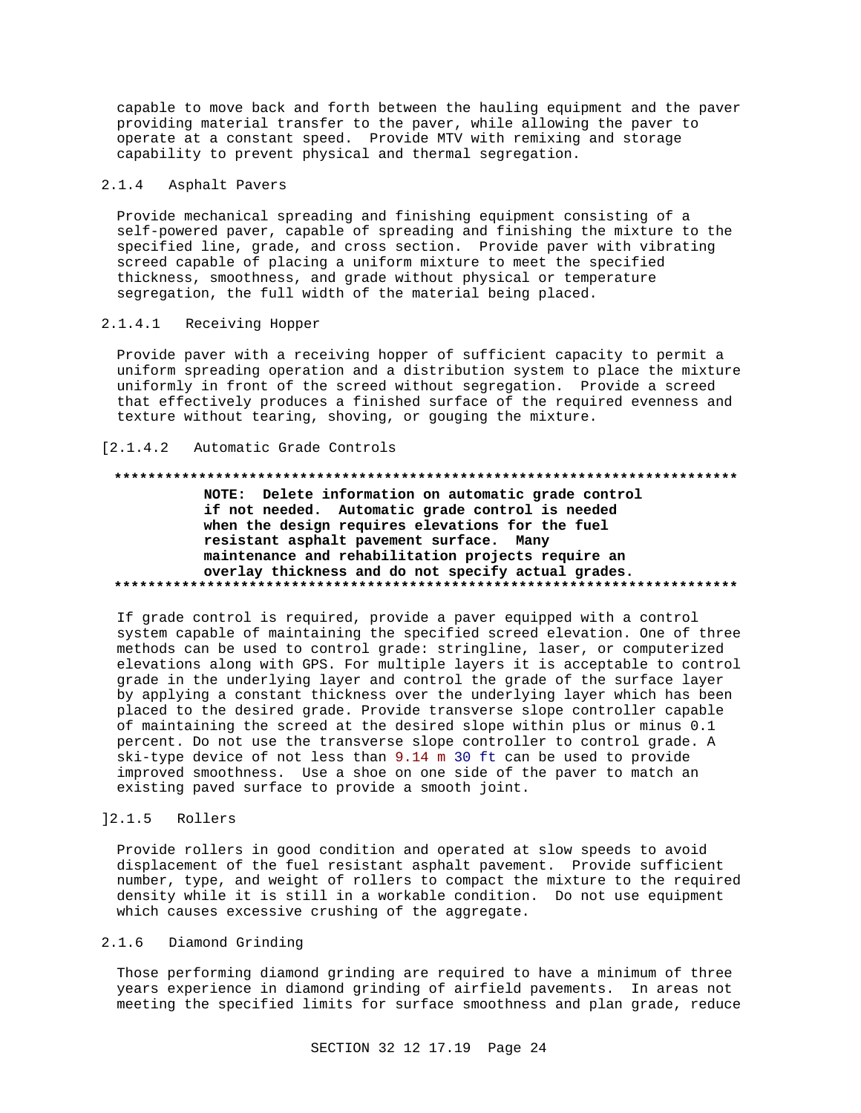capable to move back and forth between the hauling equipment and the paver providing material transfer to the paver, while allowing the paver to operate at a constant speed. Provide MTV with remixing and storage capability to prevent physical and thermal segregation.

#### $2.1.4$ Asphalt Pavers

Provide mechanical spreading and finishing equipment consisting of a self-powered paver, capable of spreading and finishing the mixture to the specified line, grade, and cross section. Provide paver with vibrating screed capable of placing a uniform mixture to meet the specified thickness, smoothness, and grade without physical or temperature segregation, the full width of the material being placed.

#### $2.1.4.1$ Receiving Hopper

Provide paver with a receiving hopper of sufficient capacity to permit a uniform spreading operation and a distribution system to place the mixture uniformly in front of the screed without segregation. Provide a screed that effectively produces a finished surface of the required evenness and texture without tearing, shoving, or gouging the mixture.

#### $[2.1.4.2]$ Automatic Grade Controls

## NOTE: Delete information on automatic grade control if not needed. Automatic grade control is needed when the design requires elevations for the fuel resistant asphalt pavement surface. Many maintenance and rehabilitation projects require an overlay thickness and do not specify actual grades.

If grade control is required, provide a paver equipped with a control system capable of maintaining the specified screed elevation. One of three methods can be used to control grade: stringline, laser, or computerized elevations along with GPS. For multiple layers it is acceptable to control grade in the underlying layer and control the grade of the surface layer by applying a constant thickness over the underlying layer which has been placed to the desired grade. Provide transverse slope controller capable of maintaining the screed at the desired slope within plus or minus 0.1 percent. Do not use the transverse slope controller to control grade. A ski-type device of not less than 9.14 m 30 ft can be used to provide improved smoothness. Use a shoe on one side of the paver to match an existing paved surface to provide a smooth joint.

#### $] 2.1.5$ Rollers

Provide rollers in good condition and operated at slow speeds to avoid displacement of the fuel resistant asphalt pavement. Provide sufficient number, type, and weight of rollers to compact the mixture to the required density while it is still in a workable condition. Do not use equipment which causes excessive crushing of the aggregate.

#### $2.1.6$ Diamond Grinding

Those performing diamond grinding are required to have a minimum of three years experience in diamond grinding of airfield pavements. In areas not meeting the specified limits for surface smoothness and plan grade, reduce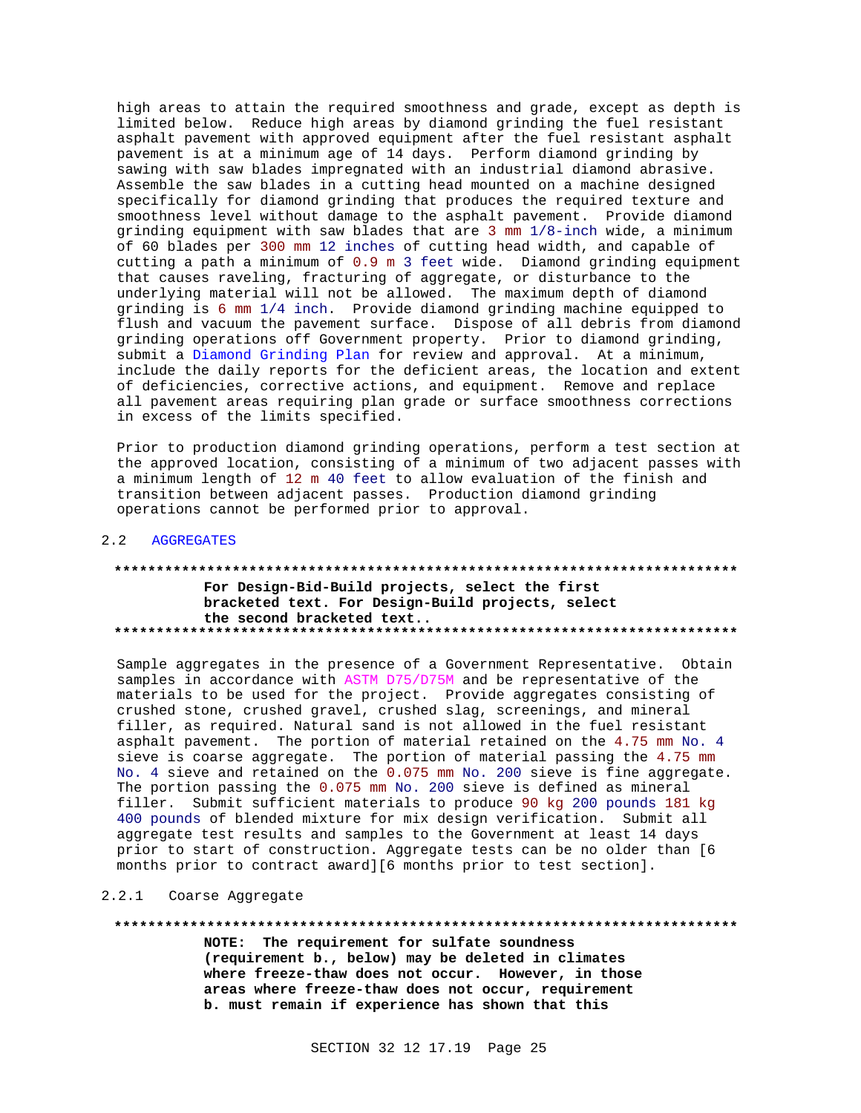high areas to attain the required smoothness and grade, except as depth is limited below. Reduce high areas by diamond grinding the fuel resistant asphalt pavement with approved equipment after the fuel resistant asphalt pavement is at a minimum age of 14 days. Perform diamond grinding by sawing with saw blades impregnated with an industrial diamond abrasive. Assemble the saw blades in a cutting head mounted on a machine designed specifically for diamond grinding that produces the required texture and smoothness level without damage to the asphalt pavement. Provide diamond grinding equipment with saw blades that are 3 mm 1/8-inch wide, a minimum of 60 blades per 300 mm 12 inches of cutting head width, and capable of cutting a path a minimum of 0.9 m 3 feet wide. Diamond grinding equipment that causes raveling, fracturing of aggregate, or disturbance to the underlying material will not be allowed. The maximum depth of diamond grinding is 6 mm 1/4 inch. Provide diamond grinding machine equipped to flush and vacuum the pavement surface. Dispose of all debris from diamond grinding operations off Government property. Prior to diamond grinding, submit a Diamond Grinding Plan for review and approval. At a minimum, include the daily reports for the deficient areas, the location and extent of deficiencies, corrective actions, and equipment. Remove and replace all pavement areas requiring plan grade or surface smoothness corrections in excess of the limits specified.

Prior to production diamond grinding operations, perform a test section at the approved location, consisting of a minimum of two adjacent passes with a minimum length of 12 m 40 feet to allow evaluation of the finish and transition between adjacent passes. Production diamond grinding operations cannot be performed prior to approval.

#### 2.2 AGGREGATES

## **\*\*\*\*\*\*\*\*\*\*\*\*\*\*\*\*\*\*\*\*\*\*\*\*\*\*\*\*\*\*\*\*\*\*\*\*\*\*\*\*\*\*\*\*\*\*\*\*\*\*\*\*\*\*\*\*\*\*\*\*\*\*\*\*\*\*\*\*\*\*\*\*\*\* For Design-Bid-Build projects, select the first bracketed text. For Design-Build projects, select the second bracketed text.. \*\*\*\*\*\*\*\*\*\*\*\*\*\*\*\*\*\*\*\*\*\*\*\*\*\*\*\*\*\*\*\*\*\*\*\*\*\*\*\*\*\*\*\*\*\*\*\*\*\*\*\*\*\*\*\*\*\*\*\*\*\*\*\*\*\*\*\*\*\*\*\*\*\***

Sample aggregates in the presence of a Government Representative. Obtain samples in accordance with ASTM D75/D75M and be representative of the materials to be used for the project. Provide aggregates consisting of crushed stone, crushed gravel, crushed slag, screenings, and mineral filler, as required. Natural sand is not allowed in the fuel resistant asphalt pavement. The portion of material retained on the 4.75 mm No. 4 sieve is coarse aggregate. The portion of material passing the 4.75 mm No. 4 sieve and retained on the 0.075 mm No. 200 sieve is fine aggregate. The portion passing the 0.075 mm No. 200 sieve is defined as mineral filler. Submit sufficient materials to produce 90 kg 200 pounds 181 kg 400 pounds of blended mixture for mix design verification. Submit all aggregate test results and samples to the Government at least 14 days prior to start of construction. Aggregate tests can be no older than [6 months prior to contract award][6 months prior to test section].

#### 2.2.1 Coarse Aggregate

#### **\*\*\*\*\*\*\*\*\*\*\*\*\*\*\*\*\*\*\*\*\*\*\*\*\*\*\*\*\*\*\*\*\*\*\*\*\*\*\*\*\*\*\*\*\*\*\*\*\*\*\*\*\*\*\*\*\*\*\*\*\*\*\*\*\*\*\*\*\*\*\*\*\*\***

**NOTE: The requirement for sulfate soundness (requirement b., below) may be deleted in climates where freeze-thaw does not occur. However, in those areas where freeze-thaw does not occur, requirement b. must remain if experience has shown that this**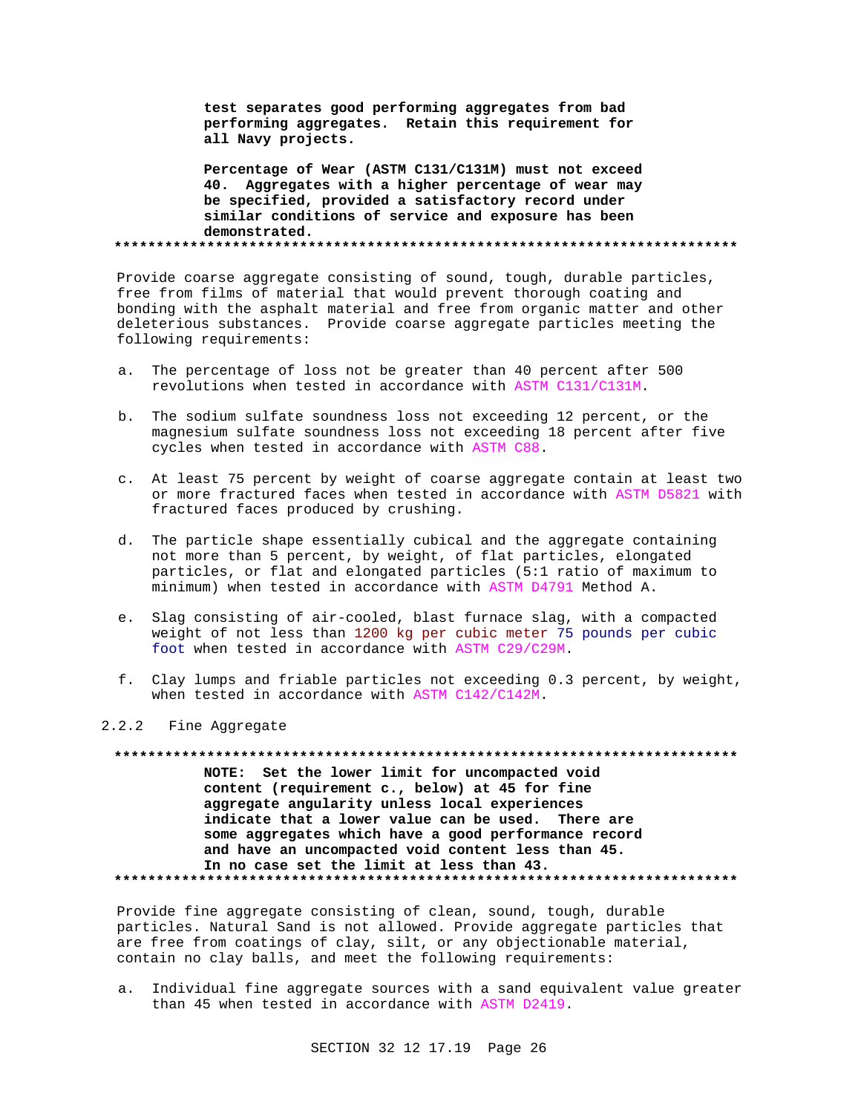**test separates good performing aggregates from bad performing aggregates. Retain this requirement for all Navy projects.**

**Percentage of Wear (ASTM C131/C131M) must not exceed 40. Aggregates with a higher percentage of wear may be specified, provided a satisfactory record under similar conditions of service and exposure has been demonstrated. \*\*\*\*\*\*\*\*\*\*\*\*\*\*\*\*\*\*\*\*\*\*\*\*\*\*\*\*\*\*\*\*\*\*\*\*\*\*\*\*\*\*\*\*\*\*\*\*\*\*\*\*\*\*\*\*\*\*\*\*\*\*\*\*\*\*\*\*\*\*\*\*\*\***

Provide coarse aggregate consisting of sound, tough, durable particles, free from films of material that would prevent thorough coating and bonding with the asphalt material and free from organic matter and other deleterious substances. Provide coarse aggregate particles meeting the following requirements:

- a. The percentage of loss not be greater than 40 percent after 500 revolutions when tested in accordance with ASTM C131/C131M.
- b. The sodium sulfate soundness loss not exceeding 12 percent, or the magnesium sulfate soundness loss not exceeding 18 percent after five cycles when tested in accordance with ASTM C88.
- c. At least 75 percent by weight of coarse aggregate contain at least two or more fractured faces when tested in accordance with ASTM D5821 with fractured faces produced by crushing.
- d. The particle shape essentially cubical and the aggregate containing not more than 5 percent, by weight, of flat particles, elongated particles, or flat and elongated particles (5:1 ratio of maximum to minimum) when tested in accordance with ASTM D4791 Method A.
- e. Slag consisting of air-cooled, blast furnace slag, with a compacted weight of not less than 1200 kg per cubic meter 75 pounds per cubic foot when tested in accordance with ASTM C29/C29M.
- f. Clay lumps and friable particles not exceeding 0.3 percent, by weight, when tested in accordance with ASTM C142/C142M.

#### 2.2.2 Fine Aggregate

**\*\*\*\*\*\*\*\*\*\*\*\*\*\*\*\*\*\*\*\*\*\*\*\*\*\*\*\*\*\*\*\*\*\*\*\*\*\*\*\*\*\*\*\*\*\*\*\*\*\*\*\*\*\*\*\*\*\*\*\*\*\*\*\*\*\*\*\*\*\*\*\*\*\* NOTE: Set the lower limit for uncompacted void content (requirement c., below) at 45 for fine aggregate angularity unless local experiences indicate that a lower value can be used. There are some aggregates which have a good performance record and have an uncompacted void content less than 45. In no case set the limit at less than 43. \*\*\*\*\*\*\*\*\*\*\*\*\*\*\*\*\*\*\*\*\*\*\*\*\*\*\*\*\*\*\*\*\*\*\*\*\*\*\*\*\*\*\*\*\*\*\*\*\*\*\*\*\*\*\*\*\*\*\*\*\*\*\*\*\*\*\*\*\*\*\*\*\*\***

Provide fine aggregate consisting of clean, sound, tough, durable particles. Natural Sand is not allowed. Provide aggregate particles that are free from coatings of clay, silt, or any objectionable material, contain no clay balls, and meet the following requirements:

a. Individual fine aggregate sources with a sand equivalent value greater than 45 when tested in accordance with ASTM D2419.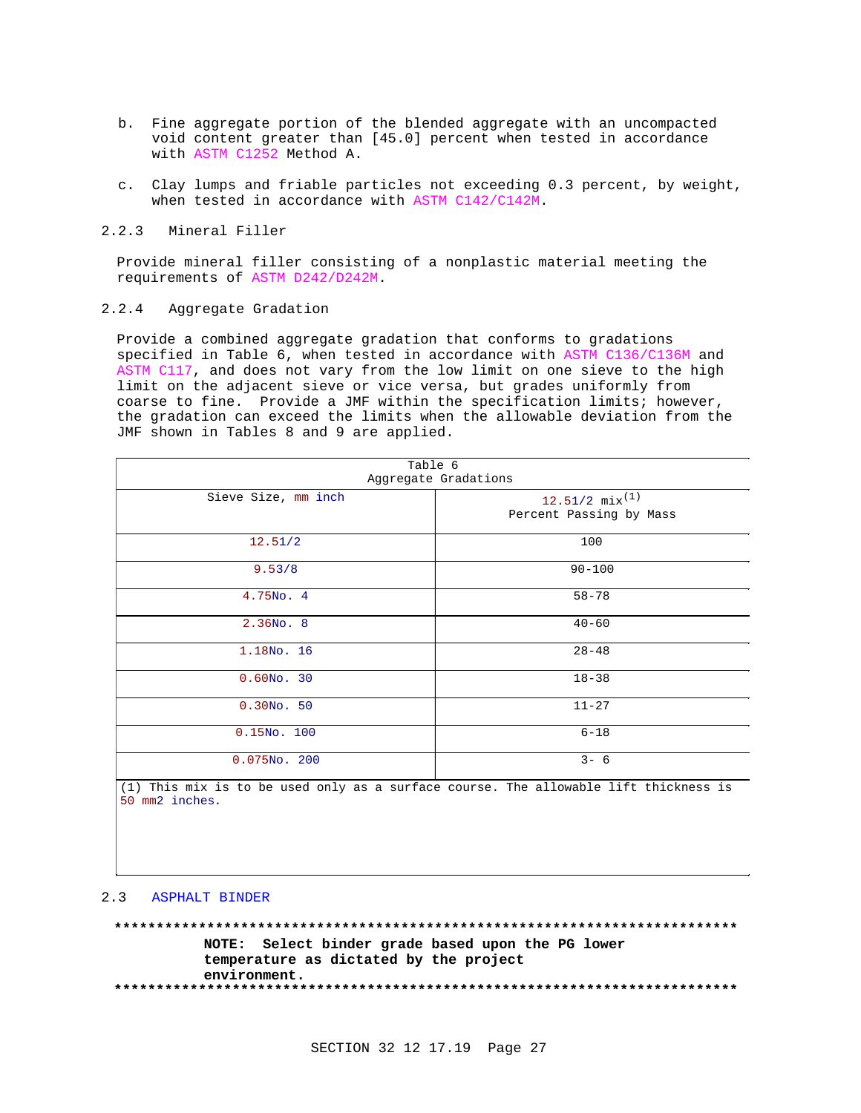- b. Fine aggregate portion of the blended aggregate with an uncompacted void content greater than [45.0] percent when tested in accordance with ASTM C1252 Method A.
- c. Clay lumps and friable particles not exceeding 0.3 percent, by weight, when tested in accordance with ASTM C142/C142M.
- 2.2.3 Mineral Filler

Provide mineral filler consisting of a nonplastic material meeting the requirements of ASTM D242/D242M.

 $2.2.4$ Aggregate Gradation

Provide a combined aggregate gradation that conforms to gradations specified in Table 6, when tested in accordance with ASTM C136/C136M and ASTM C117, and does not vary from the low limit on one sieve to the high limit on the adjacent sieve or vice versa, but grades uniformly from coarse to fine. Provide a JMF within the specification limits; however, the gradation can exceed the limits when the allowable deviation from the JMF shown in Tables 8 and 9 are applied.

| Table 6<br>Aggregate Gradations |                                                         |  |
|---------------------------------|---------------------------------------------------------|--|
| Sieve Size, mm inch             | $12.51/2$ mix <sup>(1)</sup><br>Percent Passing by Mass |  |
| 12.51/2                         | 100                                                     |  |
| 9.53/8                          | $90 - 100$                                              |  |
| 4.75No. 4                       | $58 - 78$                                               |  |
| $2.36N0$ . 8                    | $40 - 60$                                               |  |
| 1.18No. 16                      | $28 - 48$                                               |  |
| $0.60NO$ . 30                   | $18 - 38$                                               |  |
| $0.30NO$ . 50                   | $11 - 27$                                               |  |
| $0.15N0$ . 100                  | $6 - 18$                                                |  |
| $0.075NO$ . 200                 | $3 - 6$                                                 |  |

(1) This mix is to be used only as a surface course. The allowable lift thickness is 50 mm2 inches.

## 2.3 ASPHALT BINDER

NOTE: Select binder grade based upon the PG lower temperature as dictated by the project environment.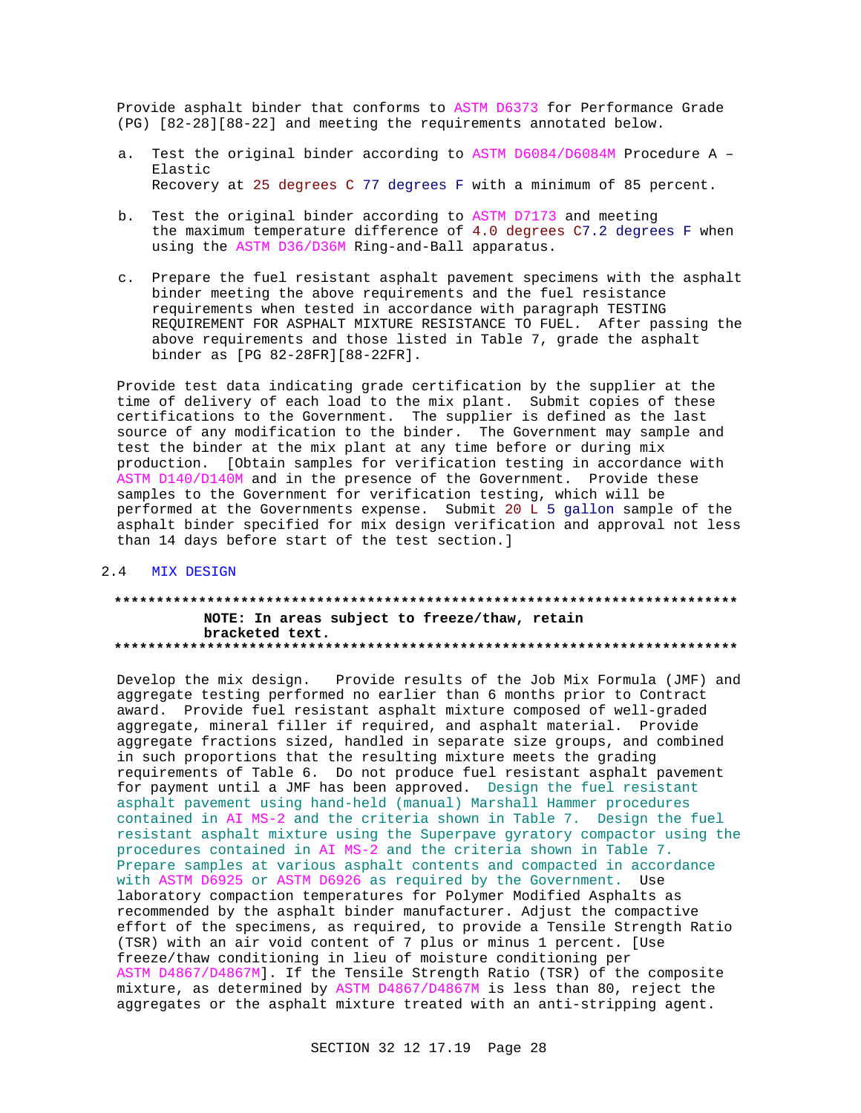Provide asphalt binder that conforms to ASTM D6373 for Performance Grade (PG) [82-28] [88-22] and meeting the requirements annotated below.

- a. Test the original binder according to ASTM D6084/D6084M Procedure A -Elastic Recovery at 25 degrees C 77 degrees F with a minimum of 85 percent.
- b. Test the original binder according to ASTM D7173 and meeting the maximum temperature difference of 4.0 degrees C7.2 degrees F when using the ASTM D36/D36M Ring-and-Ball apparatus.
- c. Prepare the fuel resistant asphalt pavement specimens with the asphalt binder meeting the above requirements and the fuel resistance requirements when tested in accordance with paragraph TESTING REQUIREMENT FOR ASPHALT MIXTURE RESISTANCE TO FUEL. After passing the above requirements and those listed in Table 7, grade the asphalt binder as [PG 82-28FR][88-22FR].

Provide test data indicating grade certification by the supplier at the time of delivery of each load to the mix plant. Submit copies of these certifications to the Government. The supplier is defined as the last source of any modification to the binder. The Government may sample and test the binder at the mix plant at any time before or during mix production. [Obtain samples for verification testing in accordance with ASTM D140/D140M and in the presence of the Government. Provide these samples to the Government for verification testing, which will be performed at the Governments expense. Submit 20 L 5 gallon sample of the asphalt binder specified for mix design verification and approval not less than 14 days before start of the test section.]

#### 2.4 MIX DESIGN

## NOTE: In areas subject to freeze/thaw, retain bracketed text.

Develop the mix design. Provide results of the Job Mix Formula (JMF) and aggregate testing performed no earlier than 6 months prior to Contract award. Provide fuel resistant asphalt mixture composed of well-graded aggregate, mineral filler if required, and asphalt material. Provide aggregate fractions sized, handled in separate size groups, and combined in such proportions that the resulting mixture meets the grading requirements of Table 6. Do not produce fuel resistant asphalt pavement for payment until a JMF has been approved. Design the fuel resistant asphalt pavement using hand-held (manual) Marshall Hammer procedures contained in AI MS-2 and the criteria shown in Table 7. Design the fuel resistant asphalt mixture using the Superpave gyratory compactor using the procedures contained in AI MS-2 and the criteria shown in Table 7. Prepare samples at various asphalt contents and compacted in accordance with ASTM D6925 or ASTM D6926 as required by the Government. Use laboratory compaction temperatures for Polymer Modified Asphalts as recommended by the asphalt binder manufacturer. Adjust the compactive effort of the specimens, as required, to provide a Tensile Strength Ratio (TSR) with an air void content of 7 plus or minus 1 percent. [Use freeze/thaw conditioning in lieu of moisture conditioning per ASTM D4867/D4867M]. If the Tensile Strength Ratio (TSR) of the composite mixture, as determined by ASTM D4867/D4867M is less than 80, reject the aggregates or the asphalt mixture treated with an anti-stripping agent.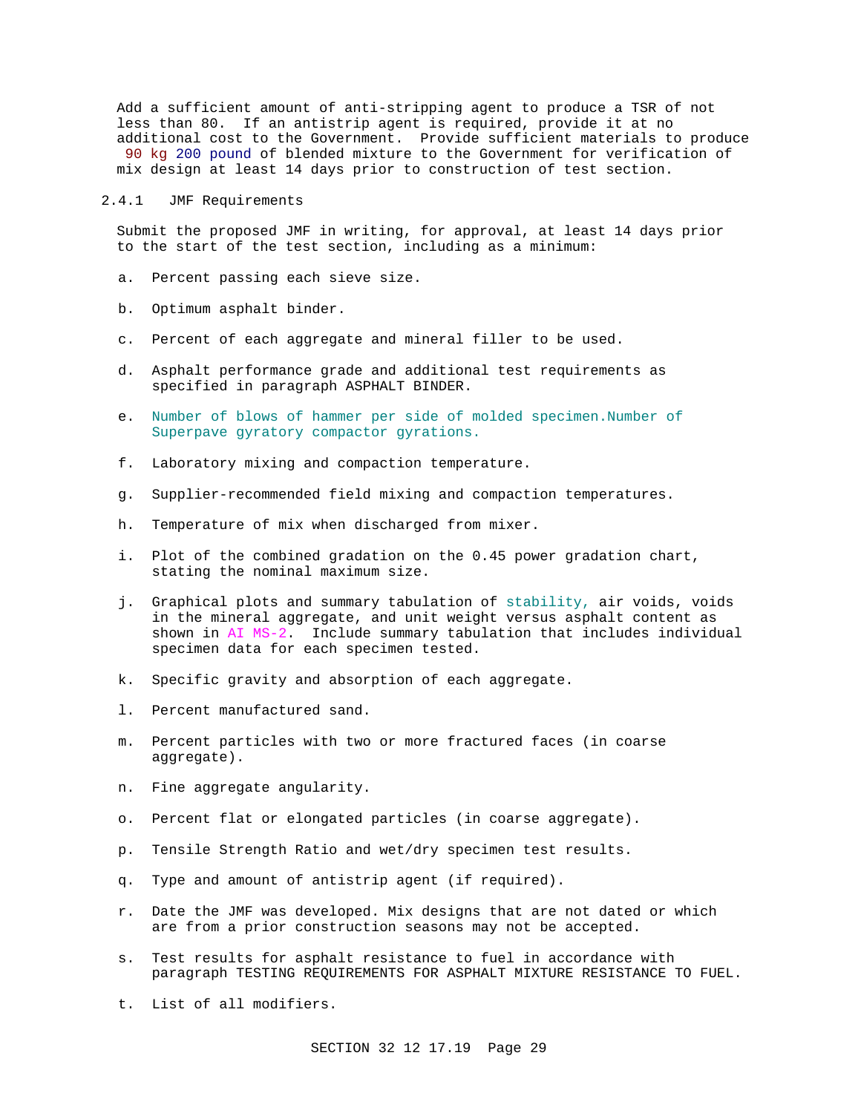Add a sufficient amount of anti-stripping agent to produce a TSR of not less than 80. If an antistrip agent is required, provide it at no additional cost to the Government. Provide sufficient materials to produce 90 kg 200 pound of blended mixture to the Government for verification of mix design at least 14 days prior to construction of test section.

#### 2.4.1 JMF Requirements

Submit the proposed JMF in writing, for approval, at least 14 days prior to the start of the test section, including as a minimum:

- a. Percent passing each sieve size.
- b. Optimum asphalt binder.
- c. Percent of each aggregate and mineral filler to be used.
- d. Asphalt performance grade and additional test requirements as specified in paragraph ASPHALT BINDER.
- e. Number of blows of hammer per side of molded specimen.Number of Superpave gyratory compactor gyrations.
- f. Laboratory mixing and compaction temperature.
- g. Supplier-recommended field mixing and compaction temperatures.
- h. Temperature of mix when discharged from mixer.
- i. Plot of the combined gradation on the 0.45 power gradation chart, stating the nominal maximum size.
- j. Graphical plots and summary tabulation of stability, air voids, voids in the mineral aggregate, and unit weight versus asphalt content as shown in AI MS-2. Include summary tabulation that includes individual specimen data for each specimen tested.
- k. Specific gravity and absorption of each aggregate.
- l. Percent manufactured sand.
- m. Percent particles with two or more fractured faces (in coarse aggregate).
- n. Fine aggregate angularity.
- o. Percent flat or elongated particles (in coarse aggregate).
- p. Tensile Strength Ratio and wet/dry specimen test results.
- q. Type and amount of antistrip agent (if required).
- r. Date the JMF was developed. Mix designs that are not dated or which are from a prior construction seasons may not be accepted.
- s. Test results for asphalt resistance to fuel in accordance with paragraph TESTING REQUIREMENTS FOR ASPHALT MIXTURE RESISTANCE TO FUEL.
- t. List of all modifiers.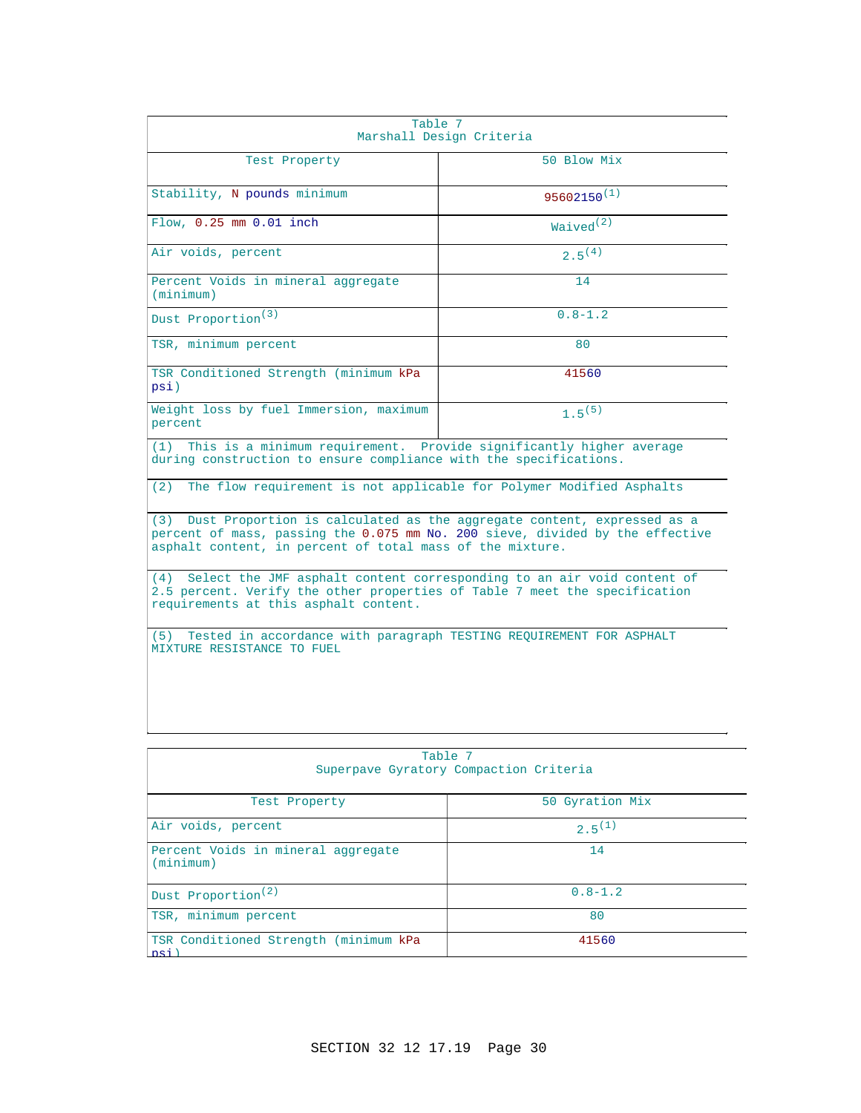| Table 7<br>Marshall Design Criteria                                                                                                                                                                                      |                       |  |
|--------------------------------------------------------------------------------------------------------------------------------------------------------------------------------------------------------------------------|-----------------------|--|
| Test Property                                                                                                                                                                                                            | 50 Blow Mix           |  |
| Stability, N pounds minimum                                                                                                                                                                                              | $95602150^{(1)}$      |  |
| Flow, 0.25 mm 0.01 inch                                                                                                                                                                                                  | Waived <sup>(2)</sup> |  |
| Air voids, percent                                                                                                                                                                                                       | $2.5^{(4)}$           |  |
| Percent Voids in mineral aggregate<br>(minimum)                                                                                                                                                                          | 14                    |  |
| Dust Proportion <sup>(3)</sup>                                                                                                                                                                                           | $0.8 - 1.2$           |  |
| TSR, minimum percent                                                                                                                                                                                                     | 80                    |  |
| TSR Conditioned Strength (minimum kPa<br>psi)                                                                                                                                                                            | 41560                 |  |
| Weight loss by fuel Immersion, maximum<br>percent                                                                                                                                                                        | $1.5^{(5)}$           |  |
| This is a minimum requirement. Provide significantly higher average<br>(1)<br>during construction to ensure compliance with the specifications.                                                                          |                       |  |
| The flow requirement is not applicable for Polymer Modified Asphalts<br>(2)                                                                                                                                              |                       |  |
| (3) Dust Proportion is calculated as the aggregate content, expressed as a<br>percent of mass, passing the 0.075 mm No. 200 sieve, divided by the effective<br>asphalt content, in percent of total mass of the mixture. |                       |  |
| Select the JMF asphalt content corresponding to an air void content of<br>(4)<br>2.5 percent. Verify the other properties of Table 7 meet the specification<br>requirements at this asphalt content.                     |                       |  |
| Tested in accordance with paragraph TESTING REQUIREMENT FOR ASPHALT<br>(5)<br>MIXTURE RESISTANCE TO FUEL                                                                                                                 |                       |  |
|                                                                                                                                                                                                                          |                       |  |

| Table 7                                         |                 |  |
|-------------------------------------------------|-----------------|--|
| Superpave Gyratory Compaction Criteria          |                 |  |
|                                                 |                 |  |
| Test Property                                   | 50 Gyration Mix |  |
| Air voids, percent                              | $2.5^{(1)}$     |  |
| Percent Voids in mineral aggregate<br>(minimum) | 14              |  |
| Dust Proportion <sup>(2)</sup>                  | $0.8 - 1.2$     |  |
| TSR, minimum percent                            | 80              |  |
| TSR Conditioned Strength (minimum kPa<br>psi    | 41560           |  |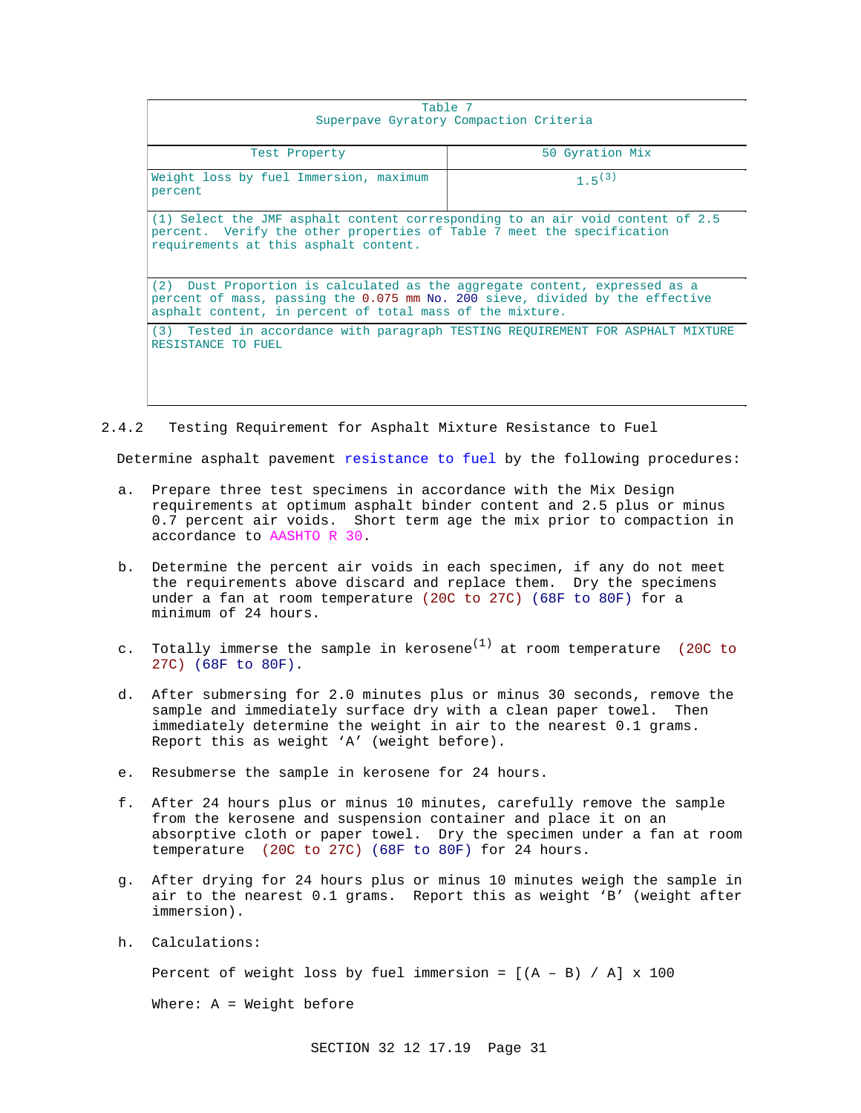| Table 7                                                                                                                                                                                                                  |                 |  |  |
|--------------------------------------------------------------------------------------------------------------------------------------------------------------------------------------------------------------------------|-----------------|--|--|
| Superpave Gyratory Compaction Criteria                                                                                                                                                                                   |                 |  |  |
| Test Property                                                                                                                                                                                                            | 50 Gyration Mix |  |  |
| Weight loss by fuel Immersion, maximum<br>percent                                                                                                                                                                        | $1.5^{(3)}$     |  |  |
| (1) Select the JMF asphalt content corresponding to an air void content of 2.5<br>percent. Verify the other properties of Table 7 meet the specification<br>requirements at this asphalt content.                        |                 |  |  |
| (2) Dust Proportion is calculated as the aggregate content, expressed as a<br>percent of mass, passing the 0.075 mm No. 200 sieve, divided by the effective<br>asphalt content, in percent of total mass of the mixture. |                 |  |  |
| (3) Tested in accordance with paragraph TESTING REQUIREMENT FOR ASPHALT MIXTURE<br>RESISTANCE TO FUEL                                                                                                                    |                 |  |  |

2.4.2 Testing Requirement for Asphalt Mixture Resistance to Fuel

Determine asphalt pavement resistance to fuel by the following procedures:

- a. Prepare three test specimens in accordance with the Mix Design requirements at optimum asphalt binder content and 2.5 plus or minus 0.7 percent air voids. Short term age the mix prior to compaction in accordance to AASHTO R 30.
- b. Determine the percent air voids in each specimen, if any do not meet the requirements above discard and replace them. Dry the specimens under a fan at room temperature (20C to 27C) (68F to 80F) for a minimum of 24 hours.
- c. Totally immerse the sample in kerosene<sup>(1)</sup> at room temperature (20C to 27C) (68F to 80F).
- d. After submersing for 2.0 minutes plus or minus 30 seconds, remove the sample and immediately surface dry with a clean paper towel. Then immediately determine the weight in air to the nearest 0.1 grams. Report this as weight 'A' (weight before).
- e. Resubmerse the sample in kerosene for 24 hours.
- f. After 24 hours plus or minus 10 minutes, carefully remove the sample from the kerosene and suspension container and place it on an absorptive cloth or paper towel. Dry the specimen under a fan at room temperature (20C to 27C) (68F to 80F) for 24 hours.
- g. After drying for 24 hours plus or minus 10 minutes weigh the sample in air to the nearest 0.1 grams. Report this as weight 'B' (weight after immersion).
- h. Calculations:

Percent of weight loss by fuel immersion =  $[(A - B) / A] \times 100$ 

Where: A = Weight before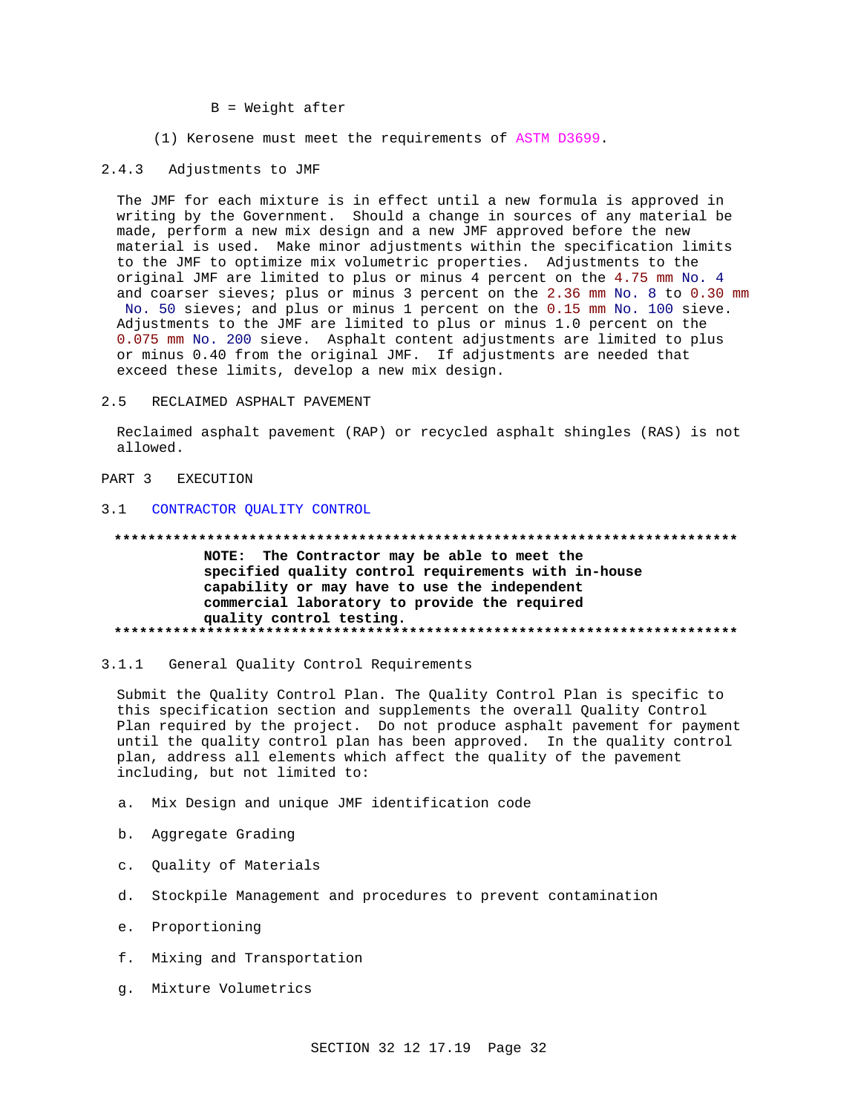#### $B = Weight after$

(1) Kerosene must meet the requirements of ASTM D3699.

#### $2.4.3$ Adjustments to JMF

The JMF for each mixture is in effect until a new formula is approved in writing by the Government. Should a change in sources of any material be made, perform a new mix design and a new JMF approved before the new material is used. Make minor adjustments within the specification limits to the JMF to optimize mix volumetric properties. Adjustments to the original JMF are limited to plus or minus 4 percent on the 4.75 mm No. 4 and coarser sieves; plus or minus 3 percent on the 2.36 mm No. 8 to 0.30 mm No. 50 sieves; and plus or minus 1 percent on the 0.15 mm No. 100 sieve. Adjustments to the JMF are limited to plus or minus 1.0 percent on the 0.075 mm No. 200 sieve. Asphalt content adjustments are limited to plus or minus 0.40 from the original JMF. If adjustments are needed that exceed these limits, develop a new mix design.

 $2.5$ RECLAIMED ASPHALT PAVEMENT

Reclaimed asphalt pavement (RAP) or recycled asphalt shingles (RAS) is not allowed.

#### PART 3 EXECUTION

#### $3.1$ CONTRACTOR QUALITY CONTROL

#### 

NOTE: The Contractor may be able to meet the specified quality control requirements with in-house capability or may have to use the independent commercial laboratory to provide the required quality control testing. 

 $3.1.1$ General Quality Control Requirements

Submit the Quality Control Plan. The Quality Control Plan is specific to this specification section and supplements the overall Quality Control Plan required by the project. Do not produce asphalt pavement for payment until the quality control plan has been approved. In the quality control plan, address all elements which affect the quality of the pavement including, but not limited to:

- a. Mix Design and unique JMF identification code
- b. Aggregate Grading
- c. Quality of Materials
- d. Stockpile Management and procedures to prevent contamination
- e. Proportioning
- f. Mixing and Transportation
- q. Mixture Volumetrics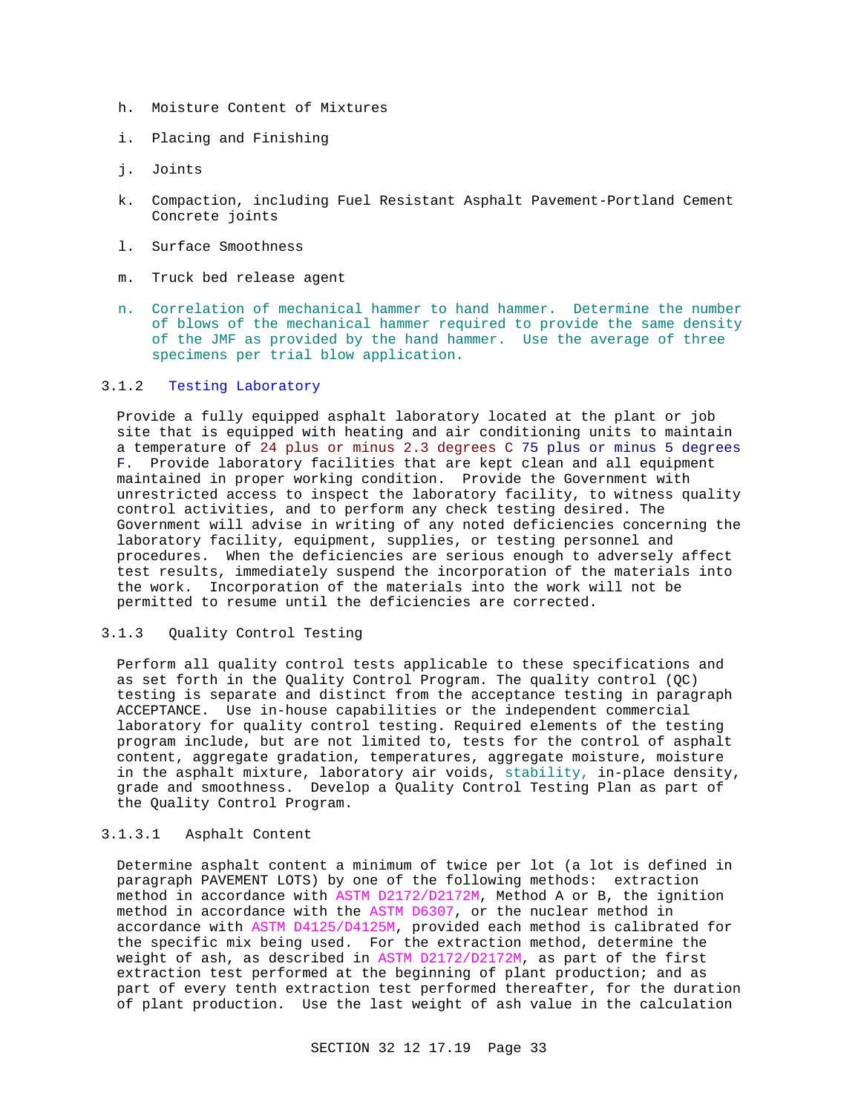- h. Moisture Content of Mixtures
- i. Placing and Finishing
- j. Joints
- k. Compaction, including Fuel Resistant Asphalt Pavement-Portland Cement Concrete joints
- l. Surface Smoothness
- m. Truck bed release agent
- n. Correlation of mechanical hammer to hand hammer. Determine the number of blows of the mechanical hammer required to provide the same density of the JMF as provided by the hand hammer. Use the average of three specimens per trial blow application.

## 3.1.2 Testing Laboratory

Provide a fully equipped asphalt laboratory located at the plant or job site that is equipped with heating and air conditioning units to maintain a temperature of 24 plus or minus 2.3 degrees C 75 plus or minus 5 degrees F. Provide laboratory facilities that are kept clean and all equipment maintained in proper working condition. Provide the Government with unrestricted access to inspect the laboratory facility, to witness quality control activities, and to perform any check testing desired. The Government will advise in writing of any noted deficiencies concerning the laboratory facility, equipment, supplies, or testing personnel and procedures. When the deficiencies are serious enough to adversely affect test results, immediately suspend the incorporation of the materials into the work. Incorporation of the materials into the work will not be permitted to resume until the deficiencies are corrected.

### 3.1.3 Quality Control Testing

Perform all quality control tests applicable to these specifications and as set forth in the Quality Control Program. The quality control (QC) testing is separate and distinct from the acceptance testing in paragraph ACCEPTANCE. Use in-house capabilities or the independent commercial laboratory for quality control testing. Required elements of the testing program include, but are not limited to, tests for the control of asphalt content, aggregate gradation, temperatures, aggregate moisture, moisture in the asphalt mixture, laboratory air voids, stability, in-place density, grade and smoothness. Develop a Quality Control Testing Plan as part of the Quality Control Program.

## 3.1.3.1 Asphalt Content

Determine asphalt content a minimum of twice per lot (a lot is defined in paragraph PAVEMENT LOTS) by one of the following methods: extraction method in accordance with ASTM D2172/D2172M, Method A or B, the ignition method in accordance with the ASTM D6307, or the nuclear method in accordance with ASTM D4125/D4125M, provided each method is calibrated for the specific mix being used. For the extraction method, determine the weight of ash, as described in ASTM D2172/D2172M, as part of the first extraction test performed at the beginning of plant production; and as part of every tenth extraction test performed thereafter, for the duration of plant production. Use the last weight of ash value in the calculation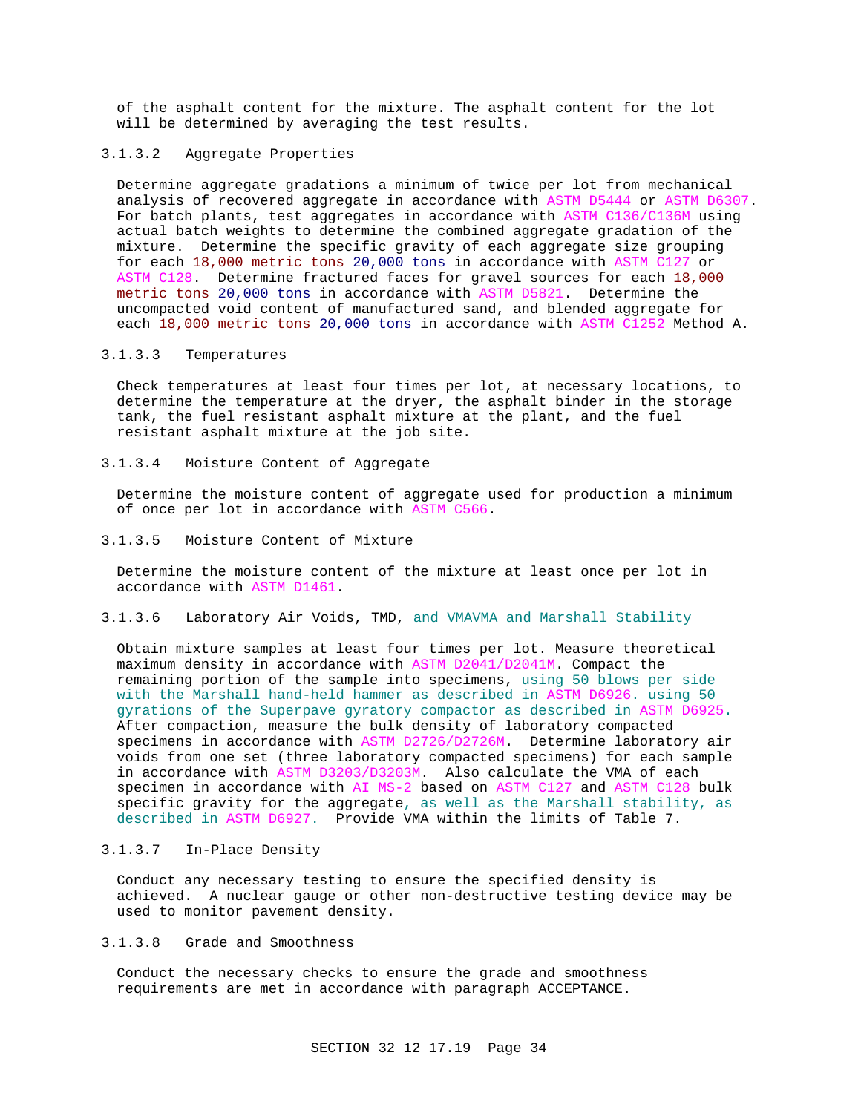of the asphalt content for the mixture. The asphalt content for the lot will be determined by averaging the test results.

### 3.1.3.2 Aggregate Properties

Determine aggregate gradations a minimum of twice per lot from mechanical analysis of recovered aggregate in accordance with ASTM D5444 or ASTM D6307. For batch plants, test aggregates in accordance with ASTM C136/C136M using actual batch weights to determine the combined aggregate gradation of the mixture. Determine the specific gravity of each aggregate size grouping for each 18,000 metric tons 20,000 tons in accordance with ASTM C127 or ASTM C128. Determine fractured faces for gravel sources for each 18,000 metric tons 20,000 tons in accordance with ASTM D5821. Determine the uncompacted void content of manufactured sand, and blended aggregate for each 18,000 metric tons 20,000 tons in accordance with ASTM C1252 Method A.

#### 3.1.3.3 Temperatures

Check temperatures at least four times per lot, at necessary locations, to determine the temperature at the dryer, the asphalt binder in the storage tank, the fuel resistant asphalt mixture at the plant, and the fuel resistant asphalt mixture at the job site.

## 3.1.3.4 Moisture Content of Aggregate

Determine the moisture content of aggregate used for production a minimum of once per lot in accordance with ASTM C566.

#### 3.1.3.5 Moisture Content of Mixture

Determine the moisture content of the mixture at least once per lot in accordance with ASTM D1461.

## 3.1.3.6 Laboratory Air Voids, TMD, and VMAVMA and Marshall Stability

Obtain mixture samples at least four times per lot. Measure theoretical maximum density in accordance with ASTM D2041/D2041M. Compact the remaining portion of the sample into specimens, using 50 blows per side with the Marshall hand-held hammer as described in ASTM D6926. using 50 gyrations of the Superpave gyratory compactor as described in ASTM D6925. After compaction, measure the bulk density of laboratory compacted specimens in accordance with ASTM D2726/D2726M. Determine laboratory air voids from one set (three laboratory compacted specimens) for each sample in accordance with ASTM D3203/D3203M. Also calculate the VMA of each specimen in accordance with AI MS-2 based on ASTM C127 and ASTM C128 bulk specific gravity for the aggregate, as well as the Marshall stability, as described in ASTM D6927. Provide VMA within the limits of Table 7.

### 3.1.3.7 In-Place Density

Conduct any necessary testing to ensure the specified density is achieved. A nuclear gauge or other non-destructive testing device may be used to monitor pavement density.

## 3.1.3.8 Grade and Smoothness

Conduct the necessary checks to ensure the grade and smoothness requirements are met in accordance with paragraph ACCEPTANCE.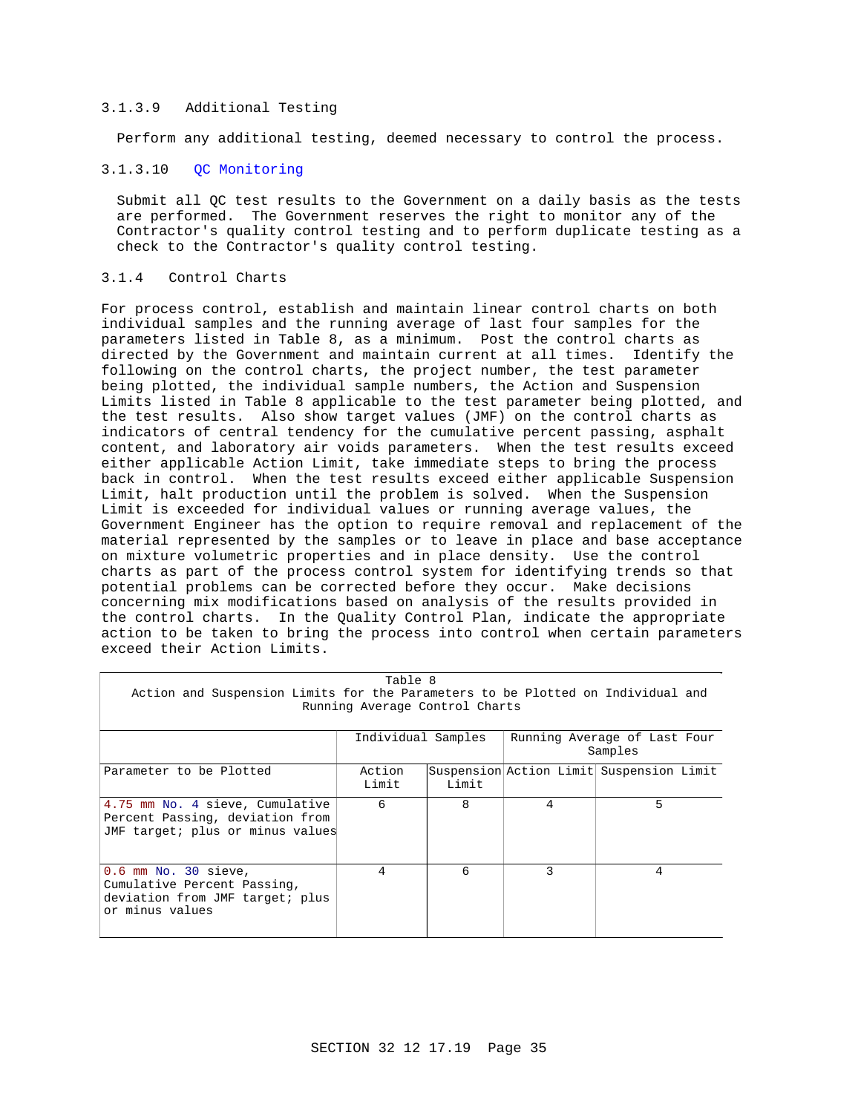## 3.1.3.9 Additional Testing

Perform any additional testing, deemed necessary to control the process.

## 3.1.3.10 QC Monitoring

Submit all QC test results to the Government on a daily basis as the tests are performed. The Government reserves the right to monitor any of the Contractor's quality control testing and to perform duplicate testing as a check to the Contractor's quality control testing.

## 3.1.4 Control Charts

For process control, establish and maintain linear control charts on both individual samples and the running average of last four samples for the parameters listed in Table 8, as a minimum. Post the control charts as directed by the Government and maintain current at all times. Identify the following on the control charts, the project number, the test parameter being plotted, the individual sample numbers, the Action and Suspension Limits listed in Table 8 applicable to the test parameter being plotted, and the test results. Also show target values (JMF) on the control charts as indicators of central tendency for the cumulative percent passing, asphalt content, and laboratory air voids parameters. When the test results exceed either applicable Action Limit, take immediate steps to bring the process back in control. When the test results exceed either applicable Suspension Limit, halt production until the problem is solved. When the Suspension Limit is exceeded for individual values or running average values, the Government Engineer has the option to require removal and replacement of the material represented by the samples or to leave in place and base acceptance on mixture volumetric properties and in place density. Use the control charts as part of the process control system for identifying trends so that potential problems can be corrected before they occur. Make decisions concerning mix modifications based on analysis of the results provided in the control charts. In the Quality Control Plan, indicate the appropriate action to be taken to bring the process into control when certain parameters exceed their Action Limits.

| Table 8                                                                                                           |                    |       |                                         |                                          |
|-------------------------------------------------------------------------------------------------------------------|--------------------|-------|-----------------------------------------|------------------------------------------|
| Action and Suspension Limits for the Parameters to be Plotted on Individual and<br>Running Average Control Charts |                    |       |                                         |                                          |
|                                                                                                                   | Individual Samples |       | Running Average of Last Four<br>Samples |                                          |
| Parameter to be Plotted                                                                                           | Action<br>Limit    | Limit |                                         | Suspension Action Limit Suspension Limit |
| 4.75 mm No. 4 sieve, Cumulative<br>Percent Passing, deviation from<br>JMF target; plus or minus values            | 6                  | 8     | 4                                       | 5                                        |
| $0.6$ mm No. 30 sieve,<br>Cumulative Percent Passing,<br>deviation from JMF target; plus<br>or minus values       | 4                  | 6     | 3                                       | 4                                        |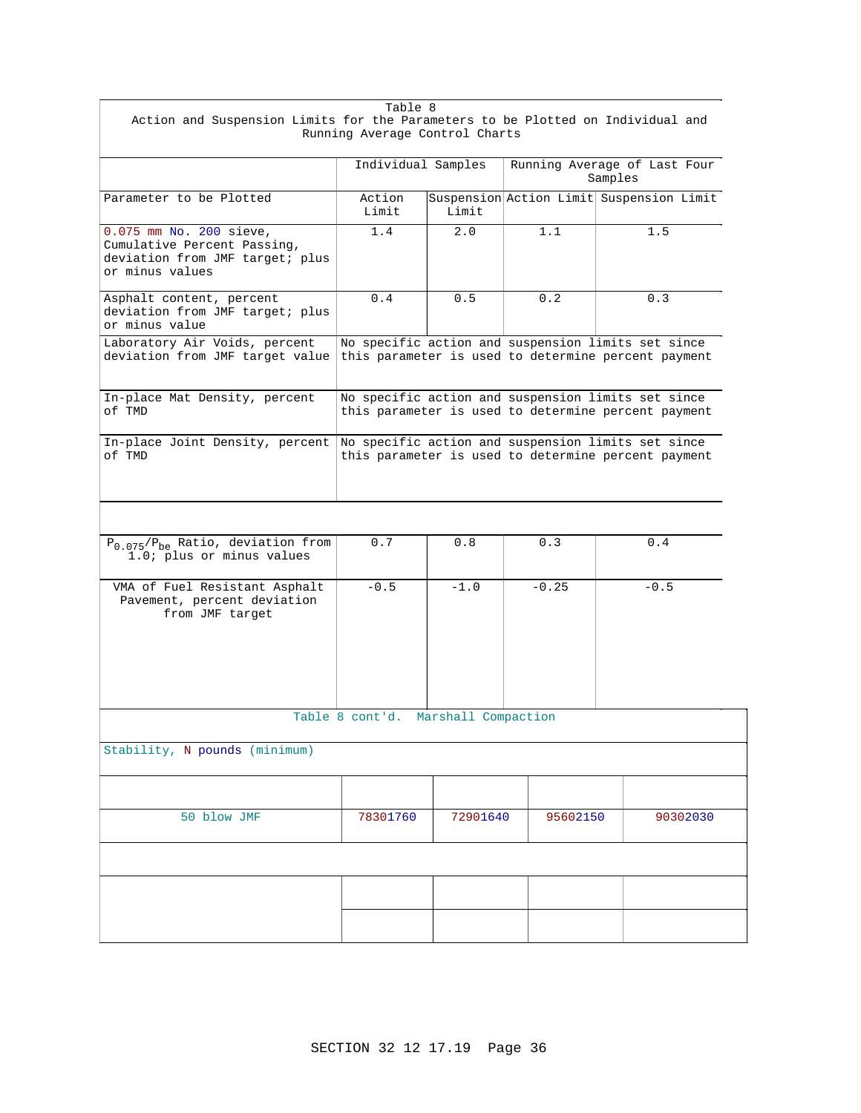| Table 8                                                                                                           |                                                                                                           |          |                                         |                                                                                                           |
|-------------------------------------------------------------------------------------------------------------------|-----------------------------------------------------------------------------------------------------------|----------|-----------------------------------------|-----------------------------------------------------------------------------------------------------------|
| Action and Suspension Limits for the Parameters to be Plotted on Individual and<br>Running Average Control Charts |                                                                                                           |          |                                         |                                                                                                           |
|                                                                                                                   |                                                                                                           |          |                                         |                                                                                                           |
|                                                                                                                   | Individual Samples                                                                                        |          | Running Average of Last Four<br>Samples |                                                                                                           |
| Parameter to be Plotted                                                                                           | Action<br>Limit                                                                                           | Limit    |                                         | Suspension Action Limit Suspension Limit                                                                  |
| 0.075 mm No. 200 sieve,<br>Cumulative Percent Passing,<br>deviation from JMF target; plus<br>or minus values      | 1.4                                                                                                       | 2.0      | 1.1                                     | 1.5                                                                                                       |
| Asphalt content, percent<br>deviation from JMF target; plus<br>or minus value                                     | 0.4                                                                                                       | 0.5      | 0.2                                     | 0.3                                                                                                       |
| Laboratory Air Voids, percent<br>deviation from JMF target value                                                  |                                                                                                           |          |                                         | No specific action and suspension limits set since<br>this parameter is used to determine percent payment |
| In-place Mat Density, percent<br>of TMD                                                                           | No specific action and suspension limits set since<br>this parameter is used to determine percent payment |          |                                         |                                                                                                           |
| In-place Joint Density, percent<br>of TMD                                                                         | No specific action and suspension limits set since<br>this parameter is used to determine percent payment |          |                                         |                                                                                                           |
| $P_{0.075}/P_{be}$ Ratio, deviation from<br>1.0; plus or minus values                                             | 0.7                                                                                                       | 0.8      | 0.3                                     | 0.4                                                                                                       |
| VMA of Fuel Resistant Asphalt<br>Pavement, percent deviation<br>from JMF target                                   | $-0.5$                                                                                                    | $-1.0$   | $-0.25$                                 | $-0.5$                                                                                                    |
| Table 8 cont'd. Marshall Compaction                                                                               |                                                                                                           |          |                                         |                                                                                                           |
| Stability, N pounds (minimum)                                                                                     |                                                                                                           |          |                                         |                                                                                                           |
|                                                                                                                   |                                                                                                           |          |                                         |                                                                                                           |
| 50 blow JMF                                                                                                       | 78301760                                                                                                  | 72901640 | 95602150                                | 90302030                                                                                                  |
|                                                                                                                   |                                                                                                           |          |                                         |                                                                                                           |
|                                                                                                                   |                                                                                                           |          |                                         |                                                                                                           |
|                                                                                                                   |                                                                                                           |          |                                         |                                                                                                           |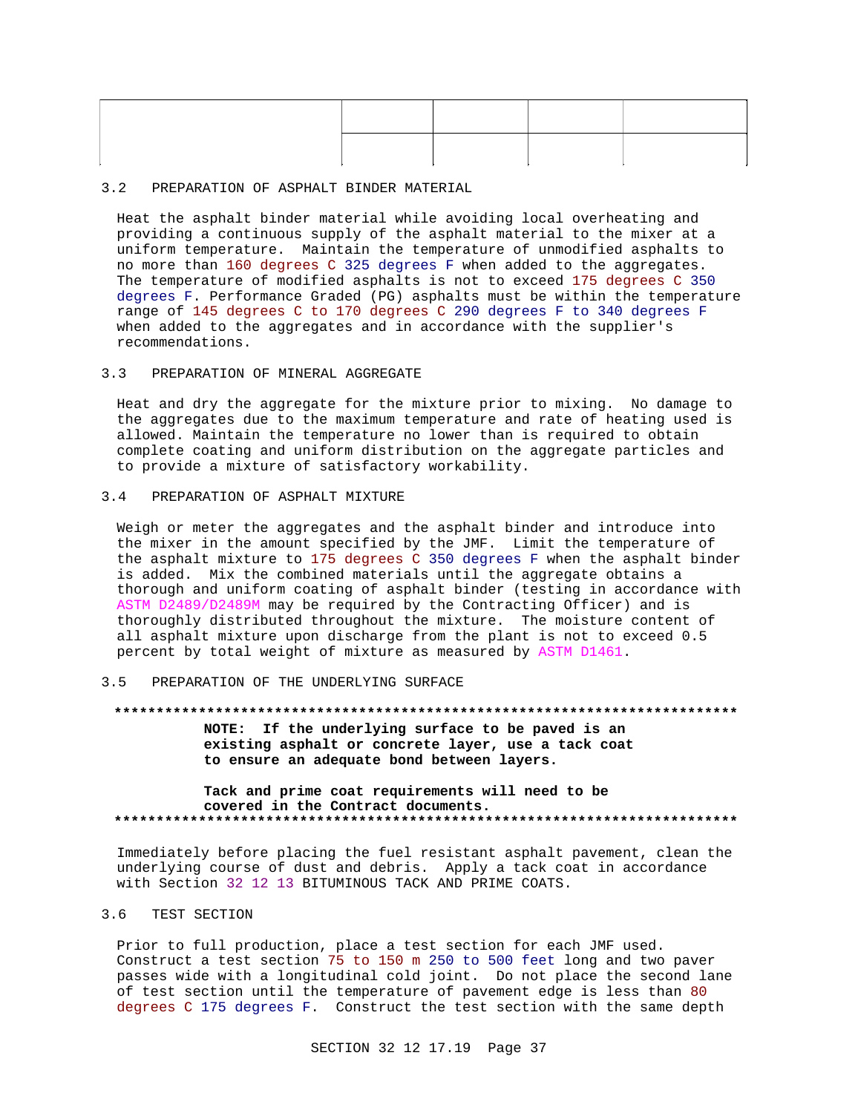### 3.2 PREPARATION OF ASPHALT BINDER MATERIAL

Heat the asphalt binder material while avoiding local overheating and providing a continuous supply of the asphalt material to the mixer at a uniform temperature. Maintain the temperature of unmodified asphalts to no more than 160 degrees C 325 degrees F when added to the aggregates. The temperature of modified asphalts is not to exceed 175 degrees C 350 degrees F. Performance Graded (PG) asphalts must be within the temperature range of 145 degrees C to 170 degrees C 290 degrees F to 340 degrees F when added to the aggregates and in accordance with the supplier's recommendations.

## 3.3 PREPARATION OF MINERAL AGGREGATE

Heat and dry the aggregate for the mixture prior to mixing. No damage to the aggregates due to the maximum temperature and rate of heating used is allowed. Maintain the temperature no lower than is required to obtain complete coating and uniform distribution on the aggregate particles and to provide a mixture of satisfactory workability.

#### 3.4 PREPARATION OF ASPHALT MIXTURE

Weigh or meter the aggregates and the asphalt binder and introduce into the mixer in the amount specified by the JMF. Limit the temperature of the asphalt mixture to 175 degrees C 350 degrees F when the asphalt binder is added. Mix the combined materials until the aggregate obtains a thorough and uniform coating of asphalt binder (testing in accordance with ASTM D2489/D2489M may be required by the Contracting Officer) and is thoroughly distributed throughout the mixture. The moisture content of all asphalt mixture upon discharge from the plant is not to exceed 0.5 percent by total weight of mixture as measured by ASTM D1461.

#### 3.5 PREPARATION OF THE UNDERLYING SURFACE

#### **\*\*\*\*\*\*\*\*\*\*\*\*\*\*\*\*\*\*\*\*\*\*\*\*\*\*\*\*\*\*\*\*\*\*\*\*\*\*\*\*\*\*\*\*\*\*\*\*\*\*\*\*\*\*\*\*\*\*\*\*\*\*\*\*\*\*\*\*\*\*\*\*\*\***

**NOTE: If the underlying surface to be paved is an existing asphalt or concrete layer, use a tack coat to ensure an adequate bond between layers.**

### **Tack and prime coat requirements will need to be covered in the Contract documents. \*\*\*\*\*\*\*\*\*\*\*\*\*\*\*\*\*\*\*\*\*\*\*\*\*\*\*\*\*\*\*\*\*\*\*\*\*\*\*\*\*\*\*\*\*\*\*\*\*\*\*\*\*\*\*\*\*\*\*\*\*\*\*\*\*\*\*\*\*\*\*\*\*\***

Immediately before placing the fuel resistant asphalt pavement, clean the underlying course of dust and debris. Apply a tack coat in accordance with Section 32 12 13 BITUMINOUS TACK AND PRIME COATS.

## 3.6 TEST SECTION

Prior to full production, place a test section for each JMF used. Construct a test section 75 to 150 m 250 to 500 feet long and two paver passes wide with a longitudinal cold joint. Do not place the second lane of test section until the temperature of pavement edge is less than 80 degrees C 175 degrees F. Construct the test section with the same depth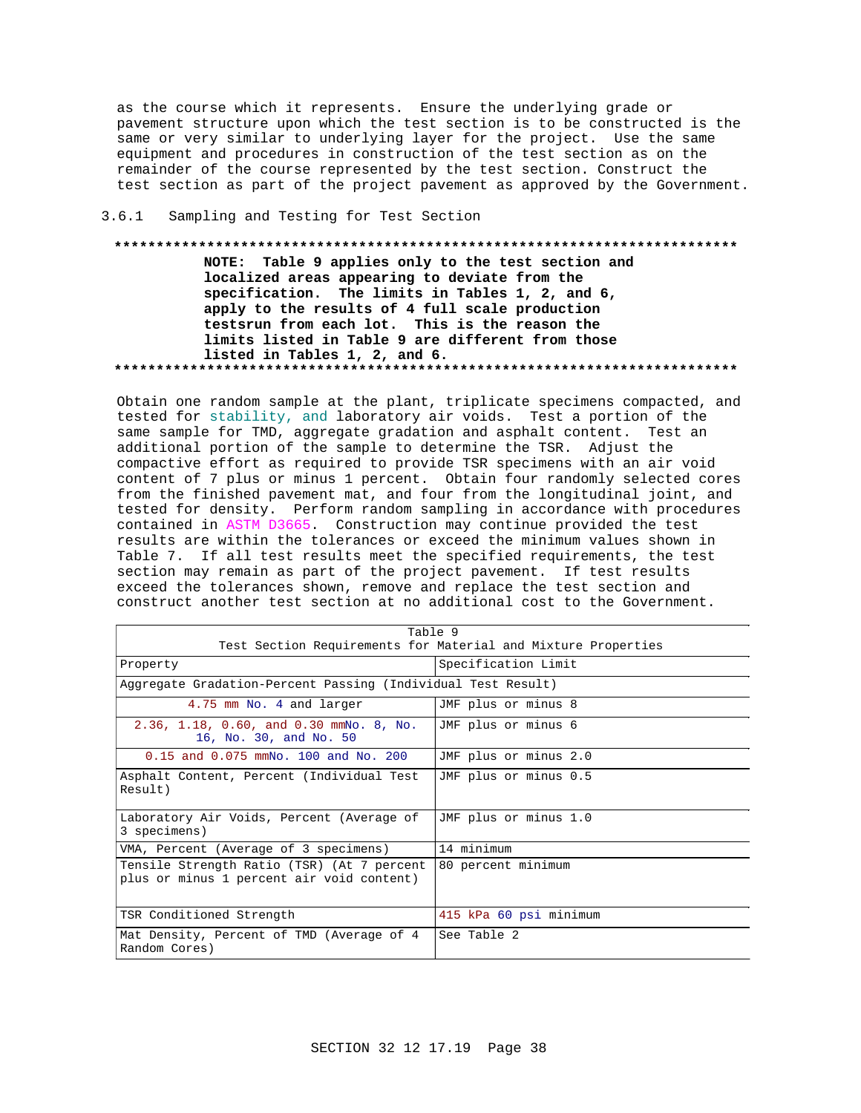as the course which it represents. Ensure the underlying grade or pavement structure upon which the test section is to be constructed is the same or very similar to underlying layer for the project. Use the same equipment and procedures in construction of the test section as on the remainder of the course represented by the test section. Construct the test section as part of the project pavement as approved by the Government.

#### $3.6.1$ Sampling and Testing for Test Section

## NOTE: Table 9 applies only to the test section and localized areas appearing to deviate from the specification. The limits in Tables 1, 2, and 6, apply to the results of 4 full scale production testsrun from each lot. This is the reason the limits listed in Table 9 are different from those listed in Tables 1, 2, and 6.

Obtain one random sample at the plant, triplicate specimens compacted, and tested for stability, and laboratory air voids. Test a portion of the same sample for TMD, aggregate gradation and asphalt content. Test an additional portion of the sample to determine the TSR. Adjust the compactive effort as required to provide TSR specimens with an air void content of 7 plus or minus 1 percent. Obtain four randomly selected cores from the finished pavement mat, and four from the longitudinal joint, and tested for density. Perform random sampling in accordance with procedures contained in ASTM D3665. Construction may continue provided the test results are within the tolerances or exceed the minimum values shown in Table 7. If all test results meet the specified requirements, the test section may remain as part of the project pavement. If test results exceed the tolerances shown, remove and replace the test section and construct another test section at no additional cost to the Government.

| Table 9                                                                                 |                                                               |  |
|-----------------------------------------------------------------------------------------|---------------------------------------------------------------|--|
|                                                                                         | Test Section Requirements for Material and Mixture Properties |  |
| Property                                                                                | Specification Limit                                           |  |
| Aggregate Gradation-Percent Passing (Individual Test Result)                            |                                                               |  |
| 4.75 mm No. 4 and larger                                                                | JMF plus or minus 8                                           |  |
| 2.36, 1.18, 0.60, and 0.30 mmNo. 8, No.<br>16, No. 30, and No. 50                       | JMF plus or minus 6                                           |  |
| $0.15$ and $0.075$ mmNo. 100 and No. 200                                                | JMF plus or minus 2.0                                         |  |
| Asphalt Content, Percent (Individual Test<br>Result)                                    | JMF plus or minus 0.5                                         |  |
| Laboratory Air Voids, Percent (Average of<br>3 specimens)                               | JMF plus or minus 1.0                                         |  |
| VMA, Percent (Average of 3 specimens)                                                   | 14 minimum                                                    |  |
| Tensile Strength Ratio (TSR) (At 7 percent<br>plus or minus 1 percent air void content) | 80 percent minimum                                            |  |
| TSR Conditioned Strength                                                                | 415 kPa 60 psi minimum                                        |  |
| Mat Density, Percent of TMD (Average of 4<br>Random Cores)                              | See Table 2                                                   |  |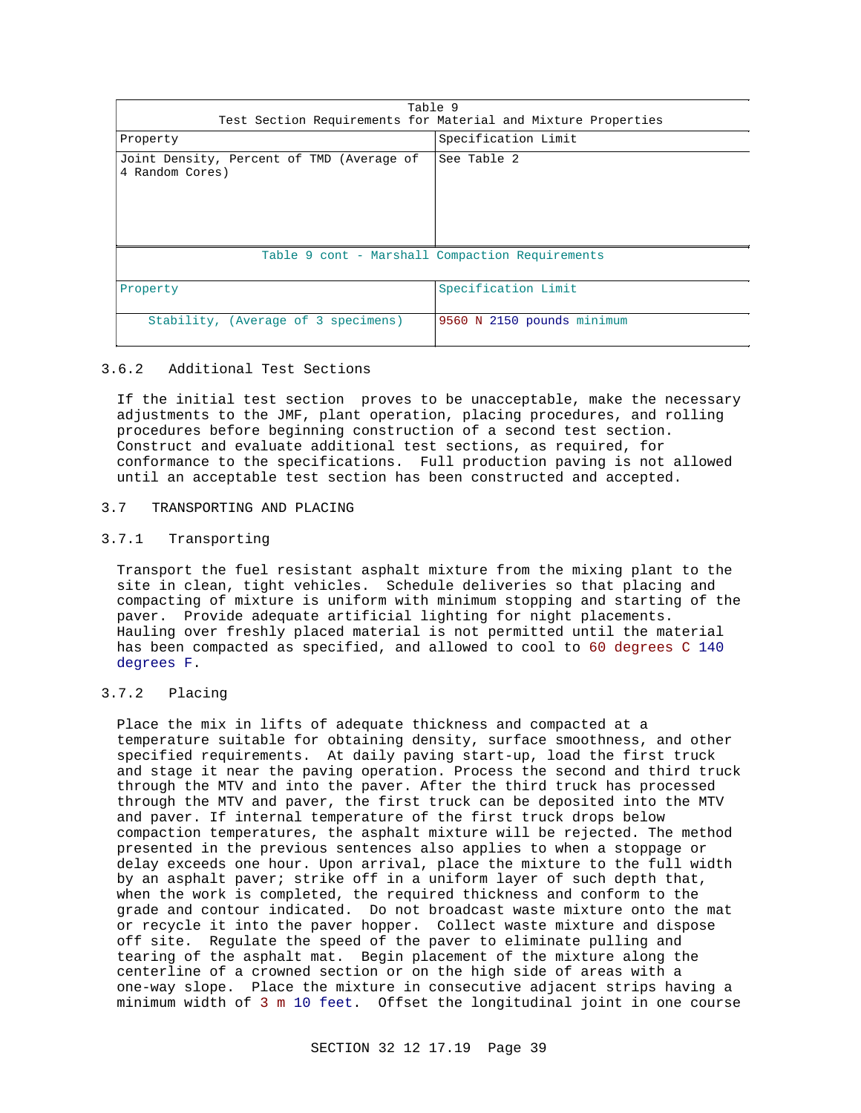| Table 9<br>Test Section Requirements for Material and Mixture Properties |                     |  |
|--------------------------------------------------------------------------|---------------------|--|
| Property                                                                 | Specification Limit |  |
| Joint Density, Percent of TMD (Average of<br>4 Random Cores)             | See Table 2         |  |
| Table 9 cont - Marshall Compaction Requirements                          |                     |  |
| Property                                                                 | Specification Limit |  |

#### 3.6.2 Additional Test Sections

If the initial test section proves to be unacceptable, make the necessary adjustments to the JMF, plant operation, placing procedures, and rolling procedures before beginning construction of a second test section. Construct and evaluate additional test sections, as required, for conformance to the specifications. Full production paving is not allowed until an acceptable test section has been constructed and accepted.

Stability, (Average of 3 specimens) 9560 N 2150 pounds minimum

#### 3.7 TRANSPORTING AND PLACING

## 3.7.1 Transporting

Transport the fuel resistant asphalt mixture from the mixing plant to the site in clean, tight vehicles. Schedule deliveries so that placing and compacting of mixture is uniform with minimum stopping and starting of the paver. Provide adequate artificial lighting for night placements. Hauling over freshly placed material is not permitted until the material has been compacted as specified, and allowed to cool to 60 degrees C 140 degrees F.

## 3.7.2 Placing

Place the mix in lifts of adequate thickness and compacted at a temperature suitable for obtaining density, surface smoothness, and other specified requirements. At daily paving start-up, load the first truck and stage it near the paving operation. Process the second and third truck through the MTV and into the paver. After the third truck has processed through the MTV and paver, the first truck can be deposited into the MTV and paver. If internal temperature of the first truck drops below compaction temperatures, the asphalt mixture will be rejected. The method presented in the previous sentences also applies to when a stoppage or delay exceeds one hour. Upon arrival, place the mixture to the full width by an asphalt paver; strike off in a uniform layer of such depth that, when the work is completed, the required thickness and conform to the grade and contour indicated. Do not broadcast waste mixture onto the mat or recycle it into the paver hopper. Collect waste mixture and dispose off site. Regulate the speed of the paver to eliminate pulling and tearing of the asphalt mat. Begin placement of the mixture along the centerline of a crowned section or on the high side of areas with a one-way slope. Place the mixture in consecutive adjacent strips having a minimum width of 3 m 10 feet. Offset the longitudinal joint in one course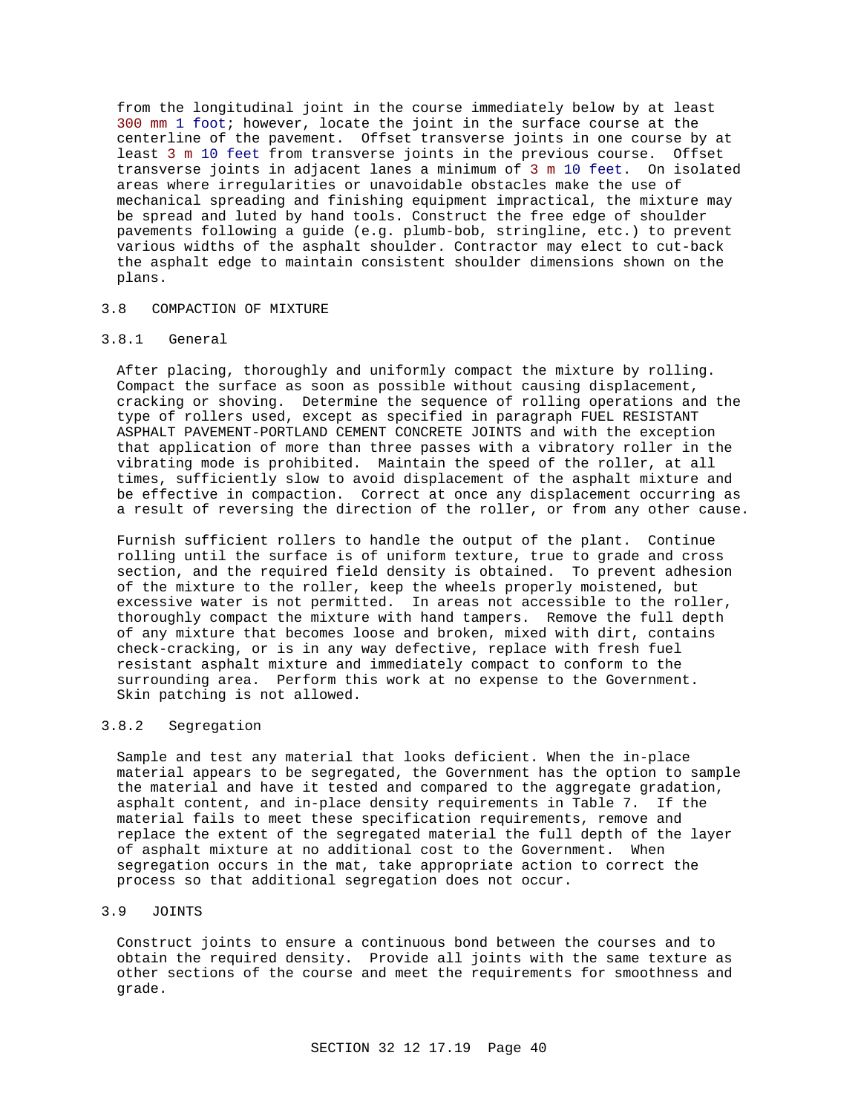from the longitudinal joint in the course immediately below by at least 300 mm 1 foot; however, locate the joint in the surface course at the centerline of the pavement. Offset transverse joints in one course by at least 3 m 10 feet from transverse joints in the previous course. Offset transverse joints in adjacent lanes a minimum of 3 m 10 feet. On isolated areas where irregularities or unavoidable obstacles make the use of mechanical spreading and finishing equipment impractical, the mixture may be spread and luted by hand tools. Construct the free edge of shoulder pavements following a guide (e.g. plumb-bob, stringline, etc.) to prevent various widths of the asphalt shoulder. Contractor may elect to cut-back the asphalt edge to maintain consistent shoulder dimensions shown on the plans.

#### 3.8 COMPACTION OF MIXTURE

## 3.8.1 General

After placing, thoroughly and uniformly compact the mixture by rolling. Compact the surface as soon as possible without causing displacement, cracking or shoving. Determine the sequence of rolling operations and the type of rollers used, except as specified in paragraph FUEL RESISTANT ASPHALT PAVEMENT-PORTLAND CEMENT CONCRETE JOINTS and with the exception that application of more than three passes with a vibratory roller in the vibrating mode is prohibited. Maintain the speed of the roller, at all times, sufficiently slow to avoid displacement of the asphalt mixture and be effective in compaction. Correct at once any displacement occurring as a result of reversing the direction of the roller, or from any other cause.

Furnish sufficient rollers to handle the output of the plant. Continue rolling until the surface is of uniform texture, true to grade and cross section, and the required field density is obtained. To prevent adhesion of the mixture to the roller, keep the wheels properly moistened, but excessive water is not permitted. In areas not accessible to the roller, thoroughly compact the mixture with hand tampers. Remove the full depth of any mixture that becomes loose and broken, mixed with dirt, contains check-cracking, or is in any way defective, replace with fresh fuel resistant asphalt mixture and immediately compact to conform to the surrounding area. Perform this work at no expense to the Government. Skin patching is not allowed.

### 3.8.2 Segregation

Sample and test any material that looks deficient. When the in-place material appears to be segregated, the Government has the option to sample the material and have it tested and compared to the aggregate gradation, asphalt content, and in-place density requirements in Table 7. If the material fails to meet these specification requirements, remove and replace the extent of the segregated material the full depth of the layer of asphalt mixture at no additional cost to the Government. When segregation occurs in the mat, take appropriate action to correct the process so that additional segregation does not occur.

### 3.9 JOINTS

Construct joints to ensure a continuous bond between the courses and to obtain the required density. Provide all joints with the same texture as other sections of the course and meet the requirements for smoothness and grade.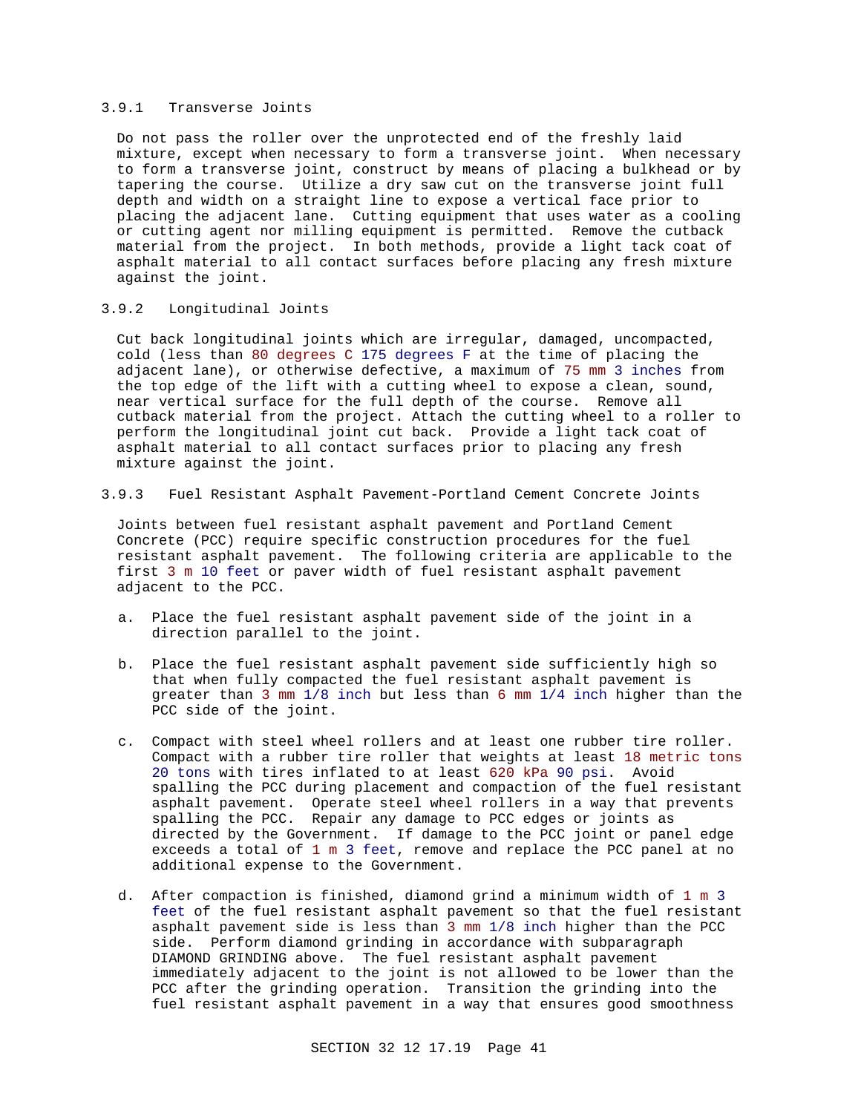### 3.9.1 Transverse Joints

Do not pass the roller over the unprotected end of the freshly laid mixture, except when necessary to form a transverse joint. When necessary to form a transverse joint, construct by means of placing a bulkhead or by tapering the course. Utilize a dry saw cut on the transverse joint full depth and width on a straight line to expose a vertical face prior to placing the adjacent lane. Cutting equipment that uses water as a cooling or cutting agent nor milling equipment is permitted. Remove the cutback material from the project. In both methods, provide a light tack coat of asphalt material to all contact surfaces before placing any fresh mixture against the joint.

### 3.9.2 Longitudinal Joints

Cut back longitudinal joints which are irregular, damaged, uncompacted, cold (less than 80 degrees C 175 degrees F at the time of placing the adjacent lane), or otherwise defective, a maximum of 75 mm 3 inches from the top edge of the lift with a cutting wheel to expose a clean, sound, near vertical surface for the full depth of the course. Remove all cutback material from the project. Attach the cutting wheel to a roller to perform the longitudinal joint cut back. Provide a light tack coat of asphalt material to all contact surfaces prior to placing any fresh mixture against the joint.

### 3.9.3 Fuel Resistant Asphalt Pavement-Portland Cement Concrete Joints

Joints between fuel resistant asphalt pavement and Portland Cement Concrete (PCC) require specific construction procedures for the fuel resistant asphalt pavement. The following criteria are applicable to the first 3 m 10 feet or paver width of fuel resistant asphalt pavement adjacent to the PCC.

- a. Place the fuel resistant asphalt pavement side of the joint in a direction parallel to the joint.
- b. Place the fuel resistant asphalt pavement side sufficiently high so that when fully compacted the fuel resistant asphalt pavement is greater than 3 mm 1/8 inch but less than 6 mm 1/4 inch higher than the PCC side of the joint.
- c. Compact with steel wheel rollers and at least one rubber tire roller. Compact with a rubber tire roller that weights at least 18 metric tons 20 tons with tires inflated to at least 620 kPa 90 psi. Avoid spalling the PCC during placement and compaction of the fuel resistant asphalt pavement. Operate steel wheel rollers in a way that prevents spalling the PCC. Repair any damage to PCC edges or joints as directed by the Government. If damage to the PCC joint or panel edge exceeds a total of 1 m 3 feet, remove and replace the PCC panel at no additional expense to the Government.
- d. After compaction is finished, diamond grind a minimum width of 1 m 3 feet of the fuel resistant asphalt pavement so that the fuel resistant asphalt pavement side is less than 3 mm 1/8 inch higher than the PCC side. Perform diamond grinding in accordance with subparagraph DIAMOND GRINDING above. The fuel resistant asphalt pavement immediately adjacent to the joint is not allowed to be lower than the PCC after the grinding operation. Transition the grinding into the fuel resistant asphalt pavement in a way that ensures good smoothness